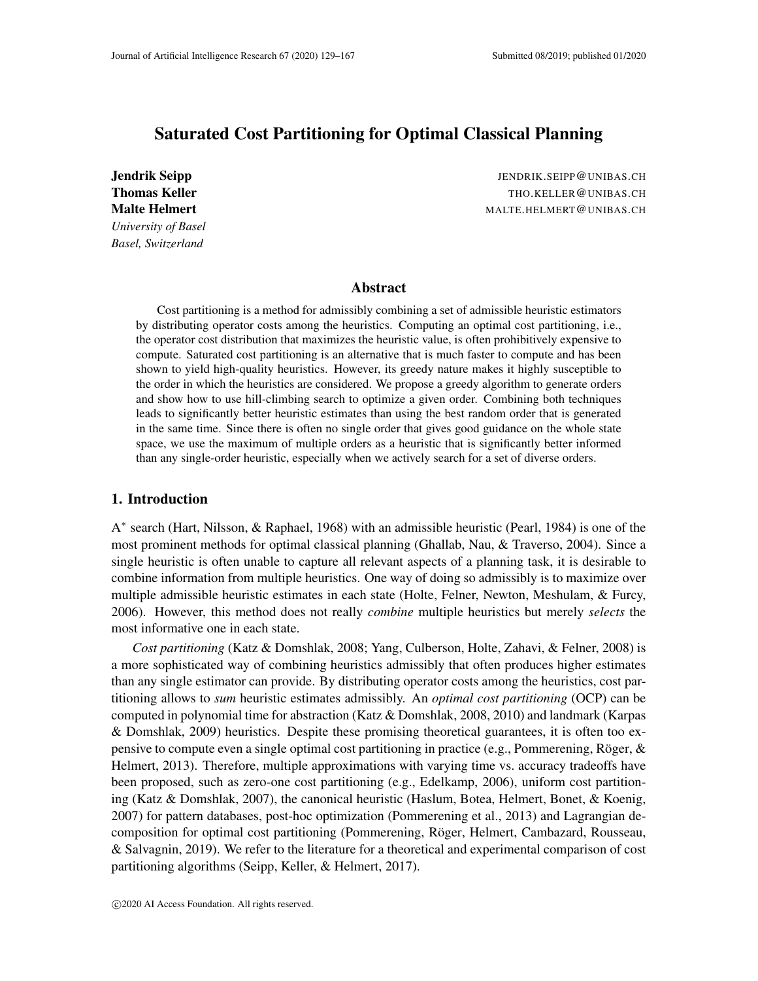# Saturated Cost Partitioning for Optimal Classical Planning

*University of Basel Basel, Switzerland*

Jendrik Seipp JENDRIK.SEIPP@UNIBAS.CH Thomas Keller Thomas Keller Thomas Keller Thomas CH CONTEALLER CONTEALLER CONTEALLER CONTEALLER CONTEALLER CONTEALLER CONTEALLER CONTEALLER CONTEALLER CONTEALLER CONTEALLER CONTEALLER CONTEALLER CONTEALLER CONTEALLER CONTE Malte Helmert **Matter Accounts** MALTE.HELMERT@UNIBAS.CH

#### Abstract

Cost partitioning is a method for admissibly combining a set of admissible heuristic estimators by distributing operator costs among the heuristics. Computing an optimal cost partitioning, i.e., the operator cost distribution that maximizes the heuristic value, is often prohibitively expensive to compute. Saturated cost partitioning is an alternative that is much faster to compute and has been shown to yield high-quality heuristics. However, its greedy nature makes it highly susceptible to the order in which the heuristics are considered. We propose a greedy algorithm to generate orders and show how to use hill-climbing search to optimize a given order. Combining both techniques leads to significantly better heuristic estimates than using the best random order that is generated in the same time. Since there is often no single order that gives good guidance on the whole state space, we use the maximum of multiple orders as a heuristic that is significantly better informed than any single-order heuristic, especially when we actively search for a set of diverse orders.

# 1. Introduction

A<sup>\*</sup> search (Hart, Nilsson, & Raphael, 1968) with an admissible heuristic (Pearl, 1984) is one of the most prominent methods for optimal classical planning (Ghallab, Nau, & Traverso, 2004). Since a single heuristic is often unable to capture all relevant aspects of a planning task, it is desirable to combine information from multiple heuristics. One way of doing so admissibly is to maximize over multiple admissible heuristic estimates in each state (Holte, Felner, Newton, Meshulam, & Furcy, 2006). However, this method does not really *combine* multiple heuristics but merely *selects* the most informative one in each state.

*Cost partitioning* (Katz & Domshlak, 2008; Yang, Culberson, Holte, Zahavi, & Felner, 2008) is a more sophisticated way of combining heuristics admissibly that often produces higher estimates than any single estimator can provide. By distributing operator costs among the heuristics, cost partitioning allows to *sum* heuristic estimates admissibly. An *optimal cost partitioning* (OCP) can be computed in polynomial time for abstraction (Katz & Domshlak, 2008, 2010) and landmark (Karpas & Domshlak, 2009) heuristics. Despite these promising theoretical guarantees, it is often too expensive to compute even a single optimal cost partitioning in practice (e.g., Pommerening, Röger,  $\&$ Helmert, 2013). Therefore, multiple approximations with varying time vs. accuracy tradeoffs have been proposed, such as zero-one cost partitioning (e.g., Edelkamp, 2006), uniform cost partitioning (Katz & Domshlak, 2007), the canonical heuristic (Haslum, Botea, Helmert, Bonet, & Koenig, 2007) for pattern databases, post-hoc optimization (Pommerening et al., 2013) and Lagrangian decomposition for optimal cost partitioning (Pommerening, Röger, Helmert, Cambazard, Rousseau, & Salvagnin, 2019). We refer to the literature for a theoretical and experimental comparison of cost partitioning algorithms (Seipp, Keller, & Helmert, 2017).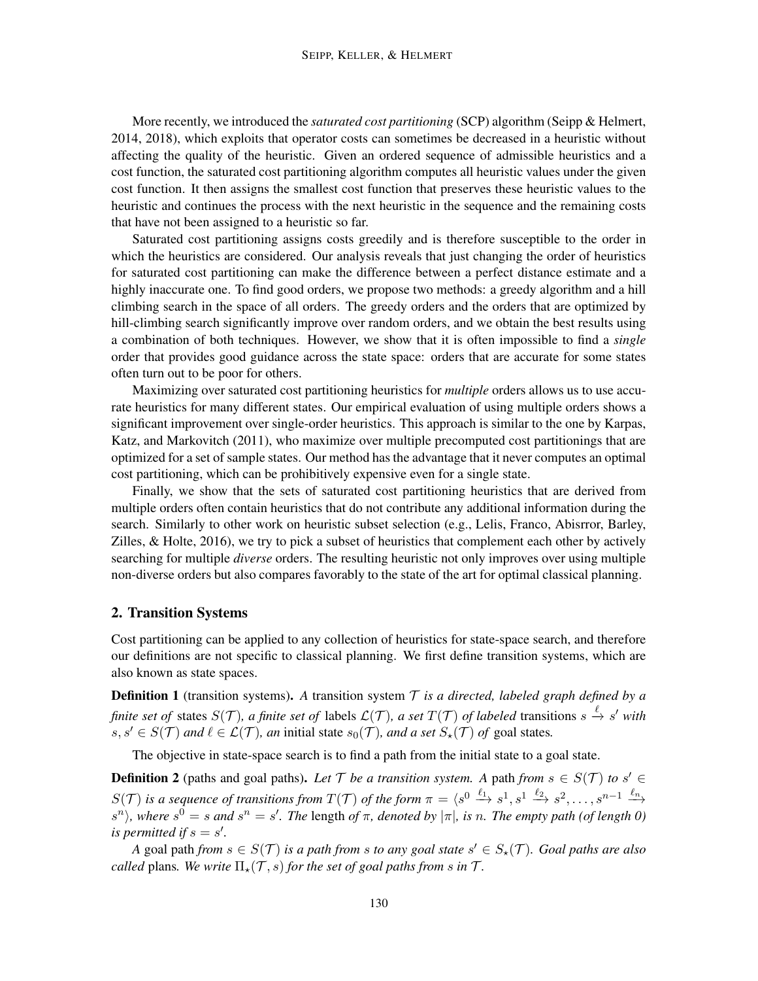More recently, we introduced the *saturated cost partitioning* (SCP) algorithm (Seipp & Helmert, 2014, 2018), which exploits that operator costs can sometimes be decreased in a heuristic without affecting the quality of the heuristic. Given an ordered sequence of admissible heuristics and a cost function, the saturated cost partitioning algorithm computes all heuristic values under the given cost function. It then assigns the smallest cost function that preserves these heuristic values to the heuristic and continues the process with the next heuristic in the sequence and the remaining costs that have not been assigned to a heuristic so far.

Saturated cost partitioning assigns costs greedily and is therefore susceptible to the order in which the heuristics are considered. Our analysis reveals that just changing the order of heuristics for saturated cost partitioning can make the difference between a perfect distance estimate and a highly inaccurate one. To find good orders, we propose two methods: a greedy algorithm and a hill climbing search in the space of all orders. The greedy orders and the orders that are optimized by hill-climbing search significantly improve over random orders, and we obtain the best results using a combination of both techniques. However, we show that it is often impossible to find a *single* order that provides good guidance across the state space: orders that are accurate for some states often turn out to be poor for others.

Maximizing over saturated cost partitioning heuristics for *multiple* orders allows us to use accurate heuristics for many different states. Our empirical evaluation of using multiple orders shows a significant improvement over single-order heuristics. This approach is similar to the one by Karpas, Katz, and Markovitch (2011), who maximize over multiple precomputed cost partitionings that are optimized for a set of sample states. Our method has the advantage that it never computes an optimal cost partitioning, which can be prohibitively expensive even for a single state.

Finally, we show that the sets of saturated cost partitioning heuristics that are derived from multiple orders often contain heuristics that do not contribute any additional information during the search. Similarly to other work on heuristic subset selection (e.g., Lelis, Franco, Abisrror, Barley, Zilles,  $\&$  Holte, 2016), we try to pick a subset of heuristics that complement each other by actively searching for multiple *diverse* orders. The resulting heuristic not only improves over using multiple non-diverse orders but also compares favorably to the state of the art for optimal classical planning.

# 2. Transition Systems

Cost partitioning can be applied to any collection of heuristics for state-space search, and therefore our definitions are not specific to classical planning. We first define transition systems, which are also known as state spaces.

Definition 1 (transition systems). *A* transition system T *is a directed, labeled graph defined by a finite set of states*  $S(\mathcal{T})$ *, a finite set of labels*  $\mathcal{L}(\mathcal{T})$ *, a set*  $T(\mathcal{T})$  *of labeled* transitions  $s \stackrel{\ell}{\to} s'$  with  $s, s' \in S(\mathcal{T})$  *and*  $\ell \in \mathcal{L}(\mathcal{T})$ *, an* initial state  $s_0(\mathcal{T})$ *, and a set*  $S_{\star}(\mathcal{T})$  *of* goal states.

The objective in state-space search is to find a path from the initial state to a goal state.

**Definition 2** (paths and goal paths). Let  $\mathcal T$  *be a transition system.* A path *from*  $s \in S(\mathcal T)$  *to*  $s' \in$  $S(\mathcal{T})$  is a sequence of transitions from  $T(\mathcal{T})$  of the form  $\pi = \langle s^0 \xrightarrow{\ell_1} s^1, s^1 \xrightarrow{\ell_2} s^2, \ldots, s^{n-1} \xrightarrow{\ell_n}$  $\langle s^n \rangle$ , where  $s^0 = s$  and  $s^n = s'$ . The length of  $\pi$ , denoted by  $|\pi|$ , is n. The empty path (of length 0) *is permitted if*  $s = s'$ .

*A* goal path *from*  $s \in S(T)$  *is a path from s to any goal state*  $s' \in S_\star(T)$ *. Goal paths are also called* plans. We write  $\Pi_*(\mathcal{T}, s)$  *for the set of goal paths from s in*  $\mathcal{T}$ *.*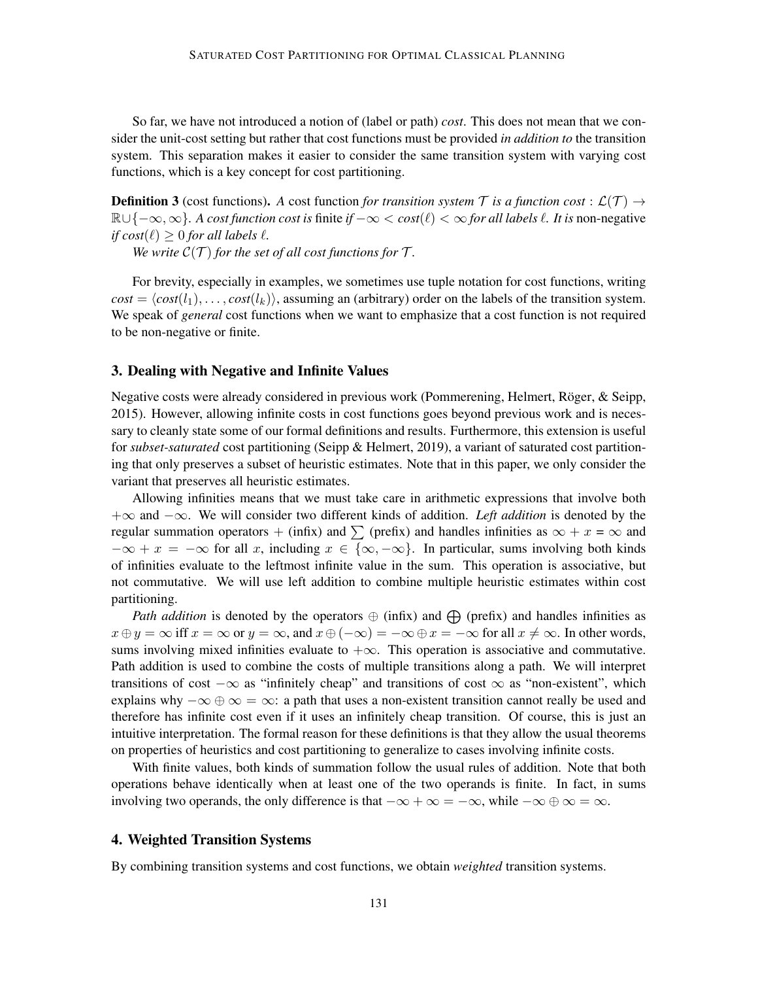So far, we have not introduced a notion of (label or path) *cost*. This does not mean that we consider the unit-cost setting but rather that cost functions must be provided *in addition to* the transition system. This separation makes it easier to consider the same transition system with varying cost functions, which is a key concept for cost partitioning.

**Definition 3** (cost functions). A cost function *for transition system* T *is a function cost* :  $\mathcal{L}(\mathcal{T}) \rightarrow$ <sup>R</sup>∪{−∞, ∞}*. A cost function cost is* finite *if* −∞ <sup>&</sup>lt; *cost*(`) <sup>&</sup>lt; <sup>∞</sup> *for all labels* `*. It is* non-negative *if cost*( $\ell$ )  $> 0$  *for all labels*  $\ell$ *.* 

*We write*  $C(T)$  *for the set of all cost functions for*  $T$ *.* 

For brevity, especially in examples, we sometimes use tuple notation for cost functions, writing  $cost = \langle cost(l_1), \ldots, cost(l_k) \rangle$ , assuming an (arbitrary) order on the labels of the transition system. We speak of *general* cost functions when we want to emphasize that a cost function is not required to be non-negative or finite.

### 3. Dealing with Negative and Infinite Values

Negative costs were already considered in previous work (Pommerening, Helmert, Röger, & Seipp, 2015). However, allowing infinite costs in cost functions goes beyond previous work and is necessary to cleanly state some of our formal definitions and results. Furthermore, this extension is useful for *subset-saturated* cost partitioning (Seipp & Helmert, 2019), a variant of saturated cost partitioning that only preserves a subset of heuristic estimates. Note that in this paper, we only consider the variant that preserves all heuristic estimates.

Allowing infinities means that we must take care in arithmetic expressions that involve both +∞ and −∞. We will consider two different kinds of addition. *Left addition* is denoted by the regular summation operators + (infix) and  $\sum$  (prefix) and handles infinities as  $\infty + x = \infty$  and  $-\infty + x = -\infty$  for all x, including  $x \in \{\infty, -\infty\}$ . In particular, sums involving both kinds of infinities evaluate to the leftmost infinite value in the sum. This operation is associative, but not commutative. We will use left addition to combine multiple heuristic estimates within cost partitioning.

*Path addition* is denoted by the operators  $\oplus$  (infix) and  $\oplus$  (prefix) and handles infinities as  $x \oplus y = \infty$  iff  $x = \infty$  or  $y = \infty$ , and  $x \oplus (-\infty) = -\infty \oplus x = -\infty$  for all  $x \neq \infty$ . In other words, sums involving mixed infinities evaluate to  $+\infty$ . This operation is associative and commutative. Path addition is used to combine the costs of multiple transitions along a path. We will interpret transitions of cost  $-\infty$  as "infinitely cheap" and transitions of cost  $\infty$  as "non-existent", which explains why  $-\infty \oplus \infty = \infty$ : a path that uses a non-existent transition cannot really be used and therefore has infinite cost even if it uses an infinitely cheap transition. Of course, this is just an intuitive interpretation. The formal reason for these definitions is that they allow the usual theorems on properties of heuristics and cost partitioning to generalize to cases involving infinite costs.

With finite values, both kinds of summation follow the usual rules of addition. Note that both operations behave identically when at least one of the two operands is finite. In fact, in sums involving two operands, the only difference is that  $-\infty + \infty = -\infty$ , while  $-\infty \oplus \infty = \infty$ .

#### 4. Weighted Transition Systems

By combining transition systems and cost functions, we obtain *weighted* transition systems.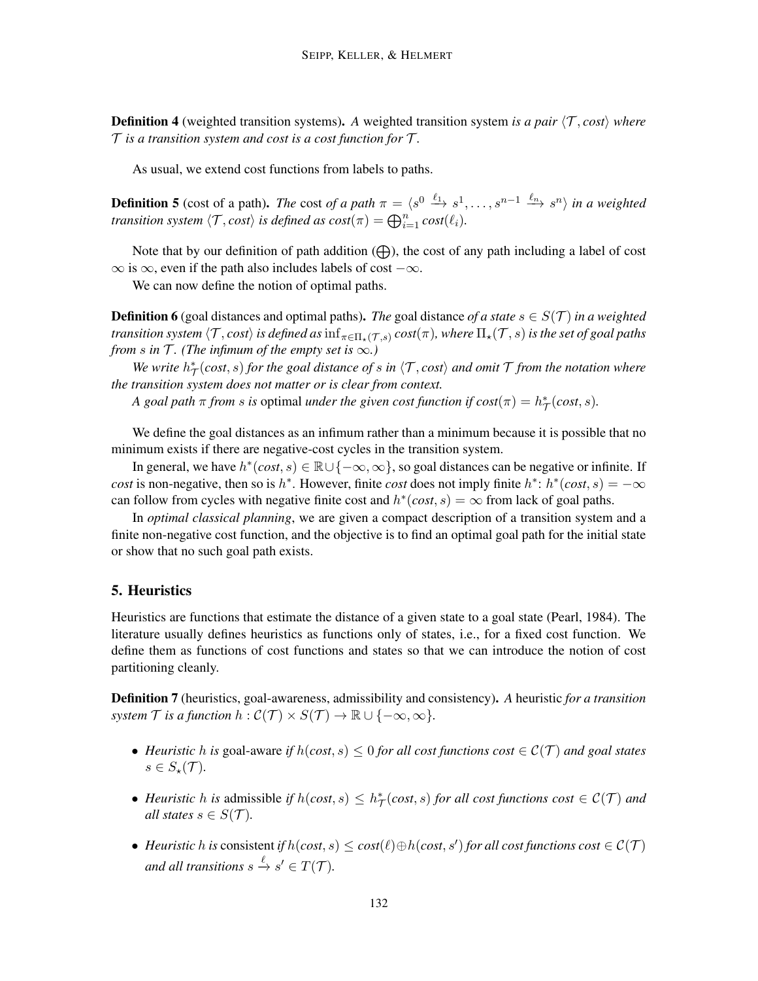**Definition 4** (weighted transition systems). A weighted transition system *is a pair*  $\langle T, cost \rangle$  *where*  $\mathcal T$  *is a transition system and cost is a cost function for*  $\mathcal T$ *.* 

As usual, we extend cost functions from labels to paths.

**Definition 5** (cost of a path). *The* cost *of a path*  $\pi = \langle s^0 \xrightarrow{\ell_1} s^1, \ldots, s^{n-1} \xrightarrow{\ell_n} s^n \rangle$  *in a weighted transition system*  $\langle \mathcal{T}, cost \rangle$  *is defined as*  $cost(\pi) = \bigoplus_{i=1}^{n} cost(\ell_i)$ *.* 

Note that by our definition of path addition  $(\bigoplus)$ , the cost of any path including a label of cost  $\infty$  is  $\infty$ , even if the path also includes labels of cost  $-\infty$ .

We can now define the notion of optimal paths.

**Definition 6** (goal distances and optimal paths). *The* goal distance *of a state*  $s \in S(\mathcal{T})$  *in a weighted transition system*  $\langle \mathcal{T}, cost \rangle$  *is defined as*  $\inf_{\pi \in \Pi_{\star}(\mathcal{T},s)} cost(\pi)$ *, where*  $\Pi_{\star}(\mathcal{T},s)$  *is the set of goal paths from s* in  $\mathcal{T}$ *. (The infimum of the empty set is*  $\infty$ *)* 

We write  $h^*_{\mathcal{T}}(cost, s)$  for the goal distance of s in  $\langle \mathcal{T}, cost \rangle$  and omit  $\mathcal{T}$  from the notation where *the transition system does not matter or is clear from context.*

*A* goal path  $\pi$  from *s* is optimal *under the given cost function if cost*( $\pi$ ) =  $h^*_{\mathcal{T}}(cost, s)$ .

We define the goal distances as an infimum rather than a minimum because it is possible that no minimum exists if there are negative-cost cycles in the transition system.

In general, we have  $h^*(cost, s) \in \mathbb{R} \cup \{-\infty, \infty\}$ , so goal distances can be negative or infinite. If *cost* is non-negative, then so is  $h^*$ . However, finite *cost* does not imply finite  $h^*$ :  $h^*(cost, s) = -\infty$ can follow from cycles with negative finite cost and  $h^*(cost, s) = \infty$  from lack of goal paths.

In *optimal classical planning*, we are given a compact description of a transition system and a finite non-negative cost function, and the objective is to find an optimal goal path for the initial state or show that no such goal path exists.

#### 5. Heuristics

Heuristics are functions that estimate the distance of a given state to a goal state (Pearl, 1984). The literature usually defines heuristics as functions only of states, i.e., for a fixed cost function. We define them as functions of cost functions and states so that we can introduce the notion of cost partitioning cleanly.

Definition 7 (heuristics, goal-awareness, admissibility and consistency). *A* heuristic *for a transition system*  $\mathcal T$  *is a function*  $h : \mathcal C(\mathcal T) \times S(\mathcal T) \to \mathbb R \cup \{-\infty, \infty\}.$ 

- *Heuristic* h *is* goal-aware *if*  $h(\text{cost}, s) \leq 0$  *for all cost functions cost*  $\in \mathcal{C}(\mathcal{T})$  *and goal states*  $s \in S_\star(\mathcal{T})$ .
- *Heuristic* h *is* admissible *if*  $h(cost, s) \leq h^*_{\mathcal{T}}(cost, s)$  *for all cost functions cost*  $\in \mathcal{C}(\mathcal{T})$  *and all states*  $s \in S(\mathcal{T})$ *.*
- *Heuristic* h *is* consistent *if*  $h(cost, s) ≤ cost(l) ⊕ h(cost, s')$  *for all cost functions cost*  $∈ C(T)$ and all transitions  $s \xrightarrow{\ell} s' \in T(\mathcal{T})$ .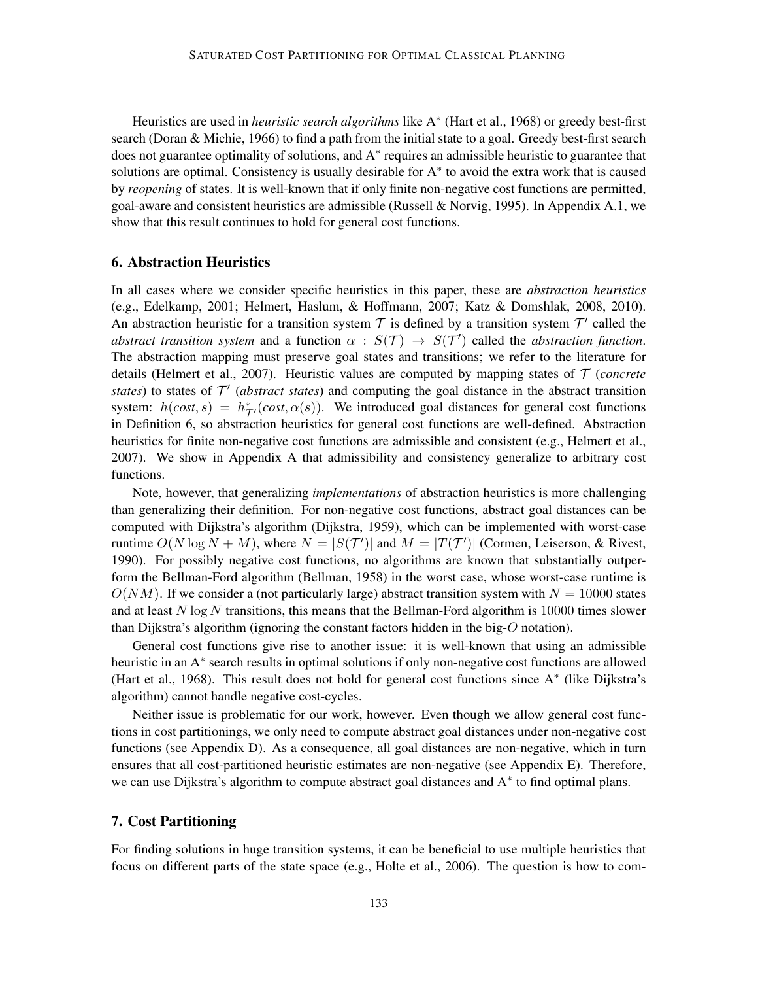Heuristics are used in *heuristic search algorithms* like A<sup>∗</sup> (Hart et al., 1968) or greedy best-first search (Doran & Michie, 1966) to find a path from the initial state to a goal. Greedy best-first search does not guarantee optimality of solutions, and A<sup>∗</sup> requires an admissible heuristic to guarantee that solutions are optimal. Consistency is usually desirable for A<sup>∗</sup> to avoid the extra work that is caused by *reopening* of states. It is well-known that if only finite non-negative cost functions are permitted, goal-aware and consistent heuristics are admissible (Russell & Norvig, 1995). In Appendix A.1, we show that this result continues to hold for general cost functions.

#### 6. Abstraction Heuristics

In all cases where we consider specific heuristics in this paper, these are *abstraction heuristics* (e.g., Edelkamp, 2001; Helmert, Haslum, & Hoffmann, 2007; Katz & Domshlak, 2008, 2010). An abstraction heuristic for a transition system  $\mathcal T$  is defined by a transition system  $\mathcal T'$  called the *abstract transition system* and a function  $\alpha$  :  $S(\mathcal{T}) \rightarrow S(\mathcal{T}')$  called the *abstraction function*. The abstraction mapping must preserve goal states and transitions; we refer to the literature for details (Helmert et al., 2007). Heuristic values are computed by mapping states of T (*concrete states*) to states of  $T'$  (*abstract states*) and computing the goal distance in the abstract transition system:  $h(cost, s) = h^*_{\mathcal{T}'}(cost, \alpha(s))$ . We introduced goal distances for general cost functions in Definition 6, so abstraction heuristics for general cost functions are well-defined. Abstraction heuristics for finite non-negative cost functions are admissible and consistent (e.g., Helmert et al., 2007). We show in Appendix A that admissibility and consistency generalize to arbitrary cost functions.

Note, however, that generalizing *implementations* of abstraction heuristics is more challenging than generalizing their definition. For non-negative cost functions, abstract goal distances can be computed with Dijkstra's algorithm (Dijkstra, 1959), which can be implemented with worst-case runtime  $O(N \log N + M)$ , where  $N = |S(\mathcal{T}')|$  and  $M = |T(\mathcal{T}')|$  (Cormen, Leiserson, & Rivest, 1990). For possibly negative cost functions, no algorithms are known that substantially outperform the Bellman-Ford algorithm (Bellman, 1958) in the worst case, whose worst-case runtime is  $O(NM)$ . If we consider a (not particularly large) abstract transition system with  $N = 10000$  states and at least  $N \log N$  transitions, this means that the Bellman-Ford algorithm is 10000 times slower than Dijkstra's algorithm (ignoring the constant factors hidden in the big-O notation).

General cost functions give rise to another issue: it is well-known that using an admissible heuristic in an A<sup>∗</sup> search results in optimal solutions if only non-negative cost functions are allowed (Hart et al., 1968). This result does not hold for general cost functions since A<sup>∗</sup> (like Dijkstra's algorithm) cannot handle negative cost-cycles.

Neither issue is problematic for our work, however. Even though we allow general cost functions in cost partitionings, we only need to compute abstract goal distances under non-negative cost functions (see Appendix D). As a consequence, all goal distances are non-negative, which in turn ensures that all cost-partitioned heuristic estimates are non-negative (see Appendix E). Therefore, we can use Dijkstra's algorithm to compute abstract goal distances and A<sup>\*</sup> to find optimal plans.

# 7. Cost Partitioning

For finding solutions in huge transition systems, it can be beneficial to use multiple heuristics that focus on different parts of the state space (e.g., Holte et al., 2006). The question is how to com-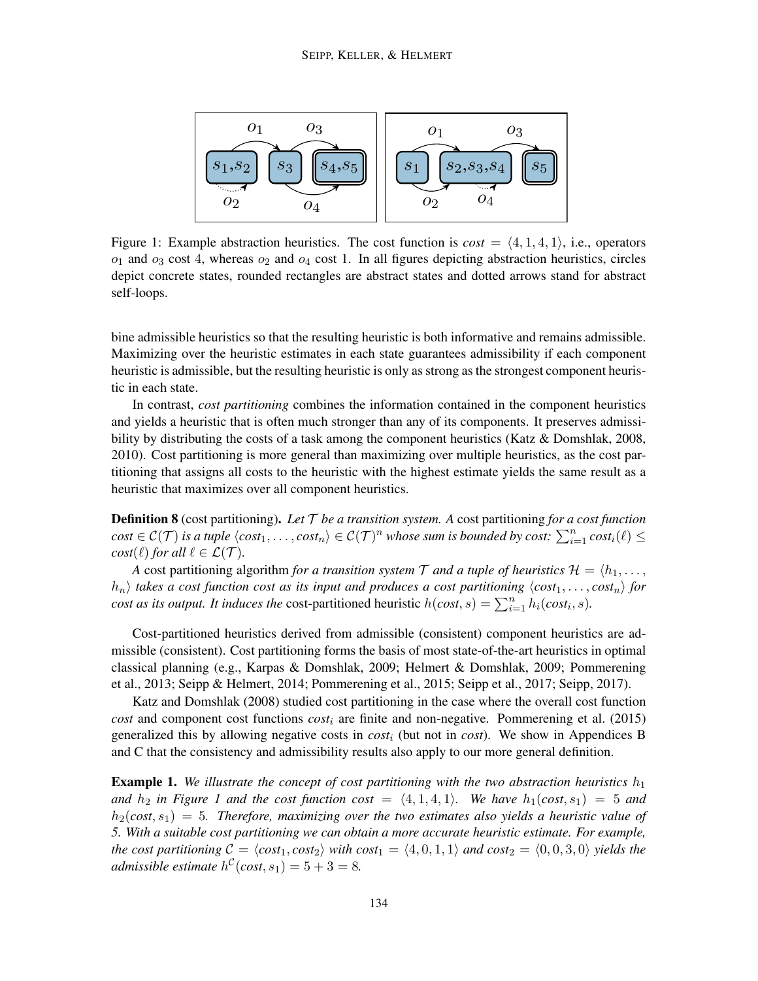

Figure 1: Example abstraction heuristics. The cost function is  $cost = \langle 4, 1, 4, 1 \rangle$ , i.e., operators  $o_1$  and  $o_3$  cost 4, whereas  $o_2$  and  $o_4$  cost 1. In all figures depicting abstraction heuristics, circles depict concrete states, rounded rectangles are abstract states and dotted arrows stand for abstract self-loops.

bine admissible heuristics so that the resulting heuristic is both informative and remains admissible. Maximizing over the heuristic estimates in each state guarantees admissibility if each component heuristic is admissible, but the resulting heuristic is only as strong as the strongest component heuristic in each state.

In contrast, *cost partitioning* combines the information contained in the component heuristics and yields a heuristic that is often much stronger than any of its components. It preserves admissibility by distributing the costs of a task among the component heuristics (Katz & Domshlak, 2008, 2010). Cost partitioning is more general than maximizing over multiple heuristics, as the cost partitioning that assigns all costs to the heuristic with the highest estimate yields the same result as a heuristic that maximizes over all component heuristics.

Definition 8 (cost partitioning). *Let* T *be a transition system. A* cost partitioning *for a cost function*  $cost \in \mathcal{C}(\mathcal{T})$  *is a tuple*  $\langle cost_1, \ldots, cost_n \rangle \in \mathcal{C}(\mathcal{T})^n$  *whose sum is bounded by cost:*  $\sum_{i=1}^n cost_i(\ell) \leq$ *cost*( $\ell$ ) *for all*  $\ell \in \mathcal{L}(\mathcal{T})$ *.* 

*A* cost partitioning algorithm *for a transition system*  $\mathcal T$  *and a tuple of heuristics*  $\mathcal H = \langle h_1, \ldots, h_n \rangle$  $\langle h_n \rangle$  *takes a cost function cost as its input and produces a cost partitioning*  $\langle cost_1, \ldots, cost_n \rangle$  *for cost as its output. It induces the* cost-partitioned heuristic  $h(cost, s) = \sum_{i=1}^{n} h_i(cost_i, s)$ .

Cost-partitioned heuristics derived from admissible (consistent) component heuristics are admissible (consistent). Cost partitioning forms the basis of most state-of-the-art heuristics in optimal classical planning (e.g., Karpas & Domshlak, 2009; Helmert & Domshlak, 2009; Pommerening et al., 2013; Seipp & Helmert, 2014; Pommerening et al., 2015; Seipp et al., 2017; Seipp, 2017).

Katz and Domshlak (2008) studied cost partitioning in the case where the overall cost function *cost* and component cost functions *cost*<sup>i</sup> are finite and non-negative. Pommerening et al. (2015) generalized this by allowing negative costs in  $cost_i$  (but not in *cost*). We show in Appendices B and C that the consistency and admissibility results also apply to our more general definition.

**Example 1.** We illustrate the concept of cost partitioning with the two abstraction heuristics  $h_1$ *and*  $h_2$  *in Figure 1 and the cost function cost* =  $\langle 4, 1, 4, 1 \rangle$ *. We have*  $h_1(cost, s_1) = 5$  *and*  $h_2(cost, s_1) = 5$ . Therefore, maximizing over the two estimates also yields a heuristic value of *5. With a suitable cost partitioning we can obtain a more accurate heuristic estimate. For example, the cost partitioning*  $C = \langle cost_1, cost_2 \rangle$  *with cost*<sub>1</sub> =  $\langle 4, 0, 1, 1 \rangle$  *and cost*<sub>2</sub> =  $\langle 0, 0, 3, 0 \rangle$  *yields the admissible estimate*  $h^{\mathcal{C}}(cost, s_1) = 5 + 3 = 8$ *.*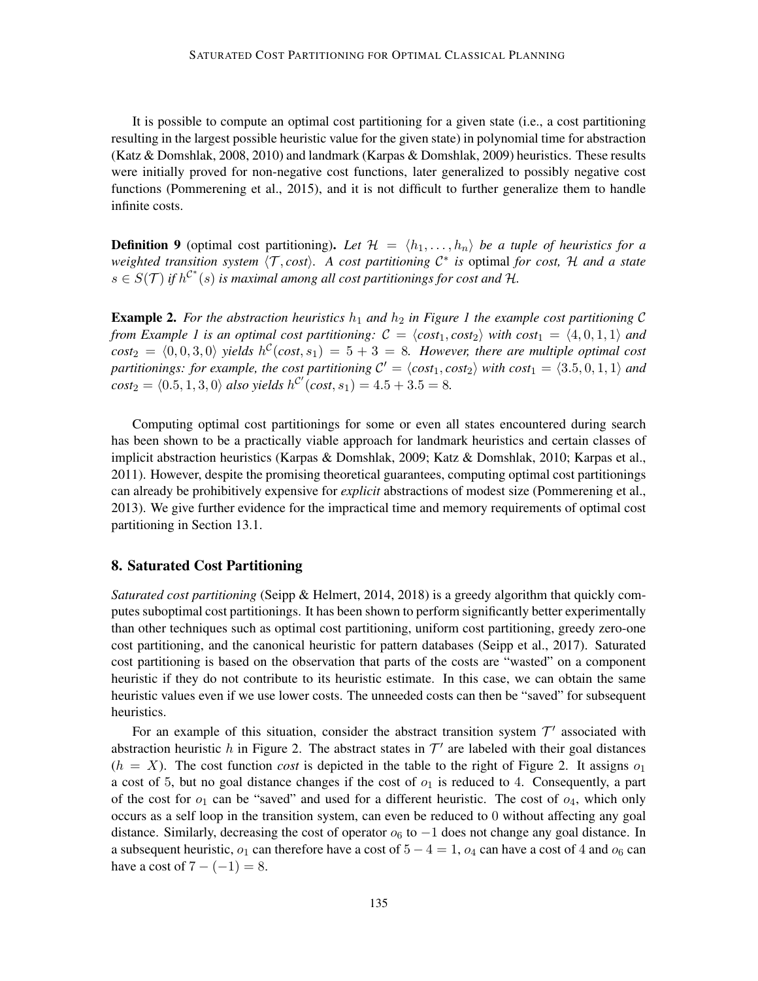It is possible to compute an optimal cost partitioning for a given state (i.e., a cost partitioning resulting in the largest possible heuristic value for the given state) in polynomial time for abstraction (Katz & Domshlak, 2008, 2010) and landmark (Karpas & Domshlak, 2009) heuristics. These results were initially proved for non-negative cost functions, later generalized to possibly negative cost functions (Pommerening et al., 2015), and it is not difficult to further generalize them to handle infinite costs.

**Definition 9** (optimal cost partitioning). Let  $\mathcal{H} = \langle h_1, \ldots, h_n \rangle$  be a tuple of heuristics for a *weighted transition system*  $\langle T, cost \rangle$ . A cost partitioning  $C^*$  is optimal for cost, H and a state  $s \in S(\mathcal{T})$  *if*  $h^{\mathcal{C}^*}(s)$  *is maximal among all cost partitionings for cost and*  $\mathcal{H}$ *.* 

**Example 2.** For the abstraction heuristics  $h_1$  and  $h_2$  in Figure 1 the example cost partitioning C *from Example 1 is an optimal cost partitioning:*  $C = \langle \text{cost}_1, \text{cost}_2 \rangle$  with  $\text{cost}_1 = \langle 4, 0, 1, 1 \rangle$  and  $cost_2 = \langle 0, 0, 3, 0 \rangle$  yields  $h^{\mathcal{C}}(cost, s_1) = 5 + 3 = 8$ *. However, there are multiple optimal cost* partitionings: for example, the cost partitioning  $C' = \langle cost_1, cost_2 \rangle$  with  $cost_1 = \langle 3.5, 0, 1, 1 \rangle$  and  $cost_2 = \langle 0.5, 1, 3, 0 \rangle$  *also yields*  $h^{\mathcal{C}'}(cost, s_1) = 4.5 + 3.5 = 8.$ 

Computing optimal cost partitionings for some or even all states encountered during search has been shown to be a practically viable approach for landmark heuristics and certain classes of implicit abstraction heuristics (Karpas & Domshlak, 2009; Katz & Domshlak, 2010; Karpas et al., 2011). However, despite the promising theoretical guarantees, computing optimal cost partitionings can already be prohibitively expensive for *explicit* abstractions of modest size (Pommerening et al., 2013). We give further evidence for the impractical time and memory requirements of optimal cost partitioning in Section 13.1.

### 8. Saturated Cost Partitioning

*Saturated cost partitioning* (Seipp & Helmert, 2014, 2018) is a greedy algorithm that quickly computes suboptimal cost partitionings. It has been shown to perform significantly better experimentally than other techniques such as optimal cost partitioning, uniform cost partitioning, greedy zero-one cost partitioning, and the canonical heuristic for pattern databases (Seipp et al., 2017). Saturated cost partitioning is based on the observation that parts of the costs are "wasted" on a component heuristic if they do not contribute to its heuristic estimate. In this case, we can obtain the same heuristic values even if we use lower costs. The unneeded costs can then be "saved" for subsequent heuristics.

For an example of this situation, consider the abstract transition system  $\mathcal{T}'$  associated with abstraction heuristic h in Figure 2. The abstract states in  $\mathcal{T}'$  are labeled with their goal distances  $(h = X)$ . The cost function *cost* is depicted in the table to the right of Figure 2. It assigns  $o<sub>1</sub>$ a cost of 5, but no goal distance changes if the cost of  $o<sub>1</sub>$  is reduced to 4. Consequently, a part of the cost for  $o_1$  can be "saved" and used for a different heuristic. The cost of  $o_4$ , which only occurs as a self loop in the transition system, can even be reduced to 0 without affecting any goal distance. Similarly, decreasing the cost of operator  $o_6$  to  $-1$  does not change any goal distance. In a subsequent heuristic,  $o_1$  can therefore have a cost of  $5 - 4 = 1$ ,  $o_4$  can have a cost of 4 and  $o_6$  can have a cost of  $7 - (-1) = 8$ .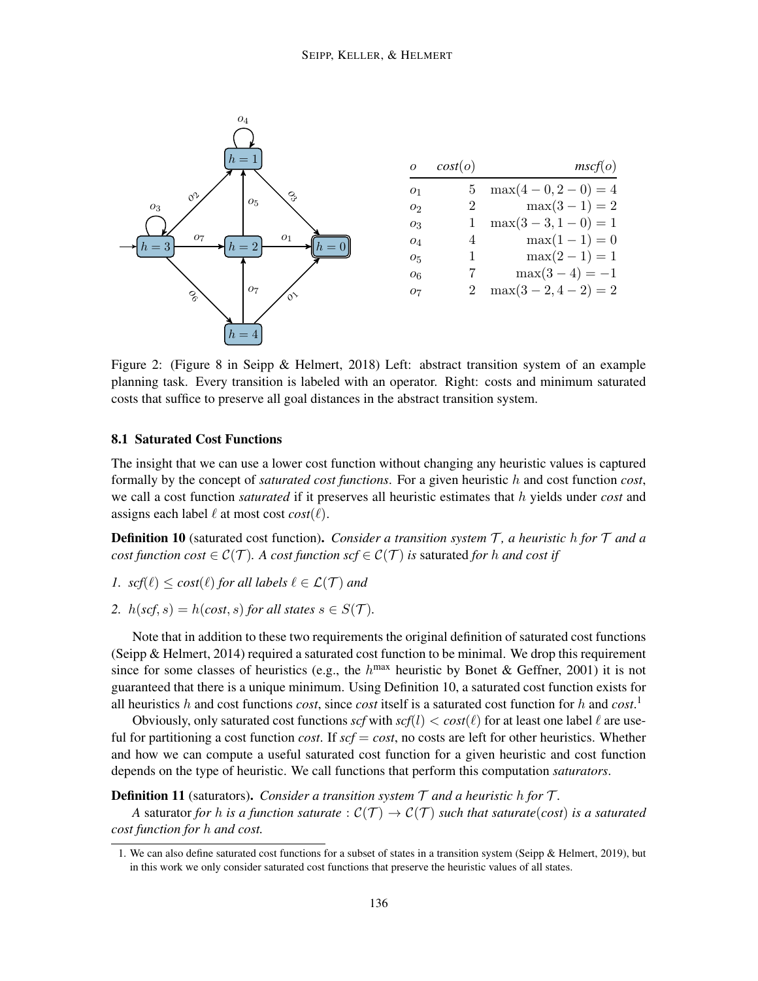

Figure 2: (Figure 8 in Seipp & Helmert, 2018) Left: abstract transition system of an example planning task. Every transition is labeled with an operator. Right: costs and minimum saturated costs that suffice to preserve all goal distances in the abstract transition system.

### 8.1 Saturated Cost Functions

The insight that we can use a lower cost function without changing any heuristic values is captured formally by the concept of *saturated cost functions*. For a given heuristic h and cost function *cost*, we call a cost function *saturated* if it preserves all heuristic estimates that h yields under *cost* and assigns each label  $\ell$  at most cost  $cost(\ell)$ .

**Definition 10** (saturated cost function). *Consider a transition system* T, a heuristic h for T and a *cost function cost*  $\in \mathcal{C}(\mathcal{T})$ *. A cost function scf*  $\in \mathcal{C}(\mathcal{T})$  *is saturated for h and cost if* 

- *1.*  $\text{scf}(\ell) \leq \text{cost}(\ell)$  *for all labels*  $\ell \in \mathcal{L}(\mathcal{T})$  *and*
- 2.  $h(scf, s) = h(cost, s)$  *for all states*  $s \in S(\mathcal{T})$ *.*

Note that in addition to these two requirements the original definition of saturated cost functions (Seipp & Helmert, 2014) required a saturated cost function to be minimal. We drop this requirement since for some classes of heuristics (e.g., the  $h^{\text{max}}$  heuristic by Bonet & Geffner, 2001) it is not guaranteed that there is a unique minimum. Using Definition 10, a saturated cost function exists for all heuristics h and cost functions *cost*, since *cost* itself is a saturated cost function for h and *cost*. 1

Obviously, only saturated cost functions  $\text{scf}$  with  $\text{scf}(l) < \text{cos}t(\ell)$  for at least one label  $\ell$  are useful for partitioning a cost function *cost*. If  $\mathit{scf} = \mathit{cost}$ , no costs are left for other heuristics. Whether and how we can compute a useful saturated cost function for a given heuristic and cost function depends on the type of heuristic. We call functions that perform this computation *saturators*.

#### **Definition 11** (saturators). *Consider a transition system*  $\mathcal T$  *and a heuristic h for*  $\mathcal T$ *.*

*A* saturator *for* h *is a function saturate* :  $C(\mathcal{T}) \to C(\mathcal{T})$  *such that saturate*(*cost*) *is a saturated cost function for* h *and cost.*

<sup>1.</sup> We can also define saturated cost functions for a subset of states in a transition system (Seipp & Helmert, 2019), but in this work we only consider saturated cost functions that preserve the heuristic values of all states.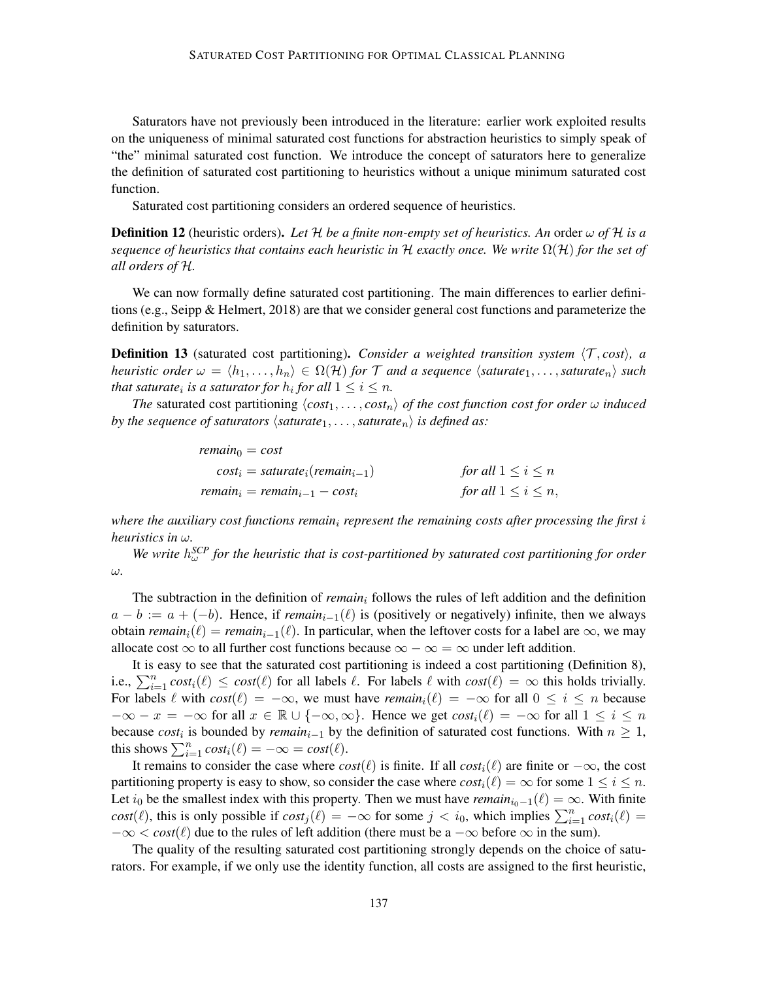Saturators have not previously been introduced in the literature: earlier work exploited results on the uniqueness of minimal saturated cost functions for abstraction heuristics to simply speak of "the" minimal saturated cost function. We introduce the concept of saturators here to generalize the definition of saturated cost partitioning to heuristics without a unique minimum saturated cost function.

Saturated cost partitioning considers an ordered sequence of heuristics.

**Definition 12** (heuristic orders). Let  $H$  be a finite non-empty set of heuristics. An order  $\omega$  of  $H$  is a *sequence of heuristics that contains each heuristic in* H *exactly once. We write* Ω(H) *for the set of all orders of* H*.*

We can now formally define saturated cost partitioning. The main differences to earlier definitions (e.g., Seipp & Helmert, 2018) are that we consider general cost functions and parameterize the definition by saturators.

**Definition 13** (saturated cost partitioning). *Consider a weighted transition system*  $\langle T, cost \rangle$ , a *heuristic order*  $\omega = \langle h_1, \ldots, h_n \rangle \in \Omega(H)$  *for*  $\mathcal T$  *and a sequence*  $\langle$ *saturate*<sub>1</sub>, ..., *saturate*<sub>n</sub> $\rangle$  *such that saturate<sub>i</sub> is a saturator for*  $h_i$  *for all*  $1 \leq i \leq n$ *.* 

*The* saturated cost partitioning  $\langle cost_1, \ldots, cost_n \rangle$  *of the cost function cost for order*  $\omega$  *induced by the sequence of saturators*  $\langle$ *saturate*<sub>1</sub>, . . . , *saturate*<sub>n</sub> $\rangle$  *is defined as:* 

$$
remain_0 = cost
$$
  
\n
$$
cost_i = saturate_i(remain_{i-1})
$$
 for all  $1 \le i \le n$   
\n
$$
remain_i = remain_{i-1} - cost_i
$$
 for all  $1 \le i \le n$ ,

*where the auxiliary cost functions remain*<sup>i</sup> *represent the remaining costs after processing the first* i *heuristics in* ω*.*

*We write*  $h_{\omega}^{SCP}$  *for the heuristic that is cost-partitioned by saturated cost partitioning for order* ω*.*

The subtraction in the definition of *remain*<sub>i</sub> follows the rules of left addition and the definition  $a - b := a + (-b)$ . Hence, if *remain*<sub>i-1</sub>( $\ell$ ) is (positively or negatively) infinite, then we always obtain *remain<sub>i</sub>*( $\ell$ ) = *remain<sub>i−1</sub>*( $\ell$ ). In particular, when the leftover costs for a label are  $\infty$ , we may allocate cost  $\infty$  to all further cost functions because  $\infty - \infty = \infty$  under left addition.

It is easy to see that the saturated cost partitioning is indeed a cost partitioning (Definition 8), i.e.,  $\sum_{i=1}^n cost_i(\ell) \leq cost(\ell)$  for all labels  $\ell$ . For labels  $\ell$  with  $cost(\ell) = \infty$  this holds trivially. For labels  $\ell$  with  $cost(\ell) = -\infty$ , we must have *remain*<sub>i</sub> $(\ell) = -\infty$  for all  $0 \le i \le n$  because  $-\infty - x = -\infty$  for all  $x \in \mathbb{R} \cup \{-\infty, \infty\}$ . Hence we get  $cost_i(\ell) = -\infty$  for all  $1 \leq i \leq n$ because  $cost_i$  is bounded by  $remain_{i-1}$  by the definition of saturated cost functions. With  $n \geq 1$ , this shows  $\sum_{i=1}^{n} cost_i(\ell) = -\infty = cost(\ell).$ 

It remains to consider the case where  $cost(\ell)$  is finite. If all  $cost_i(\ell)$  are finite or  $-\infty$ , the cost partitioning property is easy to show, so consider the case where  $cost_i(\ell) = \infty$  for some  $1 \leq i \leq n$ . Let  $i_0$  be the smallest index with this property. Then we must have *remain*<sub>i0</sub>−1( $\ell$ ) = ∞. With finite *cost*( $\ell$ ), this is only possible if  $cost_j(\ell) = -\infty$  for some  $j < i_0$ , which implies  $\sum_{i=1}^n cost_i(\ell) =$  $-\infty < \text{cost}(\ell)$  due to the rules of left addition (there must be a  $-\infty$  before  $\infty$  in the sum).

The quality of the resulting saturated cost partitioning strongly depends on the choice of saturators. For example, if we only use the identity function, all costs are assigned to the first heuristic,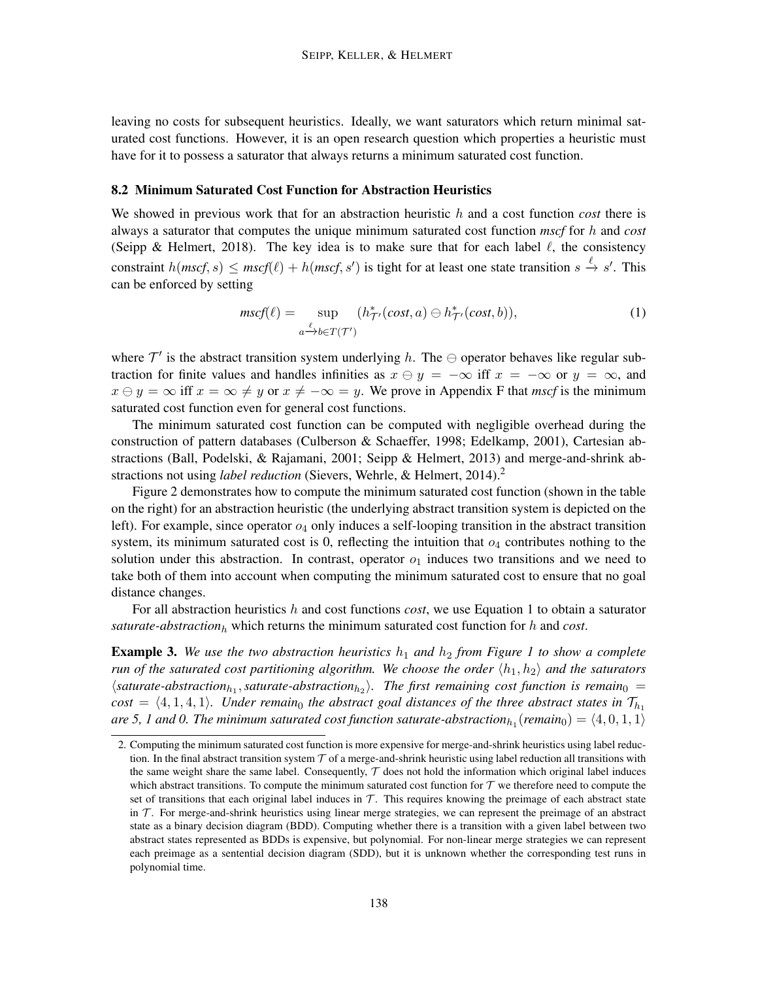leaving no costs for subsequent heuristics. Ideally, we want saturators which return minimal saturated cost functions. However, it is an open research question which properties a heuristic must have for it to possess a saturator that always returns a minimum saturated cost function.

#### 8.2 Minimum Saturated Cost Function for Abstraction Heuristics

We showed in previous work that for an abstraction heuristic h and a cost function *cost* there is always a saturator that computes the unique minimum saturated cost function *mscf* for h and *cost* (Seipp & Helmert, 2018). The key idea is to make sure that for each label  $\ell$ , the consistency constraint  $h(mscf, s) \leq mscf(\ell) + h(mscf, s')$  is tight for at least one state transition  $s \stackrel{\ell}{\to} s'$ . This can be enforced by setting

$$
mscf(\ell) = \sup_{a \xrightarrow{\ell} b \in T(\mathcal{T}')} (h_{\mathcal{T}'}^*(cost, a) \ominus h_{\mathcal{T}'}^*(cost, b)),
$$
\n(1)

where  $\mathcal{T}'$  is the abstract transition system underlying h. The  $\ominus$  operator behaves like regular subtraction for finite values and handles infinities as  $x \ominus y = -\infty$  iff  $x = -\infty$  or  $y = \infty$ , and  $x \ominus y = \infty$  iff  $x = \infty \neq y$  or  $x \neq -\infty = y$ . We prove in Appendix F that *mscf* is the minimum saturated cost function even for general cost functions.

The minimum saturated cost function can be computed with negligible overhead during the construction of pattern databases (Culberson & Schaeffer, 1998; Edelkamp, 2001), Cartesian abstractions (Ball, Podelski, & Rajamani, 2001; Seipp & Helmert, 2013) and merge-and-shrink abstractions not using *label reduction* (Sievers, Wehrle, & Helmert, 2014).<sup>2</sup>

Figure 2 demonstrates how to compute the minimum saturated cost function (shown in the table on the right) for an abstraction heuristic (the underlying abstract transition system is depicted on the left). For example, since operator  $o_4$  only induces a self-looping transition in the abstract transition system, its minimum saturated cost is 0, reflecting the intuition that  $o_4$  contributes nothing to the solution under this abstraction. In contrast, operator  $o<sub>1</sub>$  induces two transitions and we need to take both of them into account when computing the minimum saturated cost to ensure that no goal distance changes.

For all abstraction heuristics h and cost functions *cost*, we use Equation 1 to obtain a saturator *saturate-abstraction*<sub>h</sub> which returns the minimum saturated cost function for h and *cost*.

**Example 3.** We use the two abstraction heuristics  $h_1$  and  $h_2$  from Figure 1 to show a complete *run of the saturated cost partitioning algorithm. We choose the order*  $\langle h_1, h_2 \rangle$  *and the saturators*  $\langle$ saturate-abstraction<sub>h1</sub>, saturate-abstraction<sub>h2</sub> $\rangle$ . The first remaining cost function is remain<sub>0</sub> =  $cost = \langle 4, 1, 4, 1 \rangle$ *. Under remain*<sub>0</sub> *the abstract goal distances of the three abstract states in*  $\mathcal{T}_{h_1}$ are 5, 1 and 0. The minimum saturated cost function saturate-abstraction $_{h_1}$ (remain $_0) = \langle 4, 0, 1, 1\rangle$ 

<sup>2.</sup> Computing the minimum saturated cost function is more expensive for merge-and-shrink heuristics using label reduction. In the final abstract transition system  $\mathcal T$  of a merge-and-shrink heuristic using label reduction all transitions with the same weight share the same label. Consequently,  $\mathcal T$  does not hold the information which original label induces which abstract transitions. To compute the minimum saturated cost function for  $T$  we therefore need to compute the set of transitions that each original label induces in  $T$ . This requires knowing the preimage of each abstract state in  $\mathcal T$ . For merge-and-shrink heuristics using linear merge strategies, we can represent the preimage of an abstract state as a binary decision diagram (BDD). Computing whether there is a transition with a given label between two abstract states represented as BDDs is expensive, but polynomial. For non-linear merge strategies we can represent each preimage as a sentential decision diagram (SDD), but it is unknown whether the corresponding test runs in polynomial time.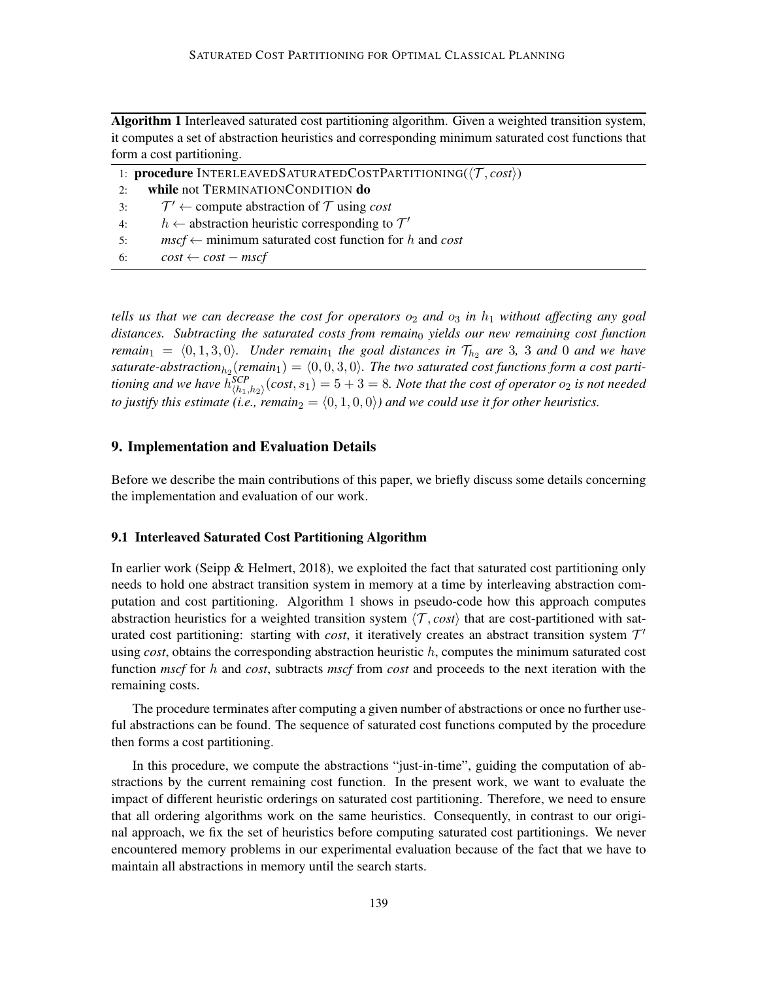Algorithm 1 Interleaved saturated cost partitioning algorithm. Given a weighted transition system, it computes a set of abstraction heuristics and corresponding minimum saturated cost functions that form a cost partitioning.

|    | 1: <b>procedure</b> INTERLEAVEDSATURATEDCOSTPARTITIONING( $\langle T, cost \rangle$ ) |
|----|---------------------------------------------------------------------------------------|
| 2: | while not TERMINATIONCONDITION do                                                     |
|    | 3: $\mathcal{T}' \leftarrow$ compute abstraction of $\mathcal{T}$ using <i>cost</i>   |
| 4: | $h \leftarrow$ abstraction heuristic corresponding to $\mathcal{T}'$                  |
| 5: | $mscf \leftarrow$ minimum saturated cost function for h and cost                      |
| 6: | $cost \leftarrow cost - mscf$                                                         |

*tells us that we can decrease the cost for operators*  $o_2$  *and*  $o_3$  *in*  $h_1$  *without affecting any goal distances. Subtracting the saturated costs from remain*<sup>0</sup> *yields our new remaining cost function remain*<sub>1</sub> =  $\langle 0, 1, 3, 0 \rangle$ *. Under remain*<sub>1</sub> *the goal distances in*  $\mathcal{T}_{h_2}$  *are* 3*,* 3 *and* 0 *and we have* saturate-abstraction<sub>h2</sub>(remain<sub>1</sub>) =  $\langle 0, 0, 3, 0 \rangle$ . The two saturated cost functions form a cost parti*tioning and we have*  $h_{\langle h_1,h_2\rangle}^{SCP}(\text{cost},s_1)=5+3=8.$  *Note that the cost of operator*  $o_2$  *is not needed to justify this estimate (i.e., remain*<sub>2</sub> =  $\langle 0, 1, 0, 0 \rangle$ *) and we could use it for other heuristics.* 

# 9. Implementation and Evaluation Details

Before we describe the main contributions of this paper, we briefly discuss some details concerning the implementation and evaluation of our work.

### 9.1 Interleaved Saturated Cost Partitioning Algorithm

In earlier work (Seipp & Helmert, 2018), we exploited the fact that saturated cost partitioning only needs to hold one abstract transition system in memory at a time by interleaving abstraction computation and cost partitioning. Algorithm 1 shows in pseudo-code how this approach computes abstraction heuristics for a weighted transition system  $\langle \mathcal{T}, cost \rangle$  that are cost-partitioned with saturated cost partitioning: starting with *cost*, it iteratively creates an abstract transition system  $T'$ using *cost*, obtains the corresponding abstraction heuristic h, computes the minimum saturated cost function *mscf* for h and *cost*, subtracts *mscf* from *cost* and proceeds to the next iteration with the remaining costs.

The procedure terminates after computing a given number of abstractions or once no further useful abstractions can be found. The sequence of saturated cost functions computed by the procedure then forms a cost partitioning.

In this procedure, we compute the abstractions "just-in-time", guiding the computation of abstractions by the current remaining cost function. In the present work, we want to evaluate the impact of different heuristic orderings on saturated cost partitioning. Therefore, we need to ensure that all ordering algorithms work on the same heuristics. Consequently, in contrast to our original approach, we fix the set of heuristics before computing saturated cost partitionings. We never encountered memory problems in our experimental evaluation because of the fact that we have to maintain all abstractions in memory until the search starts.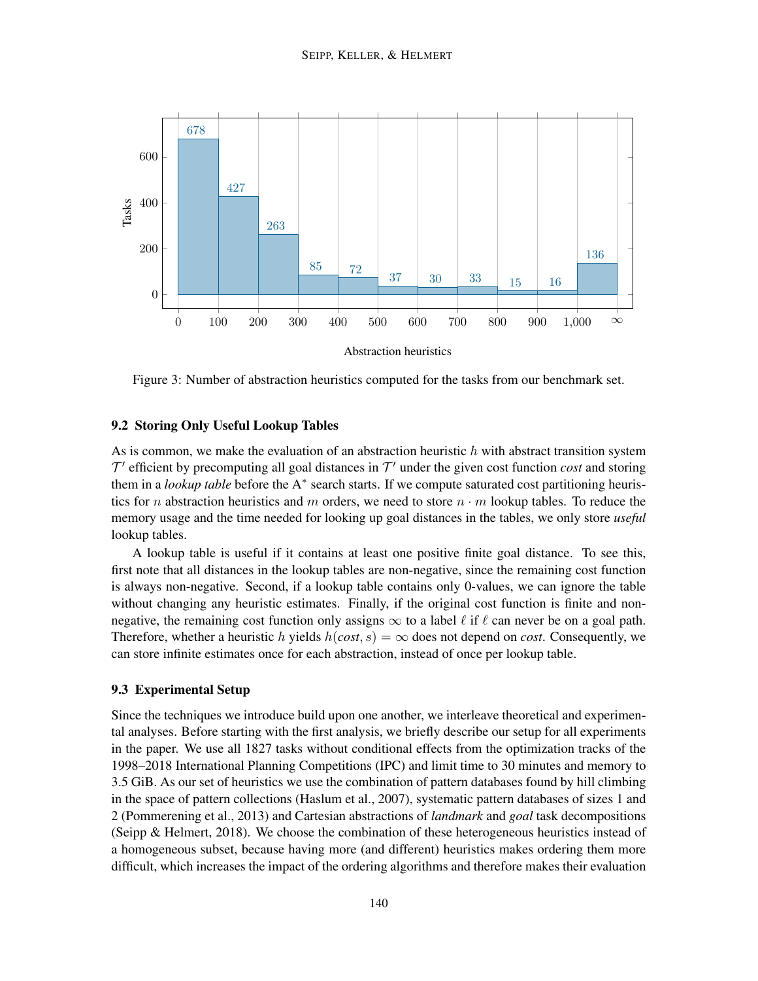

Figure 3: Number of abstraction heuristics computed for the tasks from our benchmark set.

# 9.2 Storing Only Useful Lookup Tables

As is common, we make the evaluation of an abstraction heuristic  $h$  with abstract transition system  $T'$  efficient by precomputing all goal distances in  $T'$  under the given cost function *cost* and storing them in a *lookup table* before the A<sup>∗</sup> search starts. If we compute saturated cost partitioning heuristics for n abstraction heuristics and m orders, we need to store  $n \cdot m$  lookup tables. To reduce the memory usage and the time needed for looking up goal distances in the tables, we only store *useful* lookup tables.

A lookup table is useful if it contains at least one positive finite goal distance. To see this, first note that all distances in the lookup tables are non-negative, since the remaining cost function is always non-negative. Second, if a lookup table contains only 0-values, we can ignore the table without changing any heuristic estimates. Finally, if the original cost function is finite and nonnegative, the remaining cost function only assigns  $\infty$  to a label  $\ell$  if  $\ell$  can never be on a goal path. Therefore, whether a heuristic h yields  $h(cost, s) = \infty$  does not depend on *cost*. Consequently, we can store infinite estimates once for each abstraction, instead of once per lookup table.

# 9.3 Experimental Setup

Since the techniques we introduce build upon one another, we interleave theoretical and experimental analyses. Before starting with the first analysis, we briefly describe our setup for all experiments in the paper. We use all 1827 tasks without conditional effects from the optimization tracks of the 1998–2018 International Planning Competitions (IPC) and limit time to 30 minutes and memory to 3.5 GiB. As our set of heuristics we use the combination of pattern databases found by hill climbing in the space of pattern collections (Haslum et al., 2007), systematic pattern databases of sizes 1 and 2 (Pommerening et al., 2013) and Cartesian abstractions of *landmark* and *goal* task decompositions (Seipp & Helmert, 2018). We choose the combination of these heterogeneous heuristics instead of a homogeneous subset, because having more (and different) heuristics makes ordering them more difficult, which increases the impact of the ordering algorithms and therefore makes their evaluation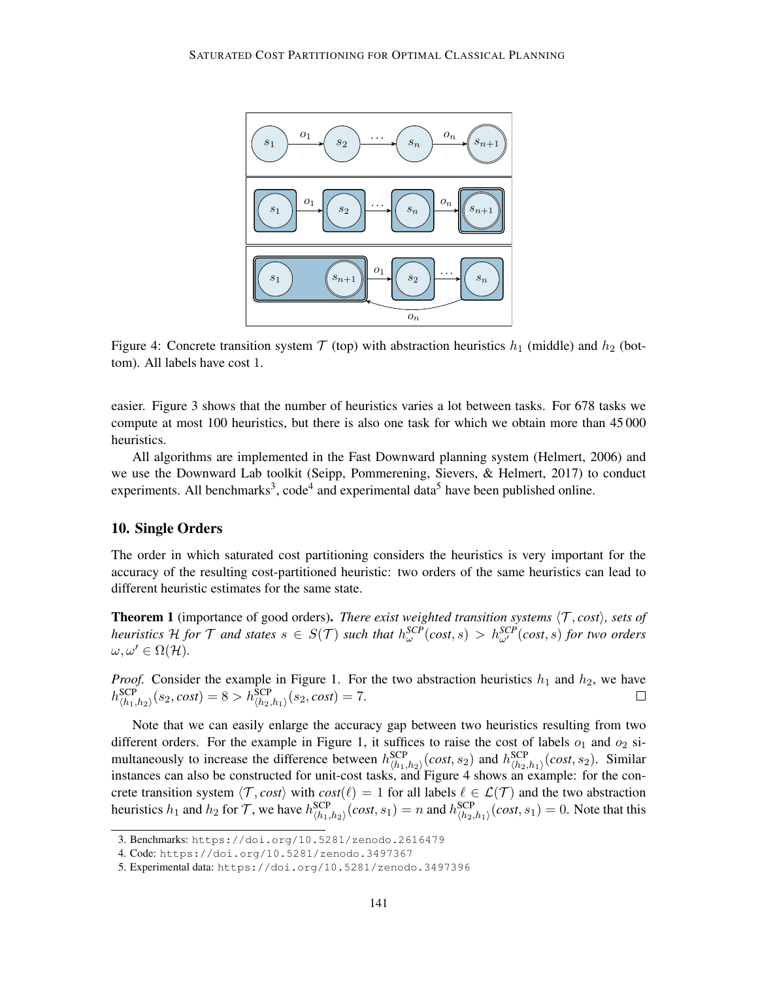

Figure 4: Concrete transition system  $T$  (top) with abstraction heuristics  $h_1$  (middle) and  $h_2$  (bottom). All labels have cost 1.

easier. Figure 3 shows that the number of heuristics varies a lot between tasks. For 678 tasks we compute at most 100 heuristics, but there is also one task for which we obtain more than 45 000 heuristics.

All algorithms are implemented in the Fast Downward planning system (Helmert, 2006) and we use the Downward Lab toolkit (Seipp, Pommerening, Sievers, & Helmert, 2017) to conduct experiments. All benchmarks<sup>3</sup>, code<sup>4</sup> and experimental data<sup>5</sup> have been published online.

# 10. Single Orders

The order in which saturated cost partitioning considers the heuristics is very important for the accuracy of the resulting cost-partitioned heuristic: two orders of the same heuristics can lead to different heuristic estimates for the same state.

**Theorem 1** (importance of good orders). *There exist weighted transition systems*  $\langle \mathcal{T}, cost \rangle$ *, sets of heuristics* H *for* T *and states*  $s \in S(T)$  *such that*  $h_{\omega}^{SCP}(cost,s) > h_{\omega'}^{SCP}(cost,s)$  *for two orders*  $\omega, \omega' \in \Omega(\mathcal{H}).$ 

*Proof.* Consider the example in Figure 1. For the two abstraction heuristics  $h_1$  and  $h_2$ , we have  $h_{\langle h_1,h_2 \rangle}^{\rm{SCP}}(s_2, cost) = 8 > h_{\langle h_2,h_1 \rangle}^{\rm{SCP}}(s_2, cost) = 7.$ 

Note that we can easily enlarge the accuracy gap between two heuristics resulting from two different orders. For the example in Figure 1, it suffices to raise the cost of labels  $o_1$  and  $o_2$  simultaneously to increase the difference between  $h_{(h_1,h_2)}^{SCP}(cost,s_2)$  and  $h_{(h_2,h_1)}^{SCP}(cost,s_2)$ . Similar instances can also be constructed for unit-cost tasks, and Figure 4 shows an example: for the concrete transition system  $\langle \mathcal{T}, cost \rangle$  with  $cost(\ell) = 1$  for all labels  $\ell \in \mathcal{L}(\mathcal{T})$  and the two abstraction heuristics  $h_1$  and  $h_2$  for T, we have  $h_{\langle h_1,h_2 \rangle}^{\text{SCP}}(cost, s_1) = n$  and  $h_{\langle h_2,h_1 \rangle}^{\text{SCP}}(cost, s_1) = 0$ . Note that this

<sup>3.</sup> Benchmarks: https://doi.org/10.5281/zenodo.2616479

<sup>4.</sup> Code: https://doi.org/10.5281/zenodo.3497367

<sup>5.</sup> Experimental data: https://doi.org/10.5281/zenodo.3497396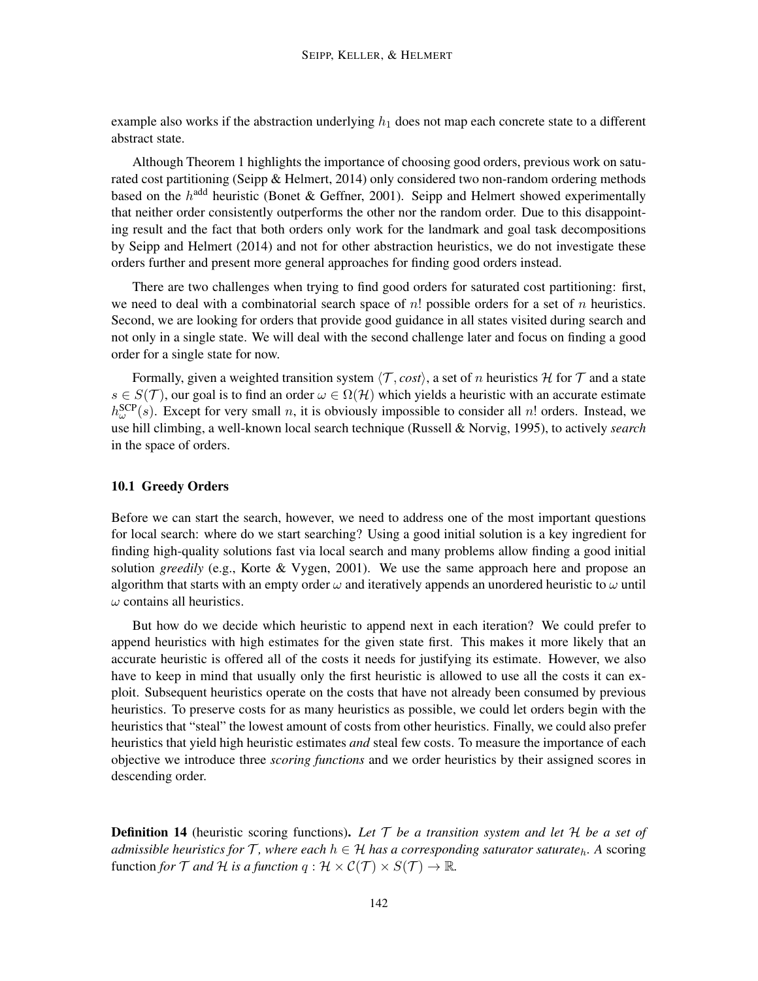example also works if the abstraction underlying  $h_1$  does not map each concrete state to a different abstract state.

Although Theorem 1 highlights the importance of choosing good orders, previous work on saturated cost partitioning (Seipp & Helmert, 2014) only considered two non-random ordering methods based on the  $h^{\text{add}}$  heuristic (Bonet & Geffner, 2001). Seipp and Helmert showed experimentally that neither order consistently outperforms the other nor the random order. Due to this disappointing result and the fact that both orders only work for the landmark and goal task decompositions by Seipp and Helmert (2014) and not for other abstraction heuristics, we do not investigate these orders further and present more general approaches for finding good orders instead.

There are two challenges when trying to find good orders for saturated cost partitioning: first, we need to deal with a combinatorial search space of  $n!$  possible orders for a set of  $n$  heuristics. Second, we are looking for orders that provide good guidance in all states visited during search and not only in a single state. We will deal with the second challenge later and focus on finding a good order for a single state for now.

Formally, given a weighted transition system  $\langle \mathcal{T}, cost \rangle$ , a set of n heuristics H for T and a state  $s \in S(\mathcal{T})$ , our goal is to find an order  $\omega \in \Omega(\mathcal{H})$  which yields a heuristic with an accurate estimate  $h_{\omega}^{\text{SCP}}(s)$ . Except for very small n, it is obviously impossible to consider all n! orders. Instead, we use hill climbing, a well-known local search technique (Russell & Norvig, 1995), to actively *search* in the space of orders.

#### 10.1 Greedy Orders

Before we can start the search, however, we need to address one of the most important questions for local search: where do we start searching? Using a good initial solution is a key ingredient for finding high-quality solutions fast via local search and many problems allow finding a good initial solution *greedily* (e.g., Korte & Vygen, 2001). We use the same approach here and propose an algorithm that starts with an empty order  $\omega$  and iteratively appends an unordered heuristic to  $\omega$  until  $\omega$  contains all heuristics.

But how do we decide which heuristic to append next in each iteration? We could prefer to append heuristics with high estimates for the given state first. This makes it more likely that an accurate heuristic is offered all of the costs it needs for justifying its estimate. However, we also have to keep in mind that usually only the first heuristic is allowed to use all the costs it can exploit. Subsequent heuristics operate on the costs that have not already been consumed by previous heuristics. To preserve costs for as many heuristics as possible, we could let orders begin with the heuristics that "steal" the lowest amount of costs from other heuristics. Finally, we could also prefer heuristics that yield high heuristic estimates *and* steal few costs. To measure the importance of each objective we introduce three *scoring functions* and we order heuristics by their assigned scores in descending order.

Definition 14 (heuristic scoring functions). *Let* T *be a transition system and let* H *be a set of admissible heuristics for*  $\mathcal{T}$ *, where each*  $h \in \mathcal{H}$  *has a corresponding saturator saturate*<sub>h</sub>. A scoring function *for*  $\mathcal T$  *and*  $\mathcal H$  *is a function*  $q: \mathcal H \times \mathcal C(\mathcal T) \times S(\mathcal T) \to \mathbb R$ .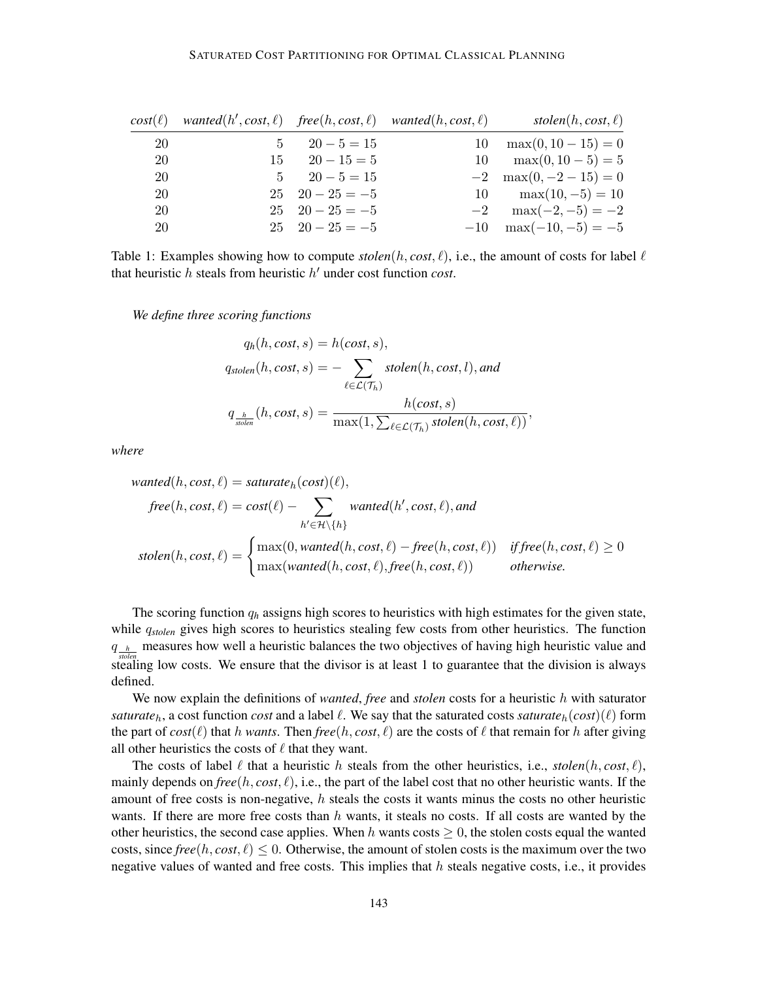| $cost(\ell)$ | wanted $(h', cost, \ell)$ free $(h, cost, \ell)$ wanted $(h, cost, \ell)$ |                         |    | stolen $(h, cost, \ell)$    |
|--------------|---------------------------------------------------------------------------|-------------------------|----|-----------------------------|
| 20           |                                                                           | $5 \t 20 - 5 = 15$      | 10 | $max(0, 10 - 15) = 0$       |
| 20           |                                                                           | $15 \t 20 - 15 = 5$     | 10 | $\max(0, 10 - 5) = 5$       |
| 20           |                                                                           | $5 \t 20 - 5 = 15$      |    | $-2$ max $(0, -2 - 15) = 0$ |
| 20           |                                                                           | $25 \quad 20 - 25 = -5$ |    | 10 $\max(10, -5) = 10$      |
| 20           |                                                                           | $25 \quad 20 - 25 = -5$ |    | $-2$ max $(-2,-5) = -2$     |
| 20           |                                                                           | $25 \quad 20 - 25 = -5$ |    | $-10$ max $(-10, -5) = -5$  |

Table 1: Examples showing how to compute  $stolen(h, cost, \ell)$ , i.e., the amount of costs for label  $\ell$ that heuristic  $h$  steals from heuristic  $h'$  under cost function *cost*.

*We define three scoring functions*

$$
q_h(h, cost, s) = h(cost, s),
$$
  
\n
$$
q_{stolen}(h, cost, s) = -\sum_{\ell \in \mathcal{L}(\mathcal{T}_h)} stolen(h, cost, l), and
$$
  
\n
$$
q_{\frac{h}{solen}}(h, cost, s) = \frac{h(cost, s)}{\max(1, \sum_{\ell \in \mathcal{L}(\mathcal{T}_h)} stolen(h, cost, \ell))},
$$

*where*

$$
wanted(h, cost, \ell) = saturate_h(cost)(\ell),
$$
  
\n
$$
free(h, cost, \ell) = cost(\ell) - \sum_{h' \in \mathcal{H} \setminus \{h\}} wanted(h', cost, \ell), and
$$
  
\n
$$
stolen(h, cost, \ell) = \begin{cases} max(0, wanted(h, cost, \ell) - free(h, cost, \ell)) & iff free(h, cost, \ell) \ge 0 \\ max(wanted(h, cost, \ell), free(h, cost, \ell)) & otherwise. \end{cases}
$$

The scoring function q*<sup>h</sup>* assigns high scores to heuristics with high estimates for the given state, while  $q_{stolen}$  gives high scores to heuristics stealing few costs from other heuristics. The function q *<sup>h</sup>* measures how well a heuristic balances the two objectives of having high heuristic value and *stolen*<br>stealing low costs. We ensure that the divisor is at least 1 to guarantee that the division is always defined.

We now explain the definitions of *wanted*, *free* and *stolen* costs for a heuristic h with saturator *saturate*<sub>h</sub>, a cost function *cost* and a label  $\ell$ . We say that the saturated costs *saturate*<sub>h</sub>(*cost*)( $\ell$ ) form the part of  $cost(\ell)$  that h *wants*. Then  $free(h, cost, \ell)$  are the costs of  $\ell$  that remain for h after giving all other heuristics the costs of  $\ell$  that they want.

The costs of label  $\ell$  that a heuristic h steals from the other heuristics, i.e.,  $stolen(h, cost, \ell)$ , mainly depends on *free*(h, *cost*,  $\ell$ ), i.e., the part of the label cost that no other heuristic wants. If the amount of free costs is non-negative,  $h$  steals the costs it wants minus the costs no other heuristic wants. If there are more free costs than  $h$  wants, it steals no costs. If all costs are wanted by the other heuristics, the second case applies. When h wants costs  $\geq 0$ , the stolen costs equal the wanted costs, since  $free(h, cost, \ell) \leq 0$ . Otherwise, the amount of stolen costs is the maximum over the two negative values of wanted and free costs. This implies that  $h$  steals negative costs, i.e., it provides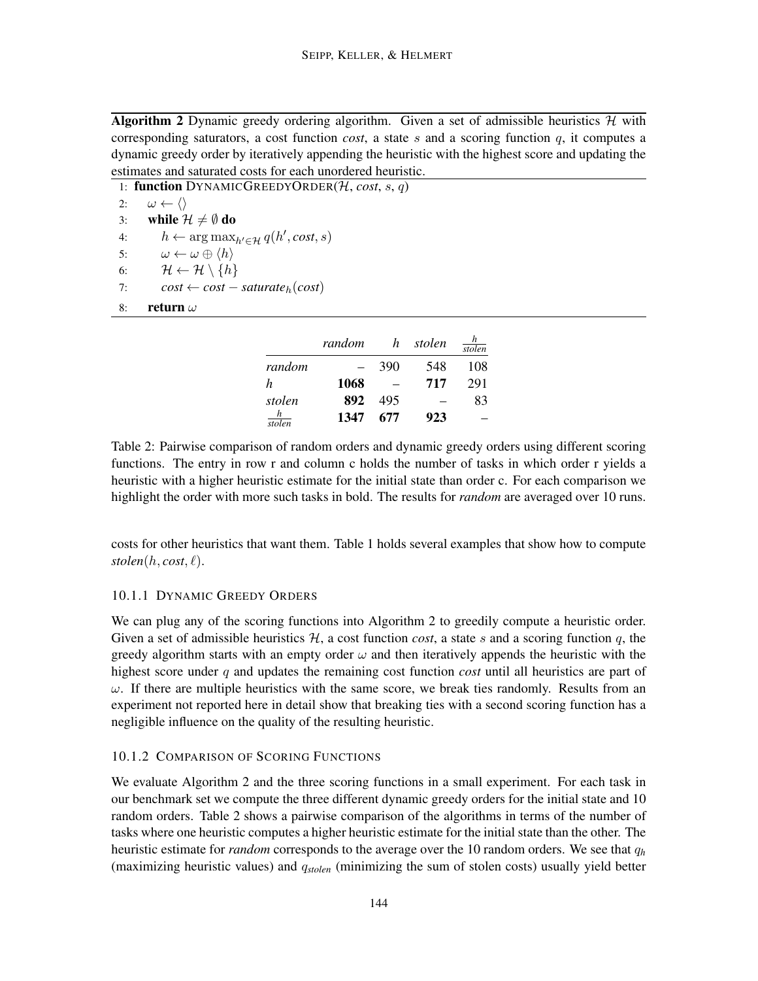Algorithm 2 Dynamic greedy ordering algorithm. Given a set of admissible heuristics  $H$  with corresponding saturators, a cost function *cost*, a state s and a scoring function  $q$ , it computes a dynamic greedy order by iteratively appending the heuristic with the highest score and updating the estimates and saturated costs for each unordered heuristic.

1: **function** DYNAMICGREEDYORDER(*H*, *cost*, *s*, *q*) 2:  $\omega \leftarrow \langle \rangle$ 

2:  $\omega \leftarrow \langle$ <br>3: while  $\partial$ 3: **while**  $\mathcal{H} \neq \emptyset$  **do**<br>4:  $h \leftarrow \arg \max_i$ 4:  $h \leftarrow \arg \max_{h' \in \mathcal{H}} q(h', cost, s)$ 5:  $\omega \leftarrow \omega \oplus \langle h \rangle$ <br>6:  $\mathcal{H} \leftarrow \mathcal{H} \setminus \{h\}$ 6:  $\mathcal{H} \leftarrow \mathcal{H} \setminus \{h\}$ <br>7:  $cost \leftarrow cost$  $cost \leftarrow cost - saturate_h(cost)$ 8: return  $\omega$ 

|                                             | random | h   | stolen | stolen |
|---------------------------------------------|--------|-----|--------|--------|
| random                                      |        | 390 | 548    | 108    |
| h                                           | 1068   |     | 717    | 291    |
| stolen                                      | 892    | 495 |        | 83     |
| $\boldsymbol{h}$<br>$rac{1}{\text{stolen}}$ | 1347   | 677 | 923    |        |

Table 2: Pairwise comparison of random orders and dynamic greedy orders using different scoring functions. The entry in row r and column c holds the number of tasks in which order r yields a heuristic with a higher heuristic estimate for the initial state than order c. For each comparison we highlight the order with more such tasks in bold. The results for *random* are averaged over 10 runs.

costs for other heuristics that want them. Table 1 holds several examples that show how to compute  $stolen(h, cost, \ell).$ 

# 10.1.1 DYNAMIC GREEDY ORDERS

We can plug any of the scoring functions into Algorithm 2 to greedily compute a heuristic order. Given a set of admissible heuristics  $H$ , a cost function *cost*, a state s and a scoring function q, the greedy algorithm starts with an empty order  $\omega$  and then iteratively appends the heuristic with the highest score under q and updates the remaining cost function *cost* until all heuristics are part of  $\omega$ . If there are multiple heuristics with the same score, we break ties randomly. Results from an experiment not reported here in detail show that breaking ties with a second scoring function has a negligible influence on the quality of the resulting heuristic.

# 10.1.2 COMPARISON OF SCORING FUNCTIONS

We evaluate Algorithm 2 and the three scoring functions in a small experiment. For each task in our benchmark set we compute the three different dynamic greedy orders for the initial state and 10 random orders. Table 2 shows a pairwise comparison of the algorithms in terms of the number of tasks where one heuristic computes a higher heuristic estimate for the initial state than the other. The heuristic estimate for *random* corresponds to the average over the 10 random orders. We see that q*<sup>h</sup>* (maximizing heuristic values) and q*stolen* (minimizing the sum of stolen costs) usually yield better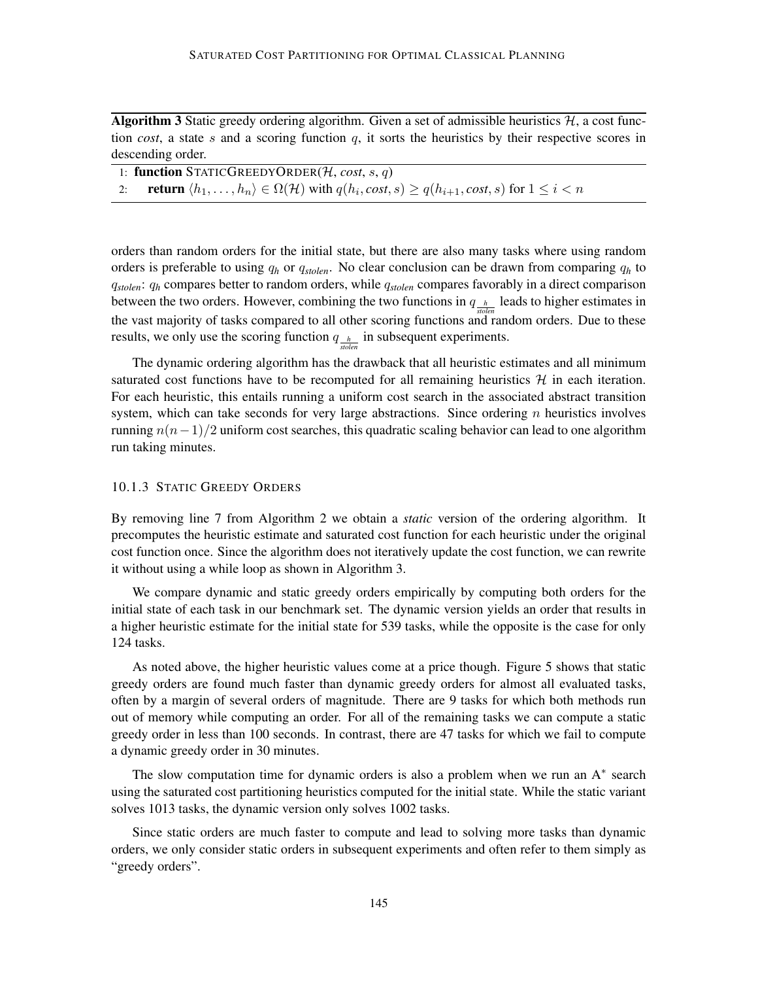Algorithm 3 Static greedy ordering algorithm. Given a set of admissible heuristics  $H$ , a cost function *cost*, a state s and a scoring function q, it sorts the heuristics by their respective scores in descending order.

| 1: function STATICGREEDYORDER( $H$ , cost, s, q)                                                                                               |
|------------------------------------------------------------------------------------------------------------------------------------------------|
| 2: <b>return</b> $\langle h_1, \ldots, h_n \rangle \in \Omega(\mathcal{H})$ with $q(h_i, cost, s) \geq q(h_{i+1}, cost, s)$ for $1 \leq i < n$ |

orders than random orders for the initial state, but there are also many tasks where using random orders is preferable to using q*<sup>h</sup>* or q*stolen*. No clear conclusion can be drawn from comparing q*<sup>h</sup>* to q*stolen*: q*<sup>h</sup>* compares better to random orders, while q*stolen* compares favorably in a direct comparison between the two orders. However, combining the two functions in  $q_{h}$  leads to higher estimates in the vast majority of tasks compared to all other scoring functions and random orders. Due to these results, we only use the scoring function  $q_{\frac{h}{\text{sole}}}$  in subsequent experiments.

The dynamic ordering algorithm has the drawback that all heuristic estimates and all minimum saturated cost functions have to be recomputed for all remaining heuristics  $H$  in each iteration. For each heuristic, this entails running a uniform cost search in the associated abstract transition system, which can take seconds for very large abstractions. Since ordering  $n$  heuristics involves running  $n(n-1)/2$  uniform cost searches, this quadratic scaling behavior can lead to one algorithm run taking minutes.

#### 10.1.3 STATIC GREEDY ORDERS

By removing line 7 from Algorithm 2 we obtain a *static* version of the ordering algorithm. It precomputes the heuristic estimate and saturated cost function for each heuristic under the original cost function once. Since the algorithm does not iteratively update the cost function, we can rewrite it without using a while loop as shown in Algorithm 3.

We compare dynamic and static greedy orders empirically by computing both orders for the initial state of each task in our benchmark set. The dynamic version yields an order that results in a higher heuristic estimate for the initial state for 539 tasks, while the opposite is the case for only 124 tasks.

As noted above, the higher heuristic values come at a price though. Figure 5 shows that static greedy orders are found much faster than dynamic greedy orders for almost all evaluated tasks, often by a margin of several orders of magnitude. There are 9 tasks for which both methods run out of memory while computing an order. For all of the remaining tasks we can compute a static greedy order in less than 100 seconds. In contrast, there are 47 tasks for which we fail to compute a dynamic greedy order in 30 minutes.

The slow computation time for dynamic orders is also a problem when we run an  $A^*$  search using the saturated cost partitioning heuristics computed for the initial state. While the static variant solves 1013 tasks, the dynamic version only solves 1002 tasks.

Since static orders are much faster to compute and lead to solving more tasks than dynamic orders, we only consider static orders in subsequent experiments and often refer to them simply as "greedy orders".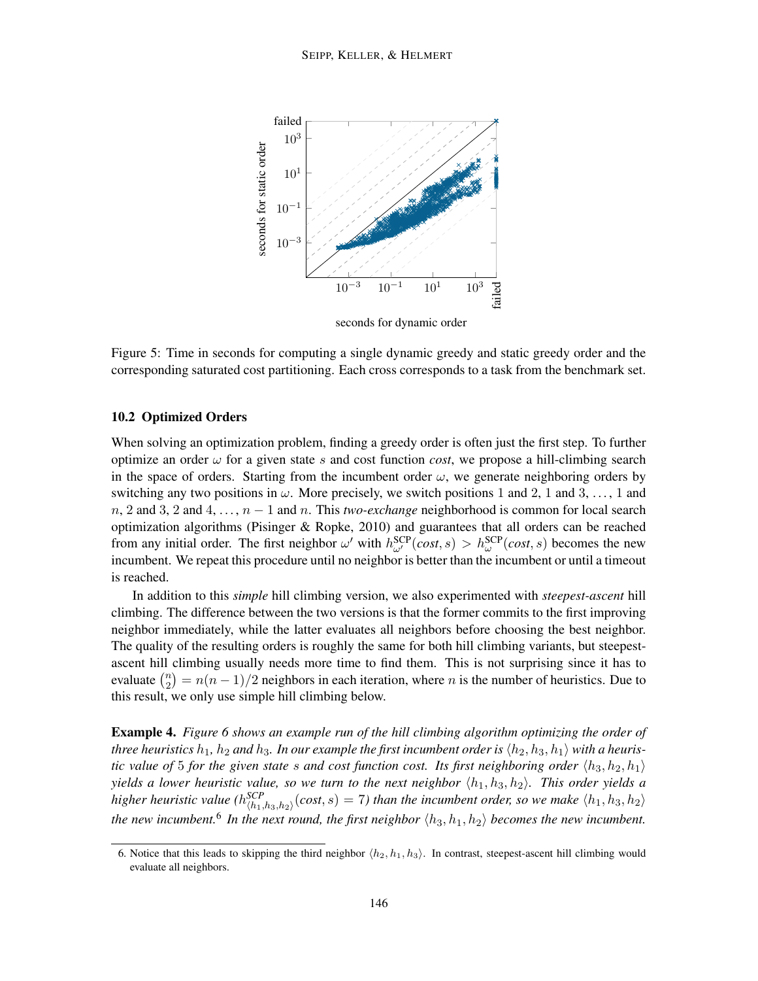

seconds for dynamic order

Figure 5: Time in seconds for computing a single dynamic greedy and static greedy order and the corresponding saturated cost partitioning. Each cross corresponds to a task from the benchmark set.

#### 10.2 Optimized Orders

When solving an optimization problem, finding a greedy order is often just the first step. To further optimize an order  $\omega$  for a given state s and cost function *cost*, we propose a hill-climbing search in the space of orders. Starting from the incumbent order  $\omega$ , we generate neighboring orders by switching any two positions in  $\omega$ . More precisely, we switch positions 1 and 2, 1 and 3, ..., 1 and  $n, 2$  and 3, 2 and 4, ...,  $n-1$  and n. This *two-exchange* neighborhood is common for local search optimization algorithms (Pisinger & Ropke, 2010) and guarantees that all orders can be reached from any initial order. The first neighbor  $\omega'$  with  $h_{\omega'}^{SCP}(cost,s) > h_{\omega}^{SCP}(cost,s)$  becomes the new incumbent. We repeat this procedure until no neighbor is better than the incumbent or until a timeout is reached.

In addition to this *simple* hill climbing version, we also experimented with *steepest-ascent* hill climbing. The difference between the two versions is that the former commits to the first improving neighbor immediately, while the latter evaluates all neighbors before choosing the best neighbor. The quality of the resulting orders is roughly the same for both hill climbing variants, but steepestascent hill climbing usually needs more time to find them. This is not surprising since it has to evaluate  $\binom{n}{2}$  $n_2(n_2) = n(n-1)/2$  neighbors in each iteration, where *n* is the number of heuristics. Due to this result, we only use simple hill climbing below.

Example 4. *Figure 6 shows an example run of the hill climbing algorithm optimizing the order of three heuristics*  $h_1$ ,  $h_2$  *and*  $h_3$ . In our example the first incumbent order is  $\langle h_2, h_3, h_1 \rangle$  with a heuris*tic value of* 5 *for the given state s and cost function cost. Its first neighboring order*  $\langle h_3, h_2, h_1 \rangle$ *yields a lower heuristic value, so we turn to the next neighbor*  $\langle h_1, h_3, h_2 \rangle$ *. This order yields a higher heuristic value*  $(h_{\langle h_1,h_3,h_2 \rangle}^{SCP}(cost,s) = 7)$  than the incumbent order, so we make  $\langle h_1,h_3,h_2 \rangle$ the new incumbent.<sup>6</sup> In the next round, the first neighbor  $\langle h_3, h_1, h_2 \rangle$  becomes the new incumbent.

<sup>6.</sup> Notice that this leads to skipping the third neighbor  $\langle h_2, h_1, h_3 \rangle$ . In contrast, steepest-ascent hill climbing would evaluate all neighbors.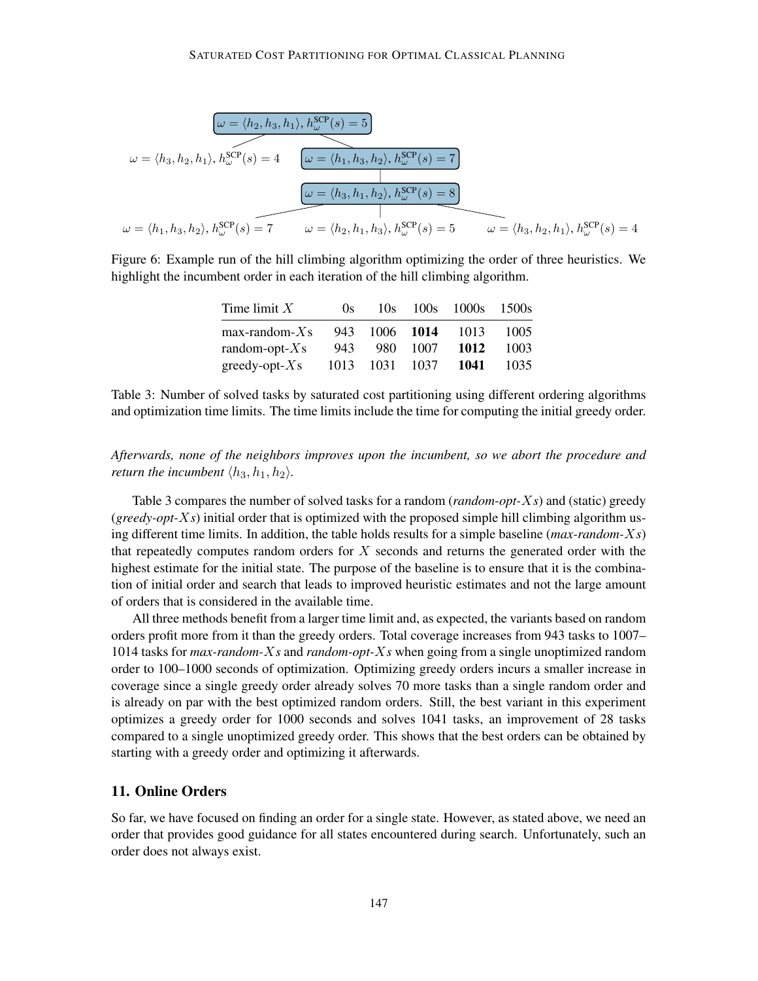$$
\omega = \langle h_2, h_3, h_1 \rangle, h_{\omega}^{\text{SCP}}(s) = 5
$$
  

$$
\omega = \langle h_3, h_2, h_1 \rangle, h_{\omega}^{\text{SCP}}(s) = 4 \qquad \omega = \langle h_1, h_3, h_2 \rangle, h_{\omega}^{\text{SCP}}(s) = 7
$$
  

$$
\omega = \langle h_3, h_1, h_2 \rangle, h_{\omega}^{\text{SCP}}(s) = 8
$$
  

$$
\omega = \langle h_1, h_3, h_2 \rangle, h_{\omega}^{\text{SCP}}(s) = 7 \qquad \omega = \langle h_2, h_1, h_3 \rangle, h_{\omega}^{\text{SCP}}(s) = 5 \qquad \omega = \langle h_3, h_2, h_1 \rangle, h_{\omega}^{\text{SCP}}(s) = 4
$$

Figure 6: Example run of the hill climbing algorithm optimizing the order of three heuristics. We highlight the incumbent order in each iteration of the hill climbing algorithm.

| Time limit $X$       | (x)  | 10s  |           | 100s 1000s 1500s |      |
|----------------------|------|------|-----------|------------------|------|
| $max$ -random- $X_s$ | 943  |      | 1006 1014 | 1013             | 1005 |
| random-opt- $X_s$    | 943  | 980. | 1007      | 1012             | 1003 |
| greedy-opt- $X_s$    | 1013 | 1031 | 1037      | 1041             | 1035 |

Table 3: Number of solved tasks by saturated cost partitioning using different ordering algorithms and optimization time limits. The time limits include the time for computing the initial greedy order.

*Afterwards, none of the neighbors improves upon the incumbent, so we abort the procedure and return the incumbent*  $\langle h_3, h_1, h_2 \rangle$ *.* 

Table 3 compares the number of solved tasks for a random (*random-opt-*X*s*) and (static) greedy (*greedy-opt-*X*s*) initial order that is optimized with the proposed simple hill climbing algorithm using different time limits. In addition, the table holds results for a simple baseline (*max-random-*X*s*) that repeatedly computes random orders for  $X$  seconds and returns the generated order with the highest estimate for the initial state. The purpose of the baseline is to ensure that it is the combination of initial order and search that leads to improved heuristic estimates and not the large amount of orders that is considered in the available time.

All three methods benefit from a larger time limit and, as expected, the variants based on random orders profit more from it than the greedy orders. Total coverage increases from 943 tasks to 1007– 1014 tasks for *max-random-*X*s* and *random-opt-*X*s* when going from a single unoptimized random order to 100–1000 seconds of optimization. Optimizing greedy orders incurs a smaller increase in coverage since a single greedy order already solves 70 more tasks than a single random order and is already on par with the best optimized random orders. Still, the best variant in this experiment optimizes a greedy order for 1000 seconds and solves 1041 tasks, an improvement of 28 tasks compared to a single unoptimized greedy order. This shows that the best orders can be obtained by starting with a greedy order and optimizing it afterwards.

# 11. Online Orders

So far, we have focused on finding an order for a single state. However, as stated above, we need an order that provides good guidance for all states encountered during search. Unfortunately, such an order does not always exist.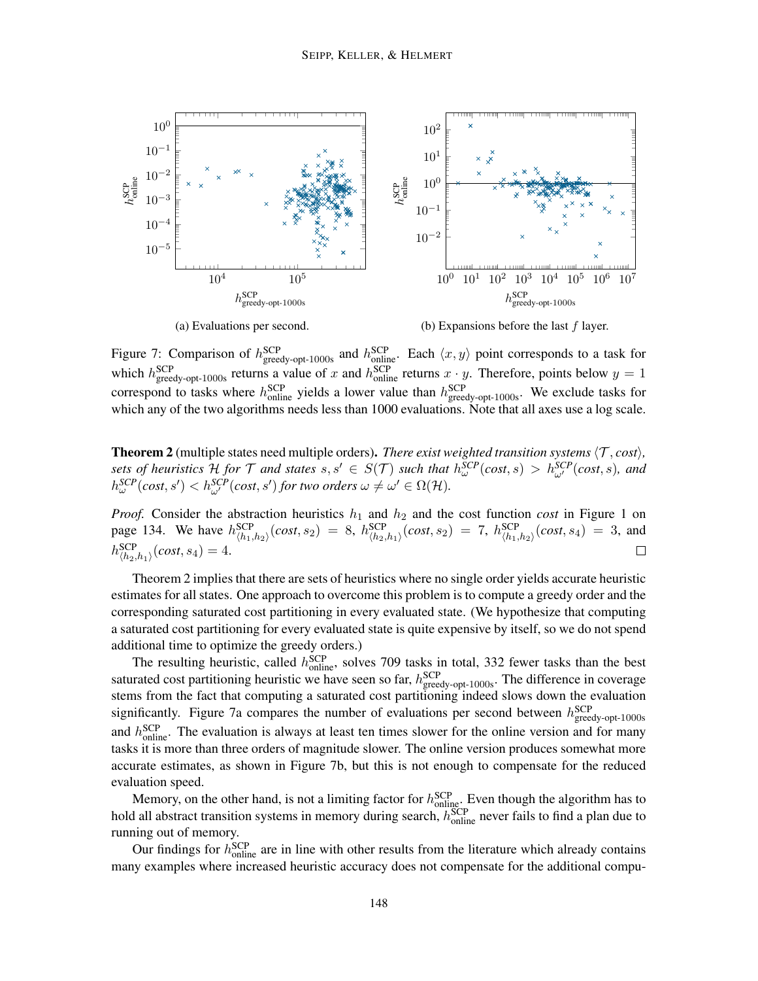

Figure 7: Comparison of  $h_{\text{greedy-opt-1000s}}^{\text{SCP}}$  and  $h_{\text{online}}^{\text{SCP}}$ . Each  $\langle x, y \rangle$  point corresponds to a task for which  $h_{\text{greedy-opt-1000s}}^{\text{SCP}}$  returns a value of x and  $h_{\text{online}}^{\text{SCP}}$  returns  $x \cdot y$ . Therefore, points below  $y = 1$ correspond to tasks where  $h_{\text{online}}^{\text{SCP}}$  yields a lower value than  $h_{\text{greedy-opt-1000s}}^{\text{SCP}}$ . We exclude tasks for which any of the two algorithms needs less than 1000 evaluations. Note that all axes use a log scale.

**Theorem 2** (multiple states need multiple orders). *There exist weighted transition systems*  $\langle T, cost \rangle$ , sets of heuristics  $H$  for  $T$  and states  $s, s' \in S(T)$  such that  $h_{\omega}^{SCP}(cost, s) > h_{\omega'}^{SCP}(cost, s)$ , and  $h_{\omega}^{SCP}(cost, s') < h_{\omega'}^{SCP}(cost, s')$  for two orders  $\omega \neq \omega' \in \Omega(\mathcal{H})$ .

*Proof.* Consider the abstraction heuristics  $h_1$  and  $h_2$  and the cost function *cost* in Figure 1 on page 134. We have  $h_{\langle h_1, h_2 \rangle}^{SCP}(cost, s_2) = 8$ ,  $h_{\langle h_2, h_1 \rangle}^{SCP}(cost, s_2) = 7$ ,  $h_{\langle h_1, h_2 \rangle}^{SCP}(cost, s_4) = 3$ , and  $h^{\rm{SCP}}_{\langle h_2,h_1\rangle}(cost,s_4)=4.$  $\Box$ 

Theorem 2 implies that there are sets of heuristics where no single order yields accurate heuristic estimates for all states. One approach to overcome this problem is to compute a greedy order and the corresponding saturated cost partitioning in every evaluated state. (We hypothesize that computing a saturated cost partitioning for every evaluated state is quite expensive by itself, so we do not spend additional time to optimize the greedy orders.)

The resulting heuristic, called  $h_{\text{online}}^{\text{SCP}}$ , solves 709 tasks in total, 332 fewer tasks than the best saturated cost partitioning heuristic we have seen so far,  $h_{\text{greedy-opt-1000s}}^{\text{SCP}}$ . The difference in coverage stems from the fact that computing a saturated cost partitioning indeed slows down the evaluation significantly. Figure 7a compares the number of evaluations per second between  $h_{\text{greedy-opt-1000s}}^{\text{SCP}}$ and  $h_{\text{online}}^{\text{SCP}}$ . The evaluation is always at least ten times slower for the online version and for many tasks it is more than three orders of magnitude slower. The online version produces somewhat more accurate estimates, as shown in Figure 7b, but this is not enough to compensate for the reduced evaluation speed.

Memory, on the other hand, is not a limiting factor for  $h_{\text{online}}^{\text{SCP}}$ . Even though the algorithm has to hold all abstract transition systems in memory during search,  $h_{\text{online}}^{\text{SCP}}$  never fails to find a plan due to running out of memory.

Our findings for  $h_{\text{online}}^{\text{SCP}}$  are in line with other results from the literature which already contains many examples where increased heuristic accuracy does not compensate for the additional compu-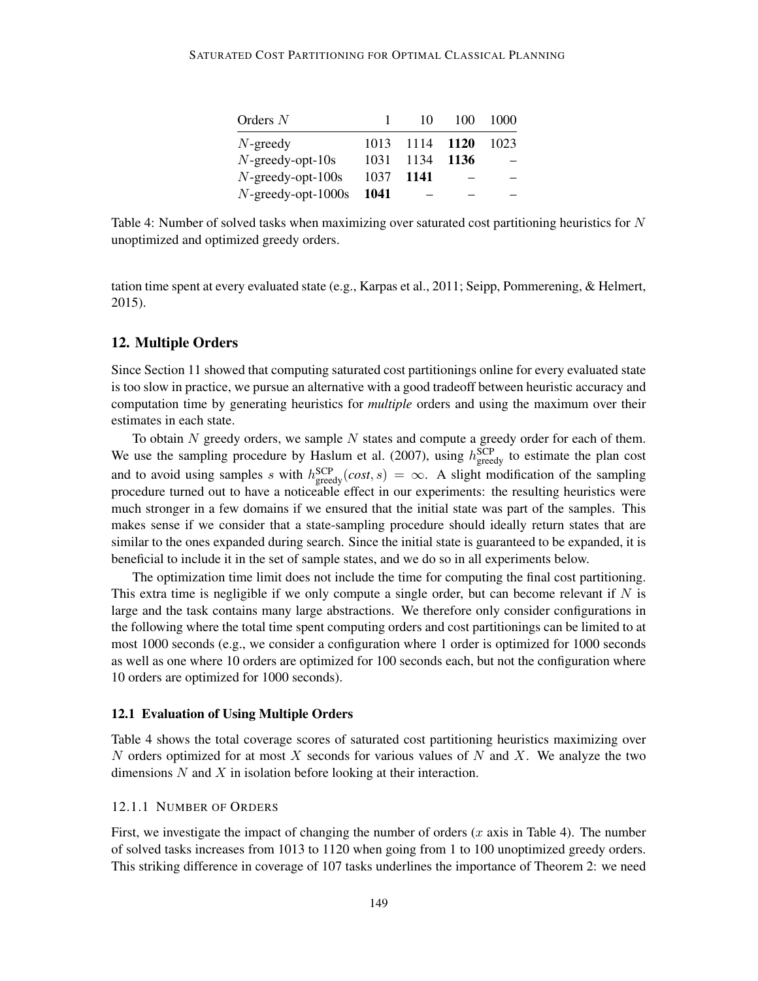| Orders $N$            | Ι.   | 10.            | 100 | 1000 |
|-----------------------|------|----------------|-----|------|
| $N$ -greedy           |      | 1013 1114 1120 |     | 1023 |
| $N$ -greedy-opt-10s   |      | 1031 1134 1136 |     |      |
| $N$ -greedy-opt-100s  | 1037 | -1141          |     |      |
| $N$ -greedy-opt-1000s | 1041 |                |     |      |

Table 4: Number of solved tasks when maximizing over saturated cost partitioning heuristics for  $N$ unoptimized and optimized greedy orders.

tation time spent at every evaluated state (e.g., Karpas et al., 2011; Seipp, Pommerening, & Helmert, 2015).

# 12. Multiple Orders

Since Section 11 showed that computing saturated cost partitionings online for every evaluated state is too slow in practice, we pursue an alternative with a good tradeoff between heuristic accuracy and computation time by generating heuristics for *multiple* orders and using the maximum over their estimates in each state.

To obtain  $N$  greedy orders, we sample  $N$  states and compute a greedy order for each of them. We use the sampling procedure by Haslum et al. (2007), using  $h_{\text{greedy}}^{\text{SCP}}$  to estimate the plan cost and to avoid using samples s with  $h_{\text{greedy}}^{\text{SCP}}(cost, s) = \infty$ . A slight modification of the sampling procedure turned out to have a noticeable effect in our experiments: the resulting heuristics were much stronger in a few domains if we ensured that the initial state was part of the samples. This makes sense if we consider that a state-sampling procedure should ideally return states that are similar to the ones expanded during search. Since the initial state is guaranteed to be expanded, it is beneficial to include it in the set of sample states, and we do so in all experiments below.

The optimization time limit does not include the time for computing the final cost partitioning. This extra time is negligible if we only compute a single order, but can become relevant if  $N$  is large and the task contains many large abstractions. We therefore only consider configurations in the following where the total time spent computing orders and cost partitionings can be limited to at most 1000 seconds (e.g., we consider a configuration where 1 order is optimized for 1000 seconds as well as one where 10 orders are optimized for 100 seconds each, but not the configuration where 10 orders are optimized for 1000 seconds).

#### 12.1 Evaluation of Using Multiple Orders

Table 4 shows the total coverage scores of saturated cost partitioning heuristics maximizing over N orders optimized for at most X seconds for various values of N and X. We analyze the two dimensions  $N$  and  $X$  in isolation before looking at their interaction.

#### 12.1.1 NUMBER OF ORDERS

First, we investigate the impact of changing the number of orders  $(x \text{ axis in Table 4})$ . The number of solved tasks increases from 1013 to 1120 when going from 1 to 100 unoptimized greedy orders. This striking difference in coverage of 107 tasks underlines the importance of Theorem 2: we need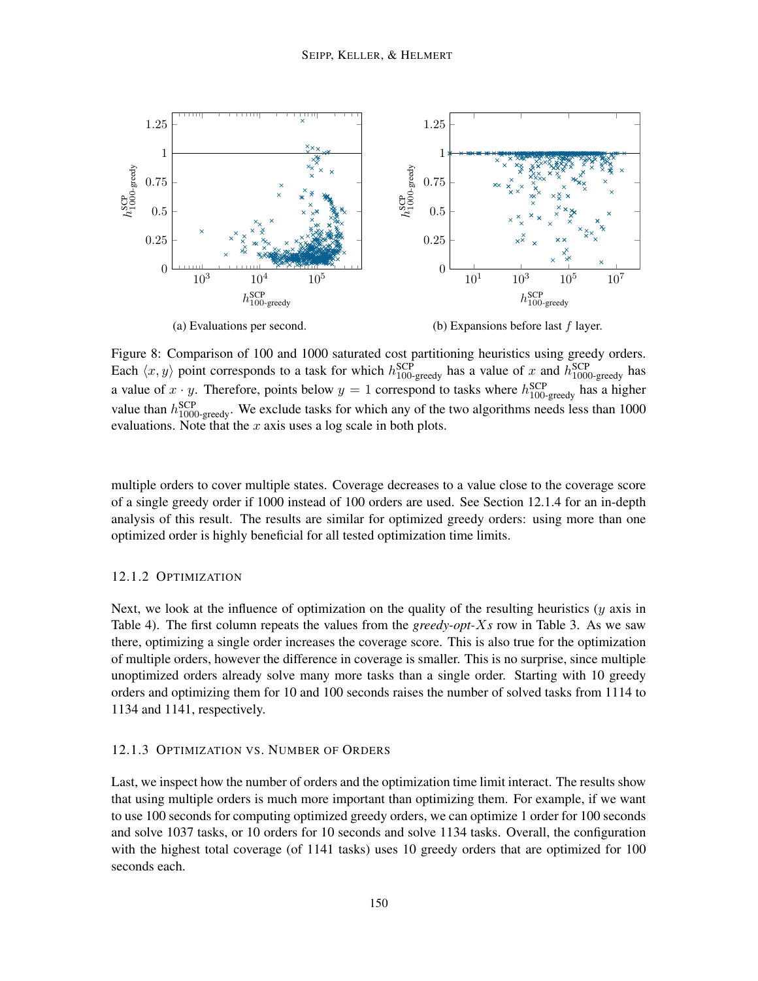

Figure 8: Comparison of 100 and 1000 saturated cost partitioning heuristics using greedy orders. Each  $\langle x, y \rangle$  point corresponds to a task for which  $h_{100\text{-greedy}}^{\text{SCP}}$  has a value of x and  $h_{1000\text{-greedy}}^{\text{SCP}}$  has a value of  $x \cdot y$ . Therefore, points below  $y = 1$  correspond to tasks where  $h_{100\text{-greedy}}^{\text{SCP}}$  has a higher value than  $h_{1000\text{-greedy}}^{\text{SCP}}$ . We exclude tasks for which any of the two algorithms needs less than 1000 evaluations. Note that the  $x$  axis uses a log scale in both plots.

multiple orders to cover multiple states. Coverage decreases to a value close to the coverage score of a single greedy order if 1000 instead of 100 orders are used. See Section 12.1.4 for an in-depth analysis of this result. The results are similar for optimized greedy orders: using more than one optimized order is highly beneficial for all tested optimization time limits.

#### 12.1.2 OPTIMIZATION

Next, we look at the influence of optimization on the quality of the resulting heuristics  $(y$  axis in Table 4). The first column repeats the values from the *greedy-opt-*X*s* row in Table 3. As we saw there, optimizing a single order increases the coverage score. This is also true for the optimization of multiple orders, however the difference in coverage is smaller. This is no surprise, since multiple unoptimized orders already solve many more tasks than a single order. Starting with 10 greedy orders and optimizing them for 10 and 100 seconds raises the number of solved tasks from 1114 to 1134 and 1141, respectively.

### 12.1.3 OPTIMIZATION VS. NUMBER OF ORDERS

Last, we inspect how the number of orders and the optimization time limit interact. The results show that using multiple orders is much more important than optimizing them. For example, if we want to use 100 seconds for computing optimized greedy orders, we can optimize 1 order for 100 seconds and solve 1037 tasks, or 10 orders for 10 seconds and solve 1134 tasks. Overall, the configuration with the highest total coverage (of 1141 tasks) uses 10 greedy orders that are optimized for 100 seconds each.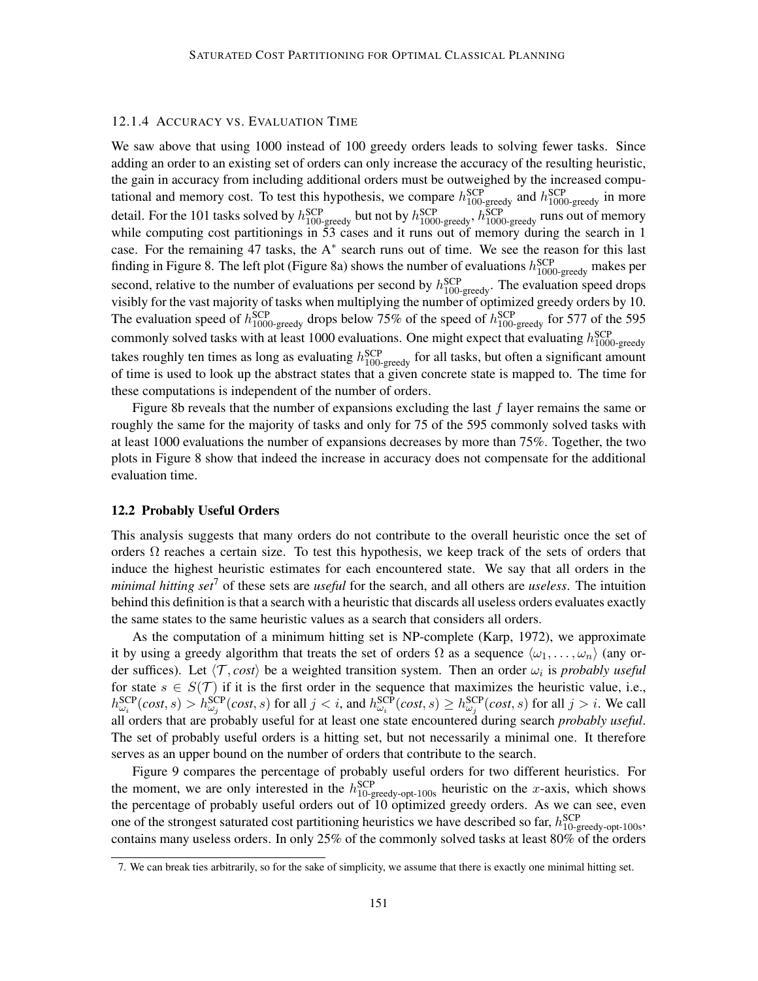### 12.1.4 ACCURACY VS. EVALUATION TIME

We saw above that using 1000 instead of 100 greedy orders leads to solving fewer tasks. Since adding an order to an existing set of orders can only increase the accuracy of the resulting heuristic, the gain in accuracy from including additional orders must be outweighed by the increased computational and memory cost. To test this hypothesis, we compare  $h_{100\text{-greedy}}^{\text{SCP}}$  and  $h_{1000\text{-greedy}}^{\text{SCP}}$  in more detail. For the 101 tasks solved by  $h_{100\text{-greedy}}^{\text{SCP}}$  but not by  $h_{1000\text{-greedy}}^{\text{SCP}}$ ,  $h_{1000\text{-greedy}}^{\text{SCP}}$  runs out of memory while computing cost partitionings in 53 cases and it runs out of memory during the search in 1 case. For the remaining 47 tasks, the A<sup>∗</sup> search runs out of time. We see the reason for this last finding in Figure 8. The left plot (Figure 8a) shows the number of evaluations  $h_{1000\text{-greedy}}^{\text{SCP}}$  makes per second, relative to the number of evaluations per second by  $h_{100\text{-greedy}}^{\text{SCP}}$ . The evaluation speed drops visibly for the vast majority of tasks when multiplying the number of optimized greedy orders by 10. The evaluation speed of  $h_{1000\text{-greedy}}^{\text{SCP}}$  drops below 75% of the speed of  $h_{100\text{-greedy}}^{\text{SCP}}$  for 577 of the 595 commonly solved tasks with at least 1000 evaluations. One might expect that evaluating  $h_{1000\text{-greedy}}^{\text{SCP}}$ takes roughly ten times as long as evaluating  $h_{100\text{-greedy}}^{\text{SCP}}$  for all tasks, but often a significant amount of time is used to look up the abstract states that a given concrete state is mapped to. The time for these computations is independent of the number of orders.

Figure 8b reveals that the number of expansions excluding the last  $f$  layer remains the same or roughly the same for the majority of tasks and only for 75 of the 595 commonly solved tasks with at least 1000 evaluations the number of expansions decreases by more than 75%. Together, the two plots in Figure 8 show that indeed the increase in accuracy does not compensate for the additional evaluation time.

## 12.2 Probably Useful Orders

This analysis suggests that many orders do not contribute to the overall heuristic once the set of orders  $\Omega$  reaches a certain size. To test this hypothesis, we keep track of the sets of orders that induce the highest heuristic estimates for each encountered state. We say that all orders in the *minimal hitting set*<sup>7</sup> of these sets are *useful* for the search, and all others are *useless*. The intuition behind this definition is that a search with a heuristic that discards all useless orders evaluates exactly the same states to the same heuristic values as a search that considers all orders.

As the computation of a minimum hitting set is NP-complete (Karp, 1972), we approximate it by using a greedy algorithm that treats the set of orders  $\Omega$  as a sequence  $\langle \omega_1, \ldots, \omega_n \rangle$  (any order suffices). Let  $\langle T, cost \rangle$  be a weighted transition system. Then an order  $\omega_i$  is *probably useful* for state  $s \in S(\mathcal{T})$  if it is the first order in the sequence that maximizes the heuristic value, i.e.,  $h_{\omega_i}^{\text{SCP}}(cost, s) > h_{\omega_j}^{\text{SCP}}(cost, s)$  for all  $j < i$ , and  $h_{\omega_i}^{\text{SCP}}(cost, s) \ge h_{\omega_j}^{\text{SCP}}(cost, s)$  for all  $j > i$ . We call all orders that are probably useful for at least one state encountered during search *probably useful*. The set of probably useful orders is a hitting set, but not necessarily a minimal one. It therefore serves as an upper bound on the number of orders that contribute to the search.

Figure 9 compares the percentage of probably useful orders for two different heuristics. For the moment, we are only interested in the  $h_{10\text{-greedy-opt-100s}}^{\text{SCP}}$  heuristic on the x-axis, which shows the percentage of probably useful orders out of 10 optimized greedy orders. As we can see, even one of the strongest saturated cost partitioning heuristics we have described so far,  $h_{10\text{-greedy-opt-100s}}^{\text{SCP}}$ , contains many useless orders. In only 25% of the commonly solved tasks at least 80% of the orders

<sup>7.</sup> We can break ties arbitrarily, so for the sake of simplicity, we assume that there is exactly one minimal hitting set.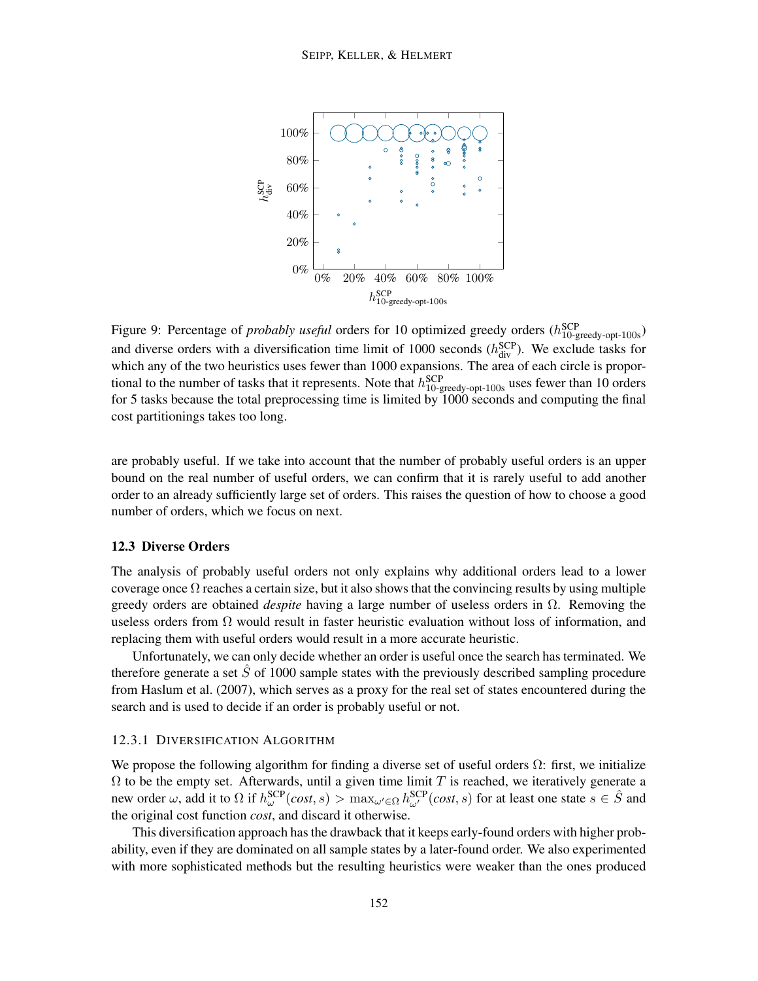

Figure 9: Percentage of *probably useful* orders for 10 optimized greedy orders ( $h_{10\text{-greedy-opt-100s}}^{\text{SCP}}$ ) and diverse orders with a diversification time limit of 1000 seconds  $(h_{div}^{SCP})$ . We exclude tasks for which any of the two heuristics uses fewer than 1000 expansions. The area of each circle is proportional to the number of tasks that it represents. Note that  $h_{10\text{-greedy-opt-100s}}^{\text{SCP}}$  uses fewer than 10 orders for 5 tasks because the total preprocessing time is limited by 1000 seconds and computing the final cost partitionings takes too long.

are probably useful. If we take into account that the number of probably useful orders is an upper bound on the real number of useful orders, we can confirm that it is rarely useful to add another order to an already sufficiently large set of orders. This raises the question of how to choose a good number of orders, which we focus on next.

#### 12.3 Diverse Orders

The analysis of probably useful orders not only explains why additional orders lead to a lower coverage once  $\Omega$  reaches a certain size, but it also shows that the convincing results by using multiple greedy orders are obtained *despite* having a large number of useless orders in Ω. Removing the useless orders from  $\Omega$  would result in faster heuristic evaluation without loss of information, and replacing them with useful orders would result in a more accurate heuristic.

Unfortunately, we can only decide whether an order is useful once the search has terminated. We therefore generate a set  $\ddot{S}$  of 1000 sample states with the previously described sampling procedure from Haslum et al. (2007), which serves as a proxy for the real set of states encountered during the search and is used to decide if an order is probably useful or not.

#### 12.3.1 DIVERSIFICATION ALGORITHM

We propose the following algorithm for finding a diverse set of useful orders  $\Omega$ : first, we initialize  $\Omega$  to be the empty set. Afterwards, until a given time limit T is reached, we iteratively generate a new order  $\omega$ , add it to  $\Omega$  if  $h_{\omega}^{\text{SCP}}(cost, s) > \max_{\omega' \in \Omega} h_{\omega'}^{\text{SCP}}(cost, s)$  for at least one state  $s \in \hat{S}$  and the original cost function *cost*, and discard it otherwise.

This diversification approach has the drawback that it keeps early-found orders with higher probability, even if they are dominated on all sample states by a later-found order. We also experimented with more sophisticated methods but the resulting heuristics were weaker than the ones produced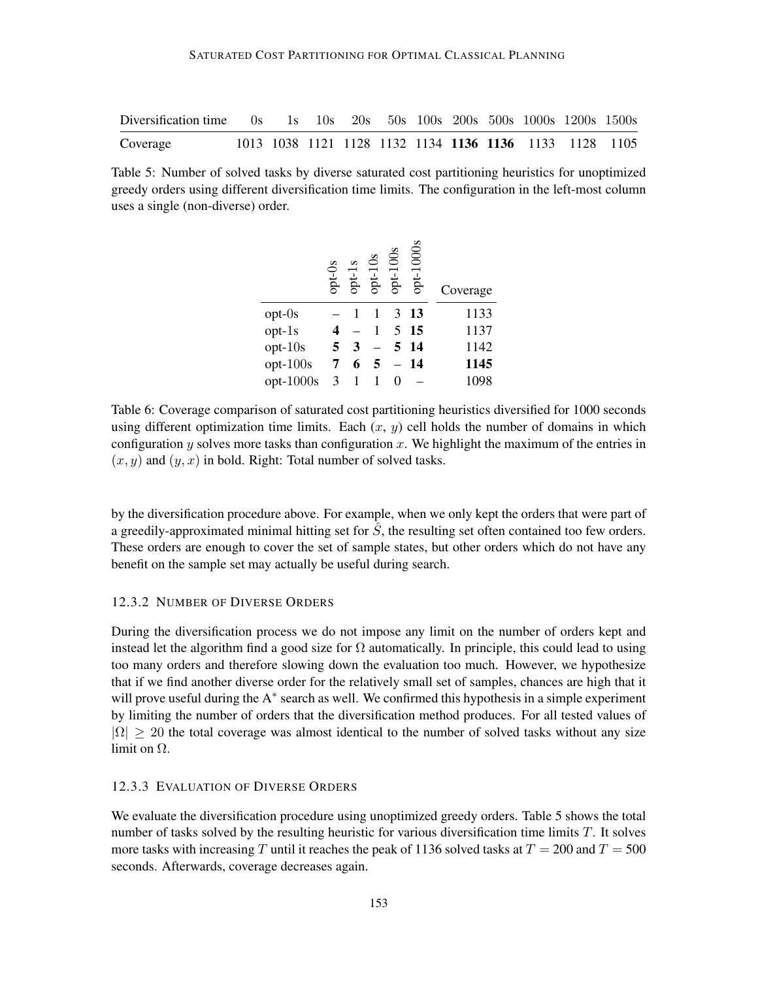| Diversification time 0s 1s 10s 20s 50s 100s 200s 500s 1000s 1200s 1500s |  |  |  |  |                                                        |  |
|-------------------------------------------------------------------------|--|--|--|--|--------------------------------------------------------|--|
| Coverage                                                                |  |  |  |  | 1013 1038 1121 1128 1132 1134 1136 1136 1133 1128 1105 |  |

Table 5: Number of solved tasks by diverse saturated cost partitioning heuristics for unoptimized greedy orders using different diversification time limits. The configuration in the left-most column uses a single (non-diverse) order.

|             | opt-0s | pt | SO<br>pt-1 | $opt-100s$ | $opt-1000$ s | Coverage |
|-------------|--------|----|------------|------------|--------------|----------|
| $opt-0s$    |        |    |            | 3          | 13           | 1133     |
| opt-1s      |        |    |            | 5          | - 15         | 1137     |
| $opt-10s$   | 5      | 3  |            |            | 5 14         | 1142     |
| opt-100s    |        | 6  |            |            | 14           | 1145     |
| $opt-1000s$ | 3      |    |            |            |              | 1098     |

Table 6: Coverage comparison of saturated cost partitioning heuristics diversified for 1000 seconds using different optimization time limits. Each  $(x, y)$  cell holds the number of domains in which configuration y solves more tasks than configuration x. We highlight the maximum of the entries in  $(x, y)$  and  $(y, x)$  in bold. Right: Total number of solved tasks.

by the diversification procedure above. For example, when we only kept the orders that were part of a greedily-approximated minimal hitting set for  $\hat{S}$ , the resulting set often contained too few orders. These orders are enough to cover the set of sample states, but other orders which do not have any benefit on the sample set may actually be useful during search.

# 12.3.2 NUMBER OF DIVERSE ORDERS

During the diversification process we do not impose any limit on the number of orders kept and instead let the algorithm find a good size for  $\Omega$  automatically. In principle, this could lead to using too many orders and therefore slowing down the evaluation too much. However, we hypothesize that if we find another diverse order for the relatively small set of samples, chances are high that it will prove useful during the A<sup>\*</sup> search as well. We confirmed this hypothesis in a simple experiment by limiting the number of orders that the diversification method produces. For all tested values of  $|\Omega| \geq 20$  the total coverage was almost identical to the number of solved tasks without any size limit on  $\Omega$ .

#### 12.3.3 EVALUATION OF DIVERSE ORDERS

We evaluate the diversification procedure using unoptimized greedy orders. Table 5 shows the total number of tasks solved by the resulting heuristic for various diversification time limits  $T$ . It solves more tasks with increasing T until it reaches the peak of 1136 solved tasks at  $T = 200$  and  $T = 500$ seconds. Afterwards, coverage decreases again.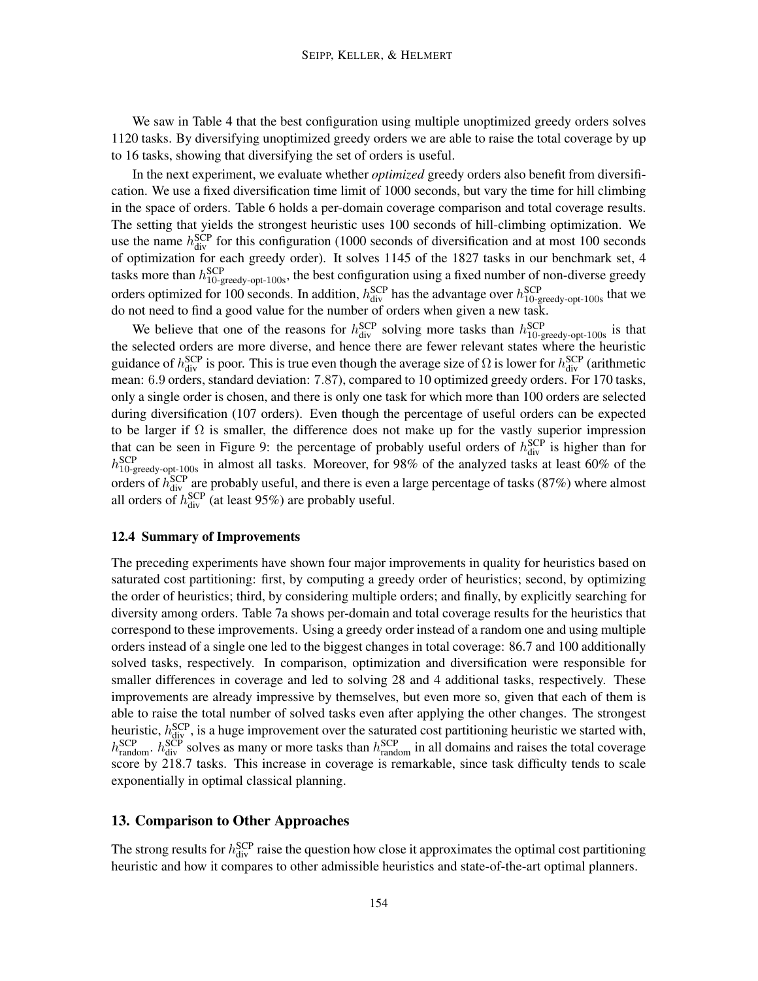We saw in Table 4 that the best configuration using multiple unoptimized greedy orders solves 1120 tasks. By diversifying unoptimized greedy orders we are able to raise the total coverage by up to 16 tasks, showing that diversifying the set of orders is useful.

In the next experiment, we evaluate whether *optimized* greedy orders also benefit from diversification. We use a fixed diversification time limit of 1000 seconds, but vary the time for hill climbing in the space of orders. Table 6 holds a per-domain coverage comparison and total coverage results. The setting that yields the strongest heuristic uses 100 seconds of hill-climbing optimization. We use the name  $h_{div}^{SCP}$  for this configuration (1000 seconds of diversification and at most 100 seconds of optimization for each greedy order). It solves 1145 of the 1827 tasks in our benchmark set, 4 tasks more than  $h_{10\text{-greedy-opt-100s}}^{\text{SCP}}$ , the best configuration using a fixed number of non-diverse greedy orders optimized for 100 seconds. In addition,  $h_{div}^{SCP}$  has the advantage over  $h_{10\text{-greedy-opt-100s}}^{SCP}$  that we do not need to find a good value for the number of orders when given a new task.

We believe that one of the reasons for  $h_{div}^{SCP}$  solving more tasks than  $h_{10\text{-greedy-opt-100s}}^{SCP}$  is that the selected orders are more diverse, and hence there are fewer relevant states where the heuristic guidance of  $h_{div}^{SCP}$  is poor. This is true even though the average size of  $\Omega$  is lower for  $h_{div}^{SCP}$  (arithmetic mean: 6.9 orders, standard deviation: 7.87), compared to 10 optimized greedy orders. For 170 tasks, only a single order is chosen, and there is only one task for which more than 100 orders are selected during diversification (107 orders). Even though the percentage of useful orders can be expected to be larger if  $\Omega$  is smaller, the difference does not make up for the vastly superior impression that can be seen in Figure 9: the percentage of probably useful orders of  $h_{div}^{SCP}$  is higher than for  $h_{10\text{-greedy-opt-100s}}^{\text{SCP}}$  in almost all tasks. Moreover, for 98% of the analyzed tasks at least 60% of the orders of  $h_{div}^{SCP}$  are probably useful, and there is even a large percentage of tasks (87%) where almost all orders of  $h_{div}^{SCP}$  (at least 95%) are probably useful.

#### 12.4 Summary of Improvements

The preceding experiments have shown four major improvements in quality for heuristics based on saturated cost partitioning: first, by computing a greedy order of heuristics; second, by optimizing the order of heuristics; third, by considering multiple orders; and finally, by explicitly searching for diversity among orders. Table 7a shows per-domain and total coverage results for the heuristics that correspond to these improvements. Using a greedy order instead of a random one and using multiple orders instead of a single one led to the biggest changes in total coverage: 86.7 and 100 additionally solved tasks, respectively. In comparison, optimization and diversification were responsible for smaller differences in coverage and led to solving 28 and 4 additional tasks, respectively. These improvements are already impressive by themselves, but even more so, given that each of them is able to raise the total number of solved tasks even after applying the other changes. The strongest heuristic,  $h_{\text{div}}^{\text{SCP}}$ , is a huge improvement over the saturated cost partitioning heuristic we started with,  $h_{\text{random}}^{\text{SCP}}$ .  $h_{\text{div}}^{\text{SCP}}$  solves as many or more tasks than  $h_{\text{random}}^{\text{SCP}}$  in all domains and raises the total coverage score by 218.7 tasks. This increase in coverage is remarkable, since task difficulty tends to scale exponentially in optimal classical planning.

# 13. Comparison to Other Approaches

The strong results for  $h_{div}^{SCP}$  raise the question how close it approximates the optimal cost partitioning heuristic and how it compares to other admissible heuristics and state-of-the-art optimal planners.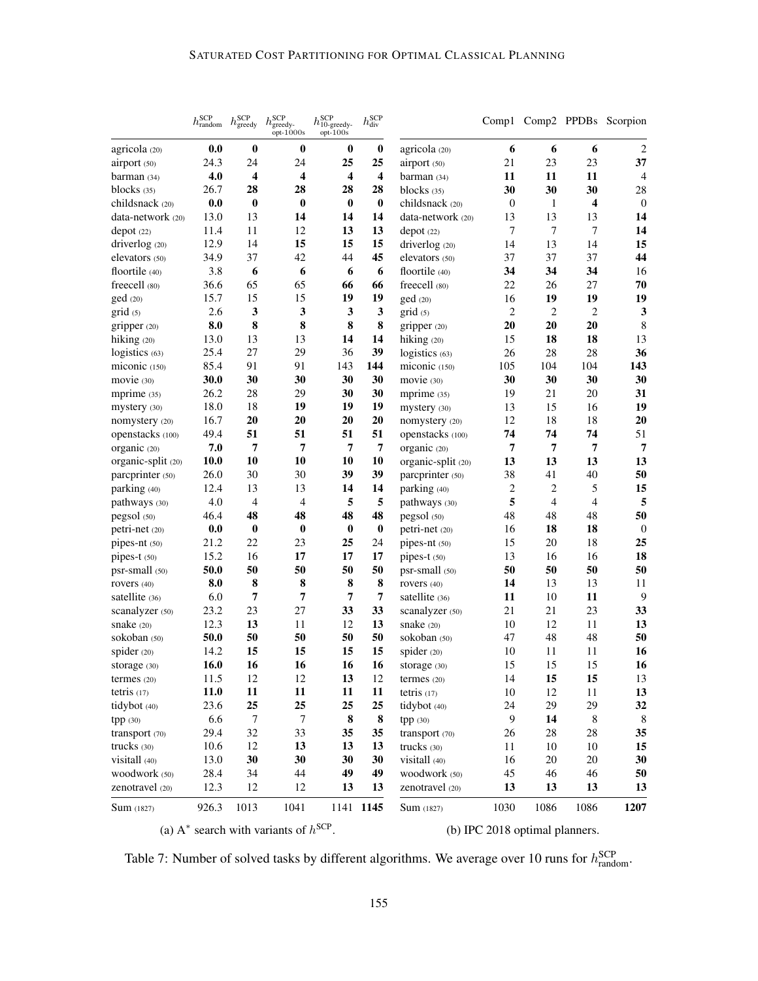|                    | $h^{\rm{SCP}}_{\rm{random}}$ | $h^{\rm{SCP}}_{\rm{greedy}}$ | $h^{\rm{SCP}}_{\rm{greedy-opt-1000s}}$ | $h^{\rm{SCP}}_{\rm{10-greedy-}}$<br>$opt-100s$ | $h^{\mathrm{SCP}}_{\mathrm{div}}$ |                    |                  |                |                | Comp1 Comp2 PPDBs Scorpion |
|--------------------|------------------------------|------------------------------|----------------------------------------|------------------------------------------------|-----------------------------------|--------------------|------------------|----------------|----------------|----------------------------|
| agricola (20)      | 0.0                          | $\bf{0}$                     | $\bf{0}$                               | $\bf{0}$                                       | $\bf{0}$                          | agricola (20)      | 6                | 6              | 6              | $\sqrt{2}$                 |
| airport (50)       | 24.3                         | 24                           | 24                                     | 25                                             | 25                                | airport (50)       | 21               | 23             | 23             | 37                         |
| barman(34)         | 4.0                          | 4                            | 4                                      | 4                                              | 4                                 | barman(34)         | 11               | 11             | 11             | $\overline{4}$             |
| blocks $(35)$      | 26.7                         | 28                           | 28                                     | 28                                             | 28                                | blocks $(35)$      | 30               | 30             | 30             | 28                         |
| childsnack (20)    | 0.0                          | $\boldsymbol{0}$             | $\bf{0}$                               | $\bf{0}$                                       | $\bf{0}$                          | childsnack (20)    | $\boldsymbol{0}$ | 1              | 4              | $\mathbf{0}$               |
| data-network (20)  | 13.0                         | 13                           | 14                                     | 14                                             | 14                                | data-network (20)  | 13               | 13             | 13             | 14                         |
| depot(22)          | 11.4                         | 11                           | 12                                     | 13                                             | 13                                | depot (22)         | $\overline{7}$   | $\tau$         | 7              | 14                         |
| driverlog (20)     | 12.9                         | 14                           | 15                                     | 15                                             | 15                                | driverlog (20)     | 14               | 13             | 14             | 15                         |
| elevators (50)     | 34.9                         | 37                           | 42                                     | 44                                             | 45                                | elevators (50)     | 37               | 37             | 37             | 44                         |
| floortile (40)     | 3.8                          | 6                            | 6                                      | 6                                              | 6                                 | floortile (40)     | 34               | 34             | 34             | 16                         |
| freecell (80)      | 36.6                         | 65                           | 65                                     | 66                                             | 66                                | freecell (80)      | 22               | 26             | 27             | 70                         |
| ged(20)            | 15.7                         | 15                           | 15                                     | 19                                             | 19                                | ged (20)           | 16               | 19             | 19             | 19                         |
| grid(5)            | 2.6                          | 3                            | 3                                      | 3                                              | $\mathbf{3}$                      | grid (5)           | $\mathbf{2}$     | $\mathbf{2}$   | $\overline{c}$ | 3                          |
| gripper (20)       | 8.0                          | 8                            | 8                                      | 8                                              | 8                                 | gripper (20)       | 20               | 20             | 20             | $\,8\,$                    |
| hiking $(20)$      | 13.0                         | 13                           | 13                                     | 14                                             | 14                                | hiking (20)        | 15               | 18             | 18             | 13                         |
| logistics (63)     | 25.4                         | 27                           | 29                                     | 36                                             | 39                                | logistics (63)     | 26               | 28             | 28             | 36                         |
| miconic (150)      | 85.4                         | 91                           | 91                                     | 143                                            | 144                               | miconic (150)      | 105              | 104            | 104            | 143                        |
| movie (30)         | 30.0                         | 30                           | 30                                     | 30                                             | 30                                | movie (30)         | 30               | 30             | 30             | 30                         |
| mprime $(35)$      | 26.2                         | 28                           | 29                                     | 30                                             | 30                                | mprime $(35)$      | 19               | 21             | 20             | 31                         |
| mystery (30)       | 18.0                         | 18                           | 19                                     | 19                                             | 19                                | mystery (30)       | 13               | 15             | 16             | 19                         |
| nomystery (20)     | 16.7                         | 20                           | 20                                     | 20                                             | 20                                | nomystery (20)     | 12               | 18             | 18             | 20                         |
| openstacks (100)   | 49.4                         | 51                           | 51                                     | 51                                             | 51                                | openstacks (100)   | 74               | 74             | 74             | 51                         |
| organic (20)       | 7.0                          | 7                            | 7                                      | $\overline{7}$                                 | $\overline{7}$                    | organic (20)       | 7                | 7              | $\overline{7}$ | $\overline{7}$             |
| organic-split (20) | 10.0                         | 10                           | 10                                     | 10                                             | 10                                | organic-split (20) | 13               | 13             | 13             | 13                         |
| parcprinter (50)   | 26.0                         | 30                           | 30                                     | 39                                             | 39                                | parcprinter (50)   | 38               | 41             | 40             | 50                         |
| parking (40)       | 12.4                         | 13                           | 13                                     | 14                                             | 14                                | parking (40)       | $\mathbf{2}$     | $\overline{c}$ | 5              | 15                         |
| pathways (30)      | 4.0                          | $\overline{4}$               | 4                                      | 5                                              | 5                                 | pathways (30)      | 5                | $\overline{4}$ | $\overline{4}$ | 5                          |
| pegsol (50)        | 46.4                         | 48                           | 48                                     | 48                                             | 48                                | pegsol (50)        | 48               | 48             | 48             | 50                         |
| petri-net (20)     | 0.0                          | $\bf{0}$                     | $\bf{0}$                               | $\bf{0}$                                       | $\bf{0}$                          | petri-net (20)     | 16               | 18             | 18             | $\mathbf{0}$               |
| pipes-nt (50)      | 21.2                         | 22                           | 23                                     | 25                                             | 24                                | pipes-nt (50)      | 15               | 20             | 18             | 25                         |
| pipes-t (50)       | 15.2                         | 16                           | 17                                     | 17                                             | 17                                | pipes-t (50)       | 13               | 16             | 16             | 18                         |
| psr-small (50)     | 50.0                         | 50                           | 50                                     | 50                                             | 50                                | psr-small (50)     | 50               | 50             | 50             | 50                         |
| rovers (40)        | 8.0                          | 8                            | 8                                      | 8                                              | 8                                 | rovers (40)        | 14               | 13             | 13             | 11                         |
| satellite (36)     | 6.0                          | 7                            | 7                                      | 7                                              | $\overline{7}$                    | satellite (36)     | 11               | 10             | 11             | 9                          |
| scanalyzer (50)    | 23.2                         | 23                           | 27                                     | 33                                             | 33                                | scanalyzer (50)    | 21               | 21             | 23             | 33                         |
| snake (20)         | 12.3                         | 13                           | 11                                     | 12                                             | 13                                | snake (20)         | 10               | 12             | 11             | 13                         |
| sokoban (50)       | 50.0                         | 50                           | 50                                     | 50                                             | 50                                | sokoban (50)       | 47               | 48             | 48             | 50                         |
| spider $(20)$      | 14.2                         | 15                           | 15                                     | 15                                             | 15                                | spider $(20)$      | 10               | 11             | 11             | 16                         |
| storage (30)       | 16.0                         | 16                           | 16                                     | 16                                             | 16                                | storage (30)       | 15               | 15             | 15             | 16                         |
| termes $(20)$      | 11.5                         | 12                           | 12                                     | 13                                             | 12                                | termes (20)        | 14               | 15             | 15             | 13                         |
| tetris $(17)$      | 11.0                         | 11                           | 11                                     | 11                                             | 11                                | tetris $(17)$      | 10               | 12             | 11             | 13                         |
| tidybot (40)       | 23.6                         | 25                           | 25                                     | 25                                             | 25                                | tidybot (40)       | 24               | 29             | 29             | 32                         |
| tpp(30)            | 6.6                          | $\overline{7}$               | 7                                      | 8                                              | ${\bf 8}$                         | tpp (30)           | 9                | 14             | 8              | $8\phantom{.0}$            |
| transport (70)     | 29.4                         | 32                           | 33                                     | 35                                             | 35                                | transport (70)     | 26               | $28\,$         | 28             | 35                         |
| trucks (30)        | 10.6                         | 12                           | 13                                     | 13                                             | 13                                | trucks (30)        | 11               | 10             | 10             | 15                         |
| visitall (40)      | 13.0                         | 30                           | 30                                     | 30                                             | 30                                | visitall (40)      | 16               | 20             | 20             | 30                         |
| woodwork (50)      | 28.4                         | 34                           | 44                                     | 49                                             | 49                                | woodwork (50)      | 45               | 46             | 46             | 50                         |
| zenotravel (20)    | 12.3                         | 12                           | 12                                     | 13                                             | 13                                | zenotravel (20)    | 13               | 13             | 13             | 13                         |
| <b>Sum</b> (1827)  | 926.3                        | 1013                         | 1041                                   | cCD                                            | 1141 1145                         | <b>Sum</b> (1827)  | 1030             | 1086           | 1086           | 1207                       |

(a)  $A^*$  search with variants of  $h^{SCP}$ .

(b) IPC 2018 optimal planners.

Table 7: Number of solved tasks by different algorithms. We average over 10 runs for  $h_{\text{random}}^{\text{SCP}}$ .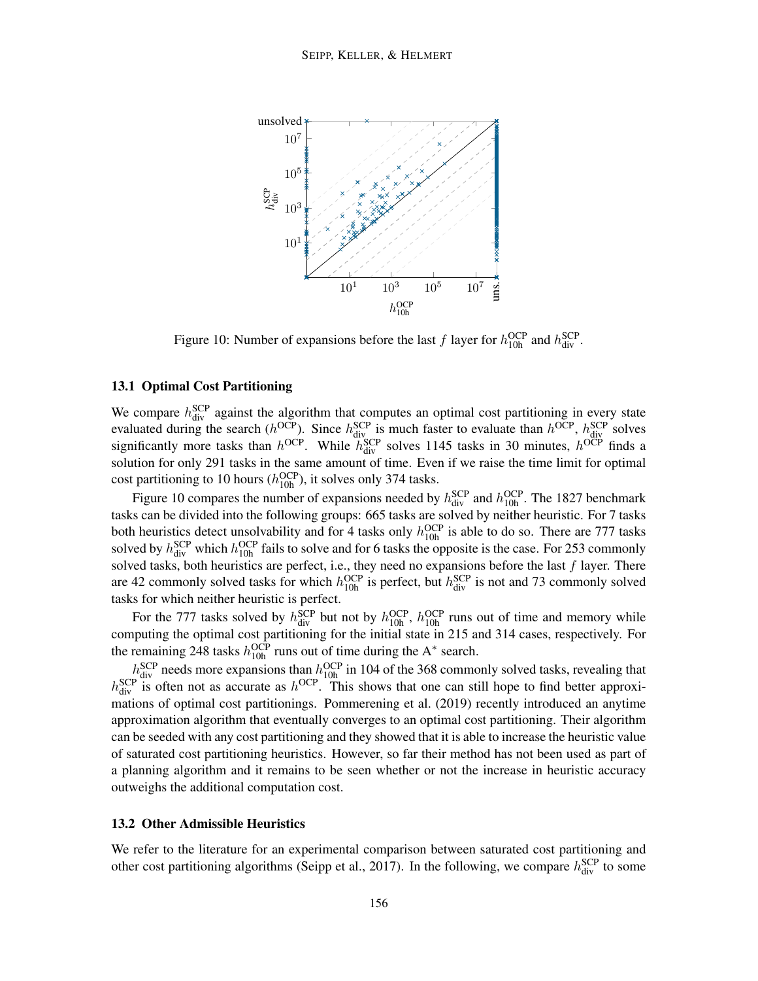

Figure 10: Number of expansions before the last f layer for  $h_{10h}^{OCP}$  and  $h_{div}^{SCP}$ .

# 13.1 Optimal Cost Partitioning

We compare  $h_{div}^{SCP}$  against the algorithm that computes an optimal cost partitioning in every state evaluated during the search ( $h^{OCP}$ ). Since  $h^{SCP}_{\text{div}}$  is much faster to evaluate than  $h^{OCP}$ ,  $h^{SCP}_{\text{div}}$  solves significantly more tasks than  $h^{\text{OCP}}$ . While  $h^{\text{SCP}}_{\text{div}}$  solves 1145 tasks in 30 minutes,  $h^{\text{OCP}}$  finds a solution for only 291 tasks in the same amount of time. Even if we raise the time limit for optimal cost partitioning to 10 hours  $(h_{10h}^{OCP})$ , it solves only 374 tasks.

Figure 10 compares the number of expansions needed by  $h_{div}^{SCP}$  and  $h_{10h}^{OCP}$ . The 1827 benchmark tasks can be divided into the following groups: 665 tasks are solved by neither heuristic. For 7 tasks both heuristics detect unsolvability and for 4 tasks only  $h_{10h}^{OCP}$  is able to do so. There are 777 tasks solved by  $h_{div}^{SCP}$  which  $h_{10h}^{OCP}$  fails to solve and for 6 tasks the opposite is the case. For 253 commonly solved tasks, both heuristics are perfect, i.e., they need no expansions before the last  $f$  layer. There are 42 commonly solved tasks for which  $h_{10h}^{OCP}$  is perfect, but  $h_{div}^{SCP}$  is not and 73 commonly solved tasks for which neither heuristic is perfect.

For the 777 tasks solved by  $h_{div}^{SCP}$  but not by  $h_{10h}^{OCP}$ ,  $h_{10h}^{OCP}$  runs out of time and memory while computing the optimal cost partitioning for the initial state in 215 and 314 cases, respectively. For the remaining 248 tasks  $h_{10h}^{OCP}$  runs out of time during the A<sup>\*</sup> search.

 $h_{\text{div}}^{\text{SCP}}$  needs more expansions than  $h_{\text{10h}}^{\text{OCP}}$  in 104 of the 368 commonly solved tasks, revealing that  $h_{div}^{SCP}$  is often not as accurate as  $h^{OCP}$ . This shows that one can still hope to find better approximations of optimal cost partitionings. Pommerening et al. (2019) recently introduced an anytime approximation algorithm that eventually converges to an optimal cost partitioning. Their algorithm can be seeded with any cost partitioning and they showed that it is able to increase the heuristic value of saturated cost partitioning heuristics. However, so far their method has not been used as part of a planning algorithm and it remains to be seen whether or not the increase in heuristic accuracy outweighs the additional computation cost.

# 13.2 Other Admissible Heuristics

We refer to the literature for an experimental comparison between saturated cost partitioning and other cost partitioning algorithms (Seipp et al., 2017). In the following, we compare  $h_{div}^{SCP}$  to some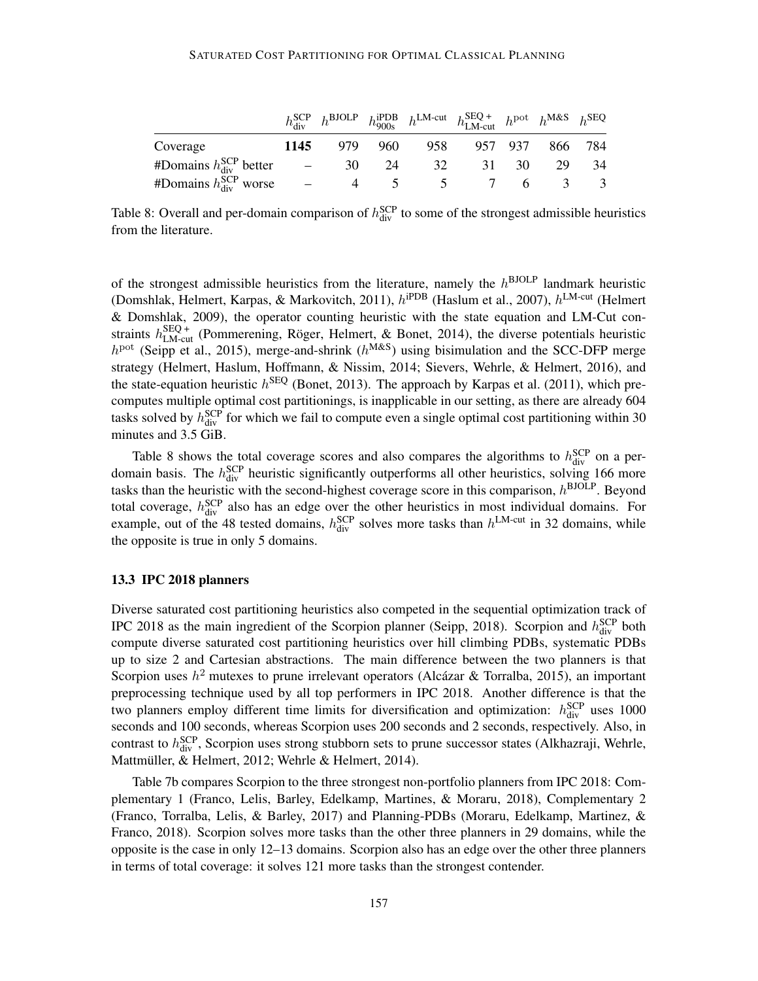|                                 |      |    |         |                 | $h_{\text{div}}^{\text{SCP}}$ $h_{900s}^{\text{BDDB}}$ $h_{\text{LM-cut}}^{\text{LM-cut}}$ $h_{\text{LM-cut}}^{\text{SEQ}}$ $h_{\text{MAS}}^{\text{MAS}}$ $h_{\text{SEQ}}$ |       |             |    |
|---------------------------------|------|----|---------|-----------------|----------------------------------------------------------------------------------------------------------------------------------------------------------------------------|-------|-------------|----|
| Coverage                        | 1145 |    | 979 960 |                 | 958 957 937 866 784                                                                                                                                                        |       |             |    |
| #Domains $h_{div}^{SCP}$ better |      | 30 | 24      | 32              |                                                                                                                                                                            | 31 30 | 29          | 34 |
| #Domains $h_{div}^{SCP}$ worse  |      |    |         | $5\overline{)}$ | $\mathcal{L}$ and $\mathcal{L}$                                                                                                                                            |       | $6 \quad 3$ | -3 |

Table 8: Overall and per-domain comparison of  $h_{div}^{SCP}$  to some of the strongest admissible heuristics from the literature.

of the strongest admissible heuristics from the literature, namely the  $h^{\text{BJOLP}}$  landmark heuristic (Domshlak, Helmert, Karpas, & Markovitch, 2011),  $h^{1}PDB$  (Haslum et al., 2007),  $h^{LM-cut}$  (Helmert & Domshlak, 2009), the operator counting heuristic with the state equation and LM-Cut constraints  $h_{LM-cut}^{SEQ+}$  (Pommerening, Röger, Helmert, & Bonet, 2014), the diverse potentials heuristic  $h<sup>pot</sup>$  (Seipp et al., 2015), merge-and-shrink ( $h<sup>MAS</sup>$ ) using bisimulation and the SCC-DFP merge strategy (Helmert, Haslum, Hoffmann, & Nissim, 2014; Sievers, Wehrle, & Helmert, 2016), and the state-equation heuristic  $h^{\text{SEQ}}$  (Bonet, 2013). The approach by Karpas et al. (2011), which precomputes multiple optimal cost partitionings, is inapplicable in our setting, as there are already 604 tasks solved by  $h_{div}^{SCP}$  for which we fail to compute even a single optimal cost partitioning within 30 minutes and 3.5 GiB.

Table 8 shows the total coverage scores and also compares the algorithms to  $h_{div}^{SCP}$  on a perdomain basis. The  $h_{div}^{SCP}$  heuristic significantly outperforms all other heuristics, solving 166 more tasks than the heuristic with the second-highest coverage score in this comparison,  $h^{\text{BIOLP}}$ . Beyond total coverage,  $h_{div}^{SCP}$  also has an edge over the other heuristics in most individual domains. For example, out of the 48 tested domains,  $h_{div}^{SCP}$  solves more tasks than  $h^{LM-cut}$  in 32 domains, while the opposite is true in only 5 domains.

#### 13.3 IPC 2018 planners

Diverse saturated cost partitioning heuristics also competed in the sequential optimization track of IPC 2018 as the main ingredient of the Scorpion planner (Seipp, 2018). Scorpion and  $h_{div}^{SCP}$  both compute diverse saturated cost partitioning heuristics over hill climbing PDBs, systematic PDBs up to size 2 and Cartesian abstractions. The main difference between the two planners is that Scorpion uses  $h^2$  mutexes to prune irrelevant operators (Alcázar & Torralba, 2015), an important preprocessing technique used by all top performers in IPC 2018. Another difference is that the two planners employ different time limits for diversification and optimization:  $h_{\text{div}}^{\text{SCP}}$  uses 1000 seconds and 100 seconds, whereas Scorpion uses 200 seconds and 2 seconds, respectively. Also, in contrast to  $h_{div}^{SCP}$ , Scorpion uses strong stubborn sets to prune successor states (Alkhazraji, Wehrle, Mattmüller, & Helmert, 2012; Wehrle & Helmert, 2014).

Table 7b compares Scorpion to the three strongest non-portfolio planners from IPC 2018: Complementary 1 (Franco, Lelis, Barley, Edelkamp, Martines, & Moraru, 2018), Complementary 2 (Franco, Torralba, Lelis, & Barley, 2017) and Planning-PDBs (Moraru, Edelkamp, Martinez, & Franco, 2018). Scorpion solves more tasks than the other three planners in 29 domains, while the opposite is the case in only 12–13 domains. Scorpion also has an edge over the other three planners in terms of total coverage: it solves 121 more tasks than the strongest contender.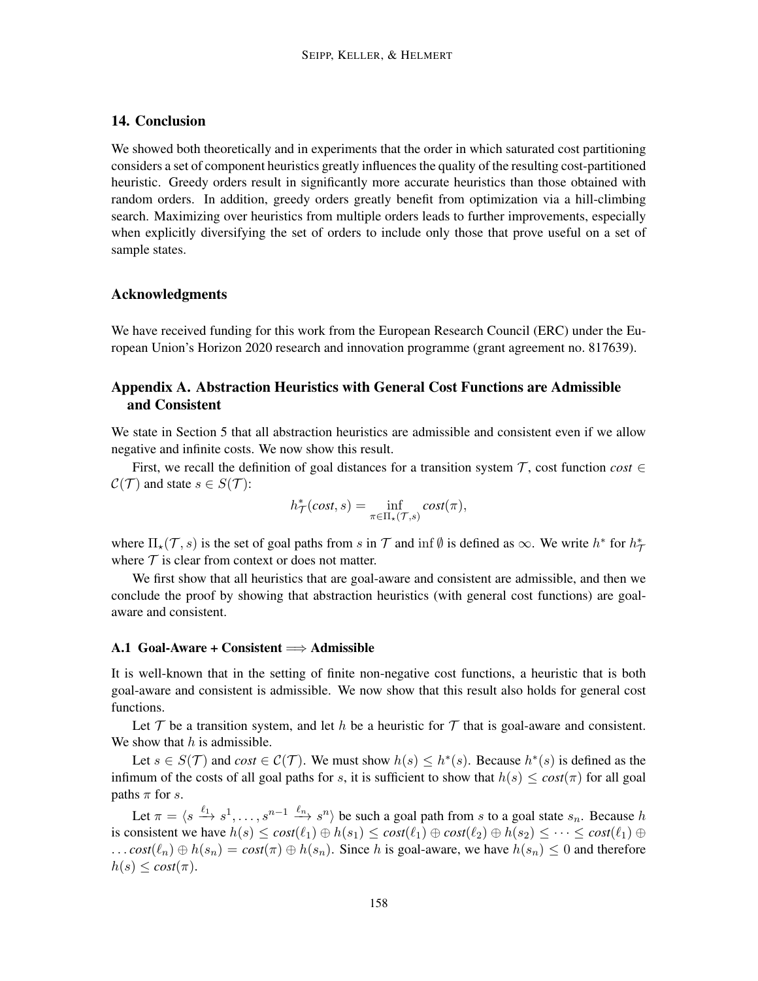# 14. Conclusion

We showed both theoretically and in experiments that the order in which saturated cost partitioning considers a set of component heuristics greatly influences the quality of the resulting cost-partitioned heuristic. Greedy orders result in significantly more accurate heuristics than those obtained with random orders. In addition, greedy orders greatly benefit from optimization via a hill-climbing search. Maximizing over heuristics from multiple orders leads to further improvements, especially when explicitly diversifying the set of orders to include only those that prove useful on a set of sample states.

#### Acknowledgments

We have received funding for this work from the European Research Council (ERC) under the European Union's Horizon 2020 research and innovation programme (grant agreement no. 817639).

# Appendix A. Abstraction Heuristics with General Cost Functions are Admissible and Consistent

We state in Section 5 that all abstraction heuristics are admissible and consistent even if we allow negative and infinite costs. We now show this result.

First, we recall the definition of goal distances for a transition system  $\mathcal{T}$ , cost function *cost* ∈  $C(\mathcal{T})$  and state  $s \in S(\mathcal{T})$ :

$$
h^*_{\mathcal{T}}(cost, s) = \inf_{\pi \in \Pi_*({\mathcal{T}}, s)} cost(\pi),
$$

where  $\Pi_{\star}(\mathcal{T}, s)$  is the set of goal paths from s in T and inf  $\emptyset$  is defined as  $\infty$ . We write  $h^*$  for  $h^*_{\mathcal{T}}$ where  $T$  is clear from context or does not matter.

We first show that all heuristics that are goal-aware and consistent are admissible, and then we conclude the proof by showing that abstraction heuristics (with general cost functions) are goalaware and consistent.

#### A.1 Goal-Aware + Consistent  $\Longrightarrow$  Admissible

It is well-known that in the setting of finite non-negative cost functions, a heuristic that is both goal-aware and consistent is admissible. We now show that this result also holds for general cost functions.

Let T be a transition system, and let h be a heuristic for T that is goal-aware and consistent. We show that  $h$  is admissible.

Let  $s \in S(\mathcal{T})$  and  $cost \in \mathcal{C}(\mathcal{T})$ . We must show  $h(s) \leq h^*(s)$ . Because  $h^*(s)$  is defined as the infimum of the costs of all goal paths for s, it is sufficient to show that  $h(s) \leq \cos(\pi)$  for all goal paths  $\pi$  for s.

Let  $\pi = \langle s \xrightarrow{\ell_1} s^1, \ldots, s^{n-1} \xrightarrow{\ell_n} s^n \rangle$  be such a goal path from s to a goal state  $s_n$ . Because h is consistent we have  $h(s) \leq cost(\ell_1) \oplus h(s_1) \leq cost(\ell_1) \oplus cost(\ell_2) \oplus h(s_2) \leq \cdots \leq cost(\ell_1) \oplus$ ...  $cost(\ell_n) \oplus h(s_n) = cost(\pi) \oplus h(s_n)$ . Since h is goal-aware, we have  $h(s_n) \leq 0$  and therefore  $h(s) \leq \cos t(\pi)$ .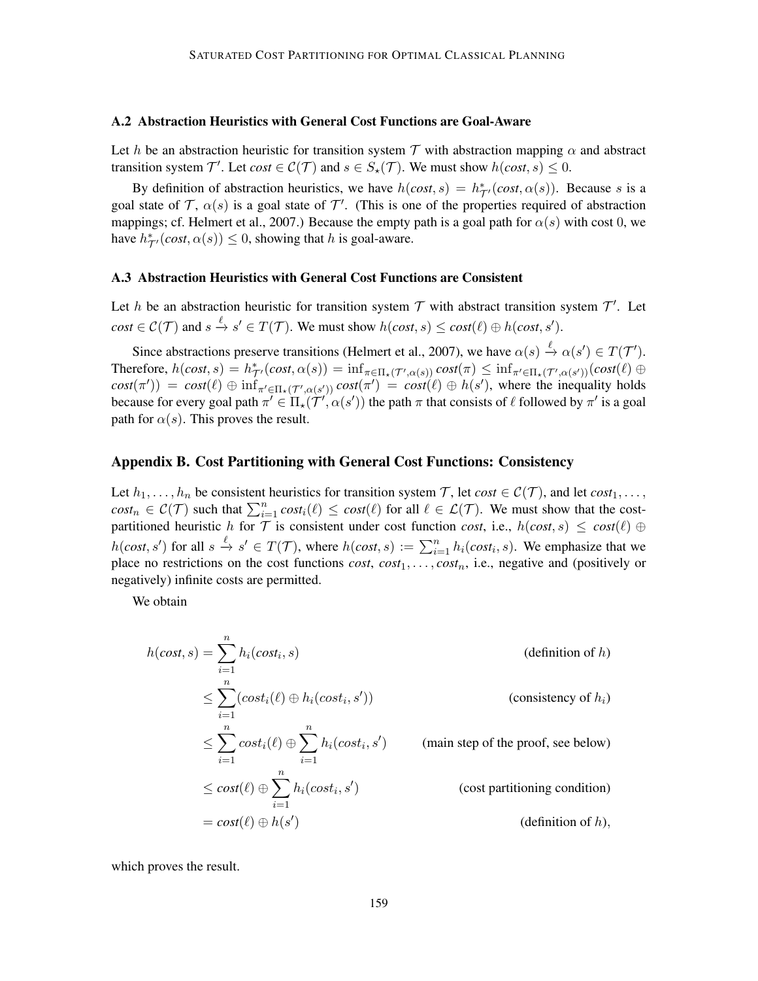#### A.2 Abstraction Heuristics with General Cost Functions are Goal-Aware

Let h be an abstraction heuristic for transition system T with abstraction mapping  $\alpha$  and abstract transition system  $\mathcal{T}'$ . Let  $cost \in \mathcal{C}(\mathcal{T})$  and  $s \in S_\star(\mathcal{T})$ . We must show  $h(cost, s) \leq 0$ .

By definition of abstraction heuristics, we have  $h(cost, s) = h^*_{\mathcal{T}'}(cost, \alpha(s))$ . Because s is a goal state of T,  $\alpha(s)$  is a goal state of T'. (This is one of the properties required of abstraction mappings; cf. Helmert et al., 2007.) Because the empty path is a goal path for  $\alpha(s)$  with cost 0, we have  $h_{\mathcal{T}}^*(cost, \alpha(s)) \leq 0$ , showing that h is goal-aware.

#### A.3 Abstraction Heuristics with General Cost Functions are Consistent

Let h be an abstraction heuristic for transition system  $T$  with abstract transition system  $T'$ . Let  $cost \in \mathcal{C}(\mathcal{T})$  and  $s \stackrel{\ell}{\to} s' \in T(\mathcal{T})$ . We must show  $h(cost, s) \leq cost(\ell) \oplus h(cost, s')$ .

Since abstractions preserve transitions (Helmert et al., 2007), we have  $\alpha(s) \stackrel{\ell}{\to} \alpha(s') \in T(\mathcal{T}')$ .  $\text{Therefore, } h(cost, s) = h_{\mathcal{T}}^*(cost, \alpha(s)) = \inf_{\pi \in \Pi_*(\mathcal{T}', \alpha(s))} cost(\pi) \leq \inf_{\pi' \in \Pi_*(\mathcal{T}', \alpha(s'))}(cost(\ell) \oplus$  $cost(\pi')$  =  $cost(\ell) \oplus \inf_{\pi' \in \Pi_{\star}(\mathcal{T}', \alpha(s'))} cost(\pi') = cost(\ell) \oplus h(s')$ , where the inequality holds because for every goal path  $\pi' \in \Pi_{\star}(\mathcal{T}', \alpha(s'))$  the path  $\pi$  that consists of  $\ell$  followed by  $\pi'$  is a goal path for  $\alpha(s)$ . This proves the result.

#### Appendix B. Cost Partitioning with General Cost Functions: Consistency

Let  $h_1, \ldots, h_n$  be consistent heuristics for transition system  $\mathcal{T}$ , let  $cost \in \mathcal{C}(\mathcal{T})$ , and let  $cost_1, \ldots,$  $cost_n \in \mathcal{C}(\mathcal{T})$  such that  $\sum_{i=1}^n cost_i(\ell) \leq cost(\ell)$  for all  $\ell \in \mathcal{L}(\mathcal{T})$ . We must show that the costpartitioned heuristic h for  $\mathcal{T}$  is consistent under cost function *cost*, i.e.,  $h(cost, s) \leq cost(\ell) \oplus$  $h(cost, s')$  for all  $s \stackrel{\ell}{\to} s' \in T(\mathcal{T})$ , where  $h(cost, s) := \sum_{i=1}^n h_i(cost_i, s)$ . We emphasize that we place no restrictions on the cost functions *cost*,  $cost_1, \ldots, cost_n$ , i.e., negative and (positively or negatively) infinite costs are permitted.

We obtain

$$
h(cost, s) = \sum_{i=1}^{n} h_i(cost_i, s)
$$
 (definition of h)  
\n
$$
\leq \sum_{i=1}^{n} (cost_i(\ell) \oplus h_i(cost_i, s'))
$$
 (consistency of h<sub>i</sub>)  
\n
$$
\leq \sum_{i=1}^{n} cost_i(\ell) \oplus \sum_{i=1}^{n} h_i(cost_i, s')
$$
 (main step of the proof, see below)  
\n
$$
\leq cost(\ell) \oplus \sum_{i=1}^{n} h_i(cost_i, s')
$$
 (cost partitioning condition)  
\n
$$
= cost(\ell) \oplus h(s')
$$
 (definition of h),

which proves the result.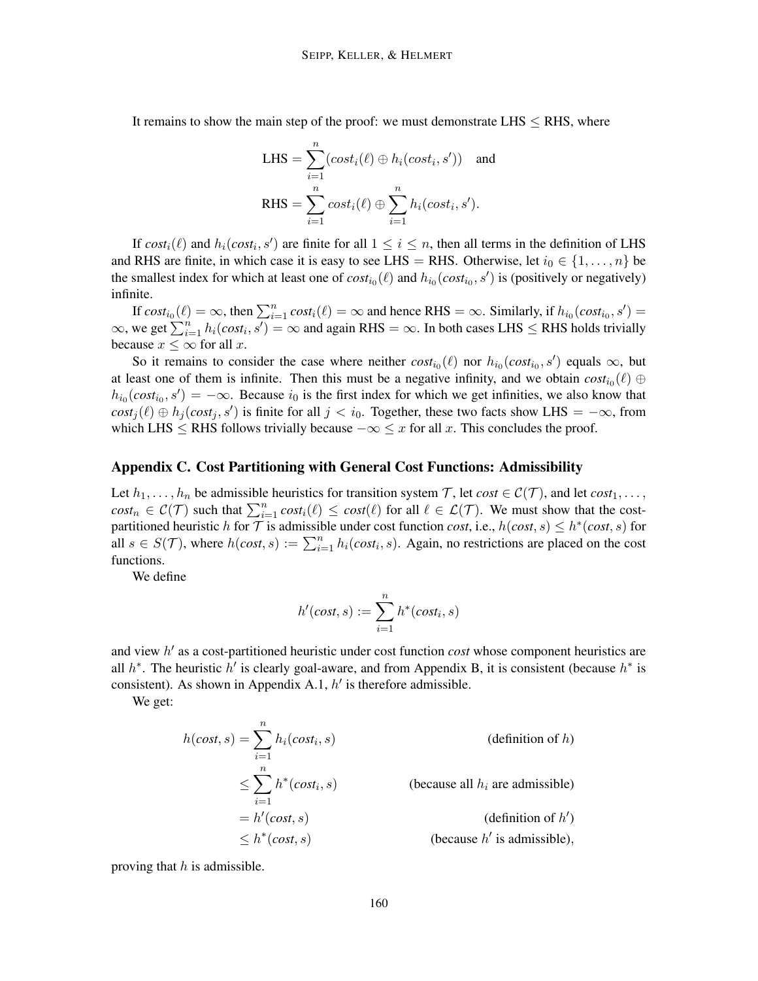It remains to show the main step of the proof: we must demonstrate LHS  $\leq$  RHS, where

LHS = 
$$
\sum_{i=1}^{n} (cost_i(\ell) \oplus h_i(cost_i, s'))
$$
 and  
RHS =  $\sum_{i=1}^{n} cost_i(\ell) \oplus \sum_{i=1}^{n} h_i(cost_i, s').$ 

If  $cost_i(\ell)$  and  $h_i(cost_i, s')$  are finite for all  $1 \le i \le n$ , then all terms in the definition of LHS and RHS are finite, in which case it is easy to see LHS = RHS. Otherwise, let  $i_0 \in \{1, ..., n\}$  be the smallest index for which at least one of  $cost_{i0}(\ell)$  and  $h_{i0}(cost_{i0}, s')$  is (positively or negatively) infinite.

If  $cost_{i_0}(\ell) = \infty$ , then  $\sum_{i=1}^{n} cost_i(\ell) = \infty$  and hence RHS =  $\infty$ . Similarly, if  $h_{i_0}(cost_{i_0}, s') =$  $\infty$ , we get  $\sum_{i=1}^{n} h_i(cost_i, s') = \infty$  and again RHS =  $\infty$ . In both cases LHS  $\le$  RHS holds trivially because  $x \leq \infty$  for all x.

So it remains to consider the case where neither  $cost_{i_0}(\ell)$  nor  $h_{i_0}(cost_{i_0}, s')$  equals  $\infty$ , but at least one of them is infinite. Then this must be a negative infinity, and we obtain  $cost_{i_0}(\ell) \oplus$  $h_{i_0}(cost_{i_0}, s') = -\infty$ . Because  $i_0$  is the first index for which we get infinities, we also know that  $cost_j(\ell) \oplus h_j(cost_j, s')$  is finite for all  $j < i_0$ . Together, these two facts show LHS =  $-\infty$ , from which LHS  $\leq$  RHS follows trivially because  $-\infty \leq x$  for all x. This concludes the proof.

# Appendix C. Cost Partitioning with General Cost Functions: Admissibility

Let  $h_1, \ldots, h_n$  be admissible heuristics for transition system  $\mathcal{T}$ , let  $cost \in \mathcal{C}(\mathcal{T})$ , and let  $cost_1, \ldots,$  $cost_n \in \mathcal{C}(\mathcal{T})$  such that  $\sum_{i=1}^n cost_i(\ell) \leq cost(\ell)$  for all  $\ell \in \mathcal{L}(\mathcal{T})$ . We must show that the costpartitioned heuristic h for  $\mathcal T$  is admissible under cost function *cost*, i.e.,  $h(cost, s) \leq h^*(cost, s)$  for all  $s \in S(\mathcal{T})$ , where  $h(cost, s) := \sum_{i=1}^n h_i(cost_i, s)$ . Again, no restrictions are placed on the cost functions.

We define

$$
h'(cost, s) := \sum_{i=1}^{n} h^*(cost_i, s)
$$

and view h' as a cost-partitioned heuristic under cost function *cost* whose component heuristics are all  $h^*$ . The heuristic  $h'$  is clearly goal-aware, and from Appendix B, it is consistent (because  $h^*$  is consistent). As shown in Appendix A.1,  $h'$  is therefore admissible.

We get:

$$
h(cost, s) = \sum_{i=1}^{n} h_i(cost_i, s)
$$
 (definition of h)  
\n
$$
\leq \sum_{i=1}^{n} h^*(cost_i, s)
$$
 (because all  $h_i$  are admissible)  
\n
$$
= h'(cost, s)
$$
 (definition of h')  
\n
$$
\leq h^*(cost, s)
$$
 (because h' is admissible),

proving that  $h$  is admissible.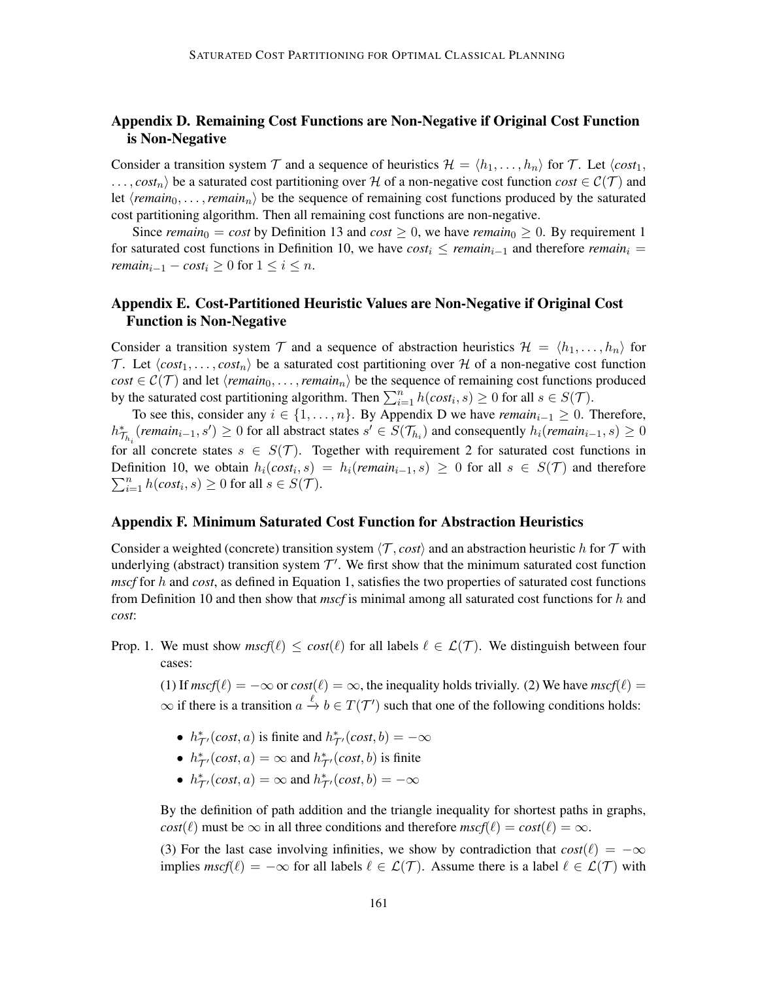# Appendix D. Remaining Cost Functions are Non-Negative if Original Cost Function is Non-Negative

Consider a transition system T and a sequence of heuristics  $\mathcal{H} = \langle h_1, \ldots, h_n \rangle$  for T. Let  $\langle cost_1, \ldots, h_n \rangle$  $\ldots$ , *cost<sub>n</sub>*) be a saturated cost partitioning over H of a non-negative cost function *cost*  $\in \mathcal{C}(\mathcal{T})$  and let  $\langle remain_0, \ldots, remain_n \rangle$  be the sequence of remaining cost functions produced by the saturated cost partitioning algorithm. Then all remaining cost functions are non-negative.

Since *remain*<sub>0</sub> = *cost* by Definition 13 and *cost*  $\geq$  0, we have *remain*<sub>0</sub>  $\geq$  0. By requirement 1 for saturated cost functions in Definition 10, we have  $cost_i \leq remain_{i-1}$  and therefore *remain*<sub>i</sub> = *remain*<sub>i-1</sub> −  $cost_i \geq 0$  for  $1 \leq i \leq n$ .

# Appendix E. Cost-Partitioned Heuristic Values are Non-Negative if Original Cost Function is Non-Negative

Consider a transition system  $\mathcal T$  and a sequence of abstraction heuristics  $\mathcal H = \langle h_1, \ldots, h_n \rangle$  for T. Let  $\langle cost_1, \ldots, cost_n \rangle$  be a saturated cost partitioning over H of a non-negative cost function  $cost \in C(\mathcal{T})$  and let  $\langle remain_0, \ldots, remain_n \rangle$  be the sequence of remaining cost functions produced by the saturated cost partitioning algorithm. Then  $\sum_{i=1}^{n} h(cost_i, s) \ge 0$  for all  $s \in S(\mathcal{T})$ .

To see this, consider any  $i \in \{1, \ldots, n\}$ . By Appendix D we have  $\text{remain}_{i-1} \geq 0$ . Therefore,  $h_{\mathcal{T}_{h_i}}^*$  (*remain*<sub>i−1</sub>, s') ≥ 0 for all abstract states  $s' \in S(\mathcal{T}_{h_i})$  and consequently  $h_i$  (*remain*<sub>i−1</sub>, s) ≥ 0 for all concrete states  $s \in S(\mathcal{T})$ . Together with requirement 2 for saturated cost functions in Definition 10, we obtain  $h_i(cost_i, s) = h_i(remain_{i-1}, s) \ge 0$  for all  $s \in S(\mathcal{T})$  and therefore  $\sum_{i=1}^{n} h(cost_i, s) \ge 0$  for all  $s \in S(\mathcal{T})$ .

### Appendix F. Minimum Saturated Cost Function for Abstraction Heuristics

Consider a weighted (concrete) transition system  $\langle \mathcal{T}, cost \rangle$  and an abstraction heuristic h for  $\mathcal T$  with underlying (abstract) transition system  $\mathcal{T}'$ . We first show that the minimum saturated cost function *mscf* for h and *cost*, as defined in Equation 1, satisfies the two properties of saturated cost functions from Definition 10 and then show that *mscf* is minimal among all saturated cost functions for h and *cost*:

Prop. 1. We must show  $mscf(\ell) \leq cost(\ell)$  for all labels  $\ell \in \mathcal{L}(\mathcal{T})$ . We distinguish between four cases:

(1) If  $mscf(\ell) = -\infty$  or  $cost(\ell) = \infty$ , the inequality holds trivially. (2) We have  $mscf(\ell) =$  $\infty$  if there is a transition  $a \stackrel{\ell}{\to} b \in T(\mathcal{T}')$  such that one of the following conditions holds:

- $h^*_{\mathcal{T}'}(cost, a)$  is finite and  $h^*_{\mathcal{T}'}(cost, b) = -\infty$
- $h^*_{\mathcal{T}'}(cost, a) = \infty$  and  $h^*_{\mathcal{T}'}(cost, b)$  is finite
- $h^*_{\mathcal{T}'}(cost, a) = \infty$  and  $h^*_{\mathcal{T}'}(cost, b) = -\infty$

By the definition of path addition and the triangle inequality for shortest paths in graphs, *cost*( $\ell$ ) must be  $\infty$  in all three conditions and therefore  $mscf(\ell) = cost(\ell) = \infty$ .

(3) For the last case involving infinities, we show by contradiction that  $cost(\ell) = -\infty$ implies  $\textit{mscf}(\ell) = -\infty$  for all labels  $\ell \in \mathcal{L}(\mathcal{T})$ . Assume there is a label  $\ell \in \mathcal{L}(\mathcal{T})$  with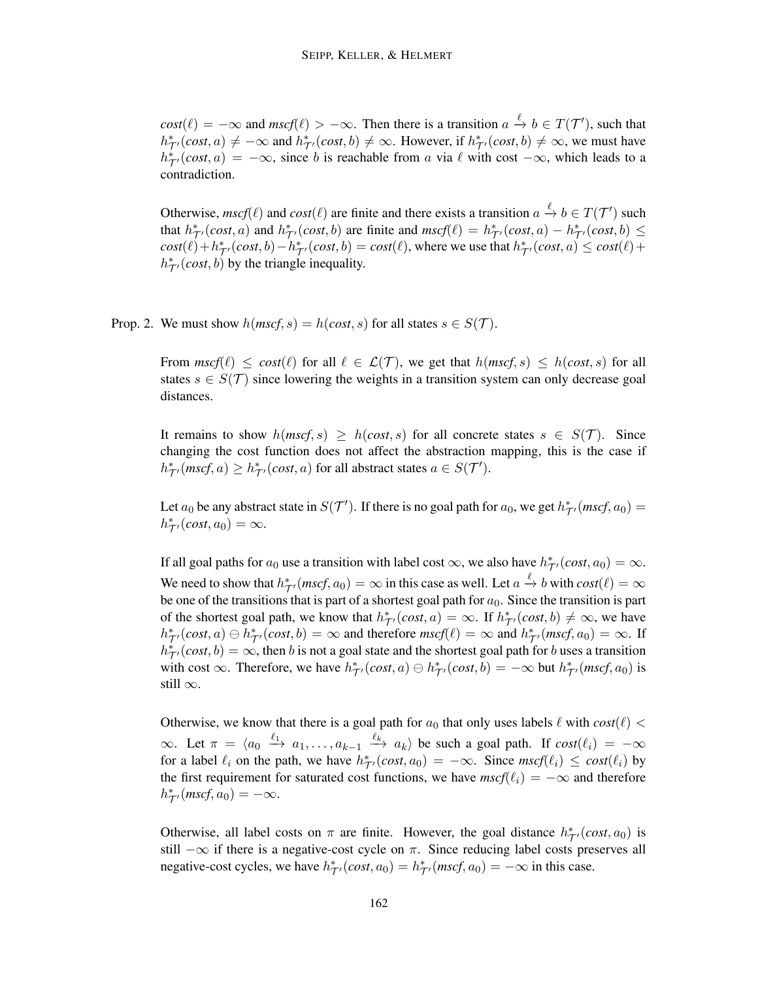$cost(\ell) = -\infty$  and  $mscf(\ell) > -\infty$ . Then there is a transition  $a \stackrel{\ell}{\to} b \in T(\mathcal{T}')$ , such that  $h_{\mathcal{T}}^*(cost, a) \neq -\infty$  and  $h_{\mathcal{T}}^*(cost, b) \neq \infty$ . However, if  $h_{\mathcal{T}}^*(cost, b) \neq \infty$ , we must have  $h_{\tau}^{*}(cost, a) = -\infty$ , since b is reachable from a via  $\ell$  with cost  $-\infty$ , which leads to a contradiction.

Otherwise,  $mscf(\ell)$  and  $cost(\ell)$  are finite and there exists a transition  $a \stackrel{\ell}{\to} b \in T(\mathcal{T}')$  such that  $h_{\mathcal{T}}^*$  (*cost*, *a*) and  $h_{\mathcal{T}}^*$  (*cost*, *b*) are finite and  $mscf(\ell) = h_{\mathcal{T}}^*$  (*cost*, *a*) –  $h_{\mathcal{T}}^*$  (*cost*, *b*)  $\leq$  $cost(\ell) + h_{\mathcal{T}'}^*(cost, b) - h_{\mathcal{T}'}^*(cost, b) = cost(\ell)$ , where we use that  $h_{\mathcal{T}'}^*(cost, a) \leq cost(\ell) +$  $h^*_{\mathcal{T}'}(cost, b)$  by the triangle inequality.

Prop. 2. We must show  $h(mscf, s) = h(cost, s)$  for all states  $s \in S(\mathcal{T})$ .

From  $\textit{mscf}(\ell) \leq \textit{cost}(\ell)$  for all  $\ell \in \mathcal{L}(\mathcal{T})$ , we get that  $h(\textit{mscf}, s) \leq h(\textit{cost}, s)$  for all states  $s \in S(\mathcal{T})$  since lowering the weights in a transition system can only decrease goal distances.

It remains to show  $h(mscf, s) \geq h(cost, s)$  for all concrete states  $s \in S(\mathcal{T})$ . Since changing the cost function does not affect the abstraction mapping, this is the case if  $h^*_{\mathcal{T}'}(mscf, a) \geq h^*_{\mathcal{T}'}(cost, a)$  for all abstract states  $a \in S(\mathcal{T}')$ .

Let  $a_0$  be any abstract state in  $S(\mathcal{T}')$ . If there is no goal path for  $a_0$ , we get  $h_{\mathcal{T}'}^*(mscf, a_0)$  =  $h_{\mathcal{T}}^* (cost, a_0) = \infty.$ 

If all goal paths for  $a_0$  use a transition with label cost  $\infty$ , we also have  $h^*_{\mathcal{T}'}(cost, a_0) = \infty$ . We need to show that  $h^*_{\mathcal{T}}(\textit{mscf}, a_0) = \infty$  in this case as well. Let  $a \xrightarrow{\ell} b$  with  $\textit{cost}(\ell) = \infty$ be one of the transitions that is part of a shortest goal path for  $a_0$ . Since the transition is part of the shortest goal path, we know that  $h^*_{\mathcal{T}}(\text{cost}, a) = \infty$ . If  $h^*_{\mathcal{T}}(\text{cost}, b) \neq \infty$ , we have  $h_{\mathcal{T}}^*(cost, a) \ominus h_{\mathcal{T}}^*(cost, b) = \infty$  and therefore  $mscf(\ell) = \infty$  and  $h_{\mathcal{T}}^*(mscf, a_0) = \infty$ . If  $h_{\mathcal{T}}^* (cost, b) = \infty$ , then b is not a goal state and the shortest goal path for b uses a transition with cost  $\infty$ . Therefore, we have  $h^*_{\mathcal{T}'}(cost, a) \ominus h^*_{\mathcal{T}'}(cost, b) = -\infty$  but  $h^*_{\mathcal{T}'}(mscf, a_0)$  is still  $\infty$ .

Otherwise, we know that there is a goal path for  $a_0$  that only uses labels  $\ell$  with  $cost(\ell)$  <  $\infty$ . Let  $\pi = \langle a_0 \xrightarrow{\ell_1} a_1, \ldots, a_{k-1} \xrightarrow{\ell_k} a_k \rangle$  be such a goal path. If  $cost(\ell_i) = -\infty$ for a label  $\ell_i$  on the path, we have  $h^*_{\mathcal{T}'}(cost, a_0) = -\infty$ . Since  $mscf(\ell_i) \leq cost(\ell_i)$  by the first requirement for saturated cost functions, we have  $mscf(\ell_i) = -\infty$  and therefore  $h^*_{\mathcal{T}'}(mscf, a_0) = -\infty.$ 

Otherwise, all label costs on  $\pi$  are finite. However, the goal distance  $h^*_{\mathcal{T}'}(cost, a_0)$  is still  $-\infty$  if there is a negative-cost cycle on  $\pi$ . Since reducing label costs preserves all negative-cost cycles, we have  $h_{\mathcal{T}}^*(cost, a_0) = h_{\mathcal{T}}^*(mscf, a_0) = -\infty$  in this case.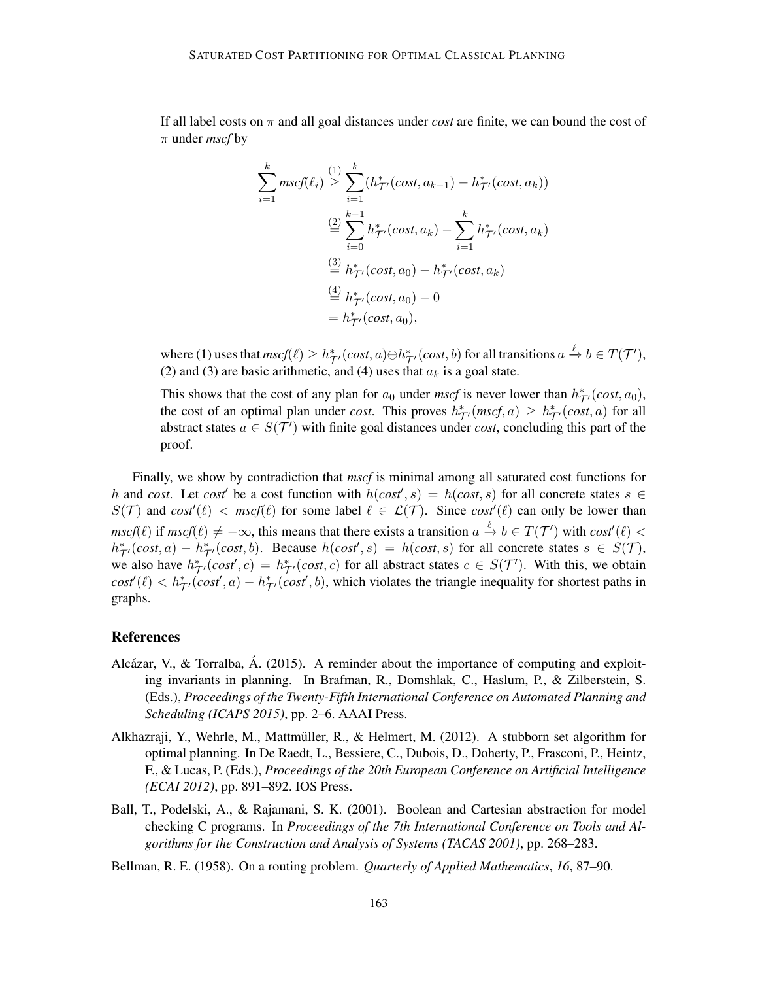If all label costs on π and all goal distances under *cost* are finite, we can bound the cost of π under *mscf* by

$$
\sum_{i=1}^{k} mscf(\ell_i) \geq \sum_{i=1}^{k} (h_{\mathcal{T}'}^*(cost, a_{k-1}) - h_{\mathcal{T}'}^*(cost, a_k))
$$
  

$$
\stackrel{(2)}{=} \sum_{i=0}^{k-1} h_{\mathcal{T}'}^*(cost, a_k) - \sum_{i=1}^{k} h_{\mathcal{T}'}^*(cost, a_k)
$$
  

$$
\stackrel{(3)}{=} h_{\mathcal{T}'}^*(cost, a_0) - h_{\mathcal{T}'}^*(cost, a_k)
$$
  

$$
\stackrel{(4)}{=} h_{\mathcal{T}'}^*(cost, a_0) - 0
$$
  

$$
= h_{\mathcal{T}'}^*(cost, a_0),
$$

where (1) uses that  $mscf(\ell) \geq h_{\mathcal{T}'}^*(cost, a) \ominus h_{\mathcal{T}'}^*(cost, b)$  for all transitions  $a \xrightarrow{\ell} b \in T(\mathcal{T}'),$ (2) and (3) are basic arithmetic, and (4) uses that  $a_k$  is a goal state.

This shows that the cost of any plan for  $a_0$  under *mscf* is never lower than  $h^*_{\mathcal{T}}(\text{cost}, a_0)$ , the cost of an optimal plan under *cost*. This proves  $h^*_{\mathcal{T}'}(mscf, a) \geq h^*_{\mathcal{T}'}(cost, a)$  for all abstract states  $a \in S(\mathcal{T}')$  with finite goal distances under *cost*, concluding this part of the proof.

Finally, we show by contradiction that *mscf* is minimal among all saturated cost functions for h and *cost*. Let *cost'* be a cost function with  $h(cost, s) = h(cost, s)$  for all concrete states  $s \in$  $S(\mathcal{T})$  and  $cost'(\ell) < mscf(\ell)$  for some label  $\ell \in \mathcal{L}(\mathcal{T})$ . Since  $cost'(\ell)$  can only be lower than  $mscf(\ell)$  if  $mscf(\ell) \neq -\infty$ , this means that there exists a transition  $a \stackrel{\ell}{\to} b \in T(\mathcal{T}')$  with  $cost'(\ell)$  $h_{\tau}^*(\text{cost}, a) - h_{\tau'}^*(\text{cost}, b)$ . Because  $h(\text{cost}, s) = h(\text{cost}, s)$  for all concrete states  $s \in S(\tau)$ , we also have  $h_{\mathcal{T}}^*(cost', c) = h_{\mathcal{T}}^*(cost, c)$  for all abstract states  $c \in S(\mathcal{T}')$ . With this, we obtain  $\textit{cost}'(\ell) < h^*_{\mathcal{T}'}(\textit{cost}', a) - h^*_{\mathcal{T}'}(\textit{cost}', b)$ , which violates the triangle inequality for shortest paths in graphs.

#### References

- Alcázar, V., & Torralba, Á. (2015). A reminder about the importance of computing and exploiting invariants in planning. In Brafman, R., Domshlak, C., Haslum, P., & Zilberstein, S. (Eds.), *Proceedings of the Twenty-Fifth International Conference on Automated Planning and Scheduling (ICAPS 2015)*, pp. 2–6. AAAI Press.
- Alkhazraji, Y., Wehrle, M., Mattmuller, R., & Helmert, M. (2012). A stubborn set algorithm for ¨ optimal planning. In De Raedt, L., Bessiere, C., Dubois, D., Doherty, P., Frasconi, P., Heintz, F., & Lucas, P. (Eds.), *Proceedings of the 20th European Conference on Artificial Intelligence (ECAI 2012)*, pp. 891–892. IOS Press.
- Ball, T., Podelski, A., & Rajamani, S. K. (2001). Boolean and Cartesian abstraction for model checking C programs. In *Proceedings of the 7th International Conference on Tools and Algorithms for the Construction and Analysis of Systems (TACAS 2001)*, pp. 268–283.
- Bellman, R. E. (1958). On a routing problem. *Quarterly of Applied Mathematics*, *16*, 87–90.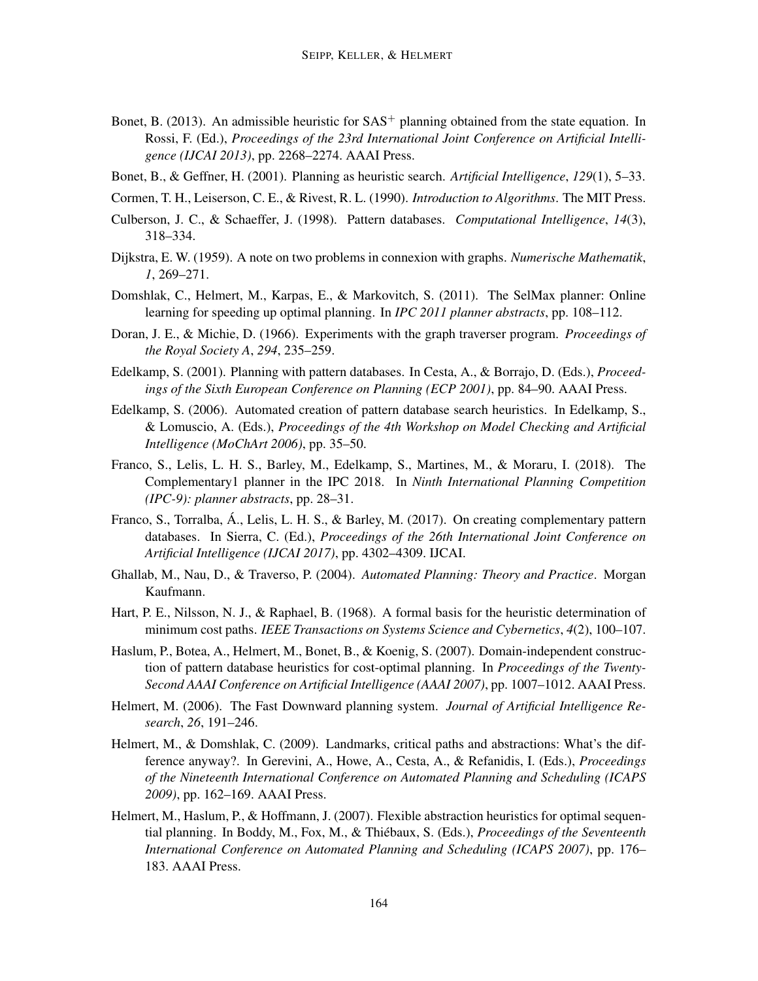- Bonet, B. (2013). An admissible heuristic for  $SAS^+$  planning obtained from the state equation. In Rossi, F. (Ed.), *Proceedings of the 23rd International Joint Conference on Artificial Intelligence (IJCAI 2013)*, pp. 2268–2274. AAAI Press.
- Bonet, B., & Geffner, H. (2001). Planning as heuristic search. *Artificial Intelligence*, *129*(1), 5–33.
- Cormen, T. H., Leiserson, C. E., & Rivest, R. L. (1990). *Introduction to Algorithms*. The MIT Press.
- Culberson, J. C., & Schaeffer, J. (1998). Pattern databases. *Computational Intelligence*, *14*(3), 318–334.
- Dijkstra, E. W. (1959). A note on two problems in connexion with graphs. *Numerische Mathematik*, *1*, 269–271.
- Domshlak, C., Helmert, M., Karpas, E., & Markovitch, S. (2011). The SelMax planner: Online learning for speeding up optimal planning. In *IPC 2011 planner abstracts*, pp. 108–112.
- Doran, J. E., & Michie, D. (1966). Experiments with the graph traverser program. *Proceedings of the Royal Society A*, *294*, 235–259.
- Edelkamp, S. (2001). Planning with pattern databases. In Cesta, A., & Borrajo, D. (Eds.), *Proceedings of the Sixth European Conference on Planning (ECP 2001)*, pp. 84–90. AAAI Press.
- Edelkamp, S. (2006). Automated creation of pattern database search heuristics. In Edelkamp, S., & Lomuscio, A. (Eds.), *Proceedings of the 4th Workshop on Model Checking and Artificial Intelligence (MoChArt 2006)*, pp. 35–50.
- Franco, S., Lelis, L. H. S., Barley, M., Edelkamp, S., Martines, M., & Moraru, I. (2018). The Complementary1 planner in the IPC 2018. In *Ninth International Planning Competition (IPC-9): planner abstracts*, pp. 28–31.
- Franco, S., Torralba, A., Lelis, L. H. S., & Barley, M. (2017). On creating complementary pattern ´ databases. In Sierra, C. (Ed.), *Proceedings of the 26th International Joint Conference on Artificial Intelligence (IJCAI 2017)*, pp. 4302–4309. IJCAI.
- Ghallab, M., Nau, D., & Traverso, P. (2004). *Automated Planning: Theory and Practice*. Morgan Kaufmann.
- Hart, P. E., Nilsson, N. J., & Raphael, B. (1968). A formal basis for the heuristic determination of minimum cost paths. *IEEE Transactions on Systems Science and Cybernetics*, *4*(2), 100–107.
- Haslum, P., Botea, A., Helmert, M., Bonet, B., & Koenig, S. (2007). Domain-independent construction of pattern database heuristics for cost-optimal planning. In *Proceedings of the Twenty-Second AAAI Conference on Artificial Intelligence (AAAI 2007)*, pp. 1007–1012. AAAI Press.
- Helmert, M. (2006). The Fast Downward planning system. *Journal of Artificial Intelligence Research*, *26*, 191–246.
- Helmert, M., & Domshlak, C. (2009). Landmarks, critical paths and abstractions: What's the difference anyway?. In Gerevini, A., Howe, A., Cesta, A., & Refanidis, I. (Eds.), *Proceedings of the Nineteenth International Conference on Automated Planning and Scheduling (ICAPS 2009)*, pp. 162–169. AAAI Press.
- Helmert, M., Haslum, P., & Hoffmann, J. (2007). Flexible abstraction heuristics for optimal sequential planning. In Boddy, M., Fox, M., & Thiebaux, S. (Eds.), ´ *Proceedings of the Seventeenth International Conference on Automated Planning and Scheduling (ICAPS 2007)*, pp. 176– 183. AAAI Press.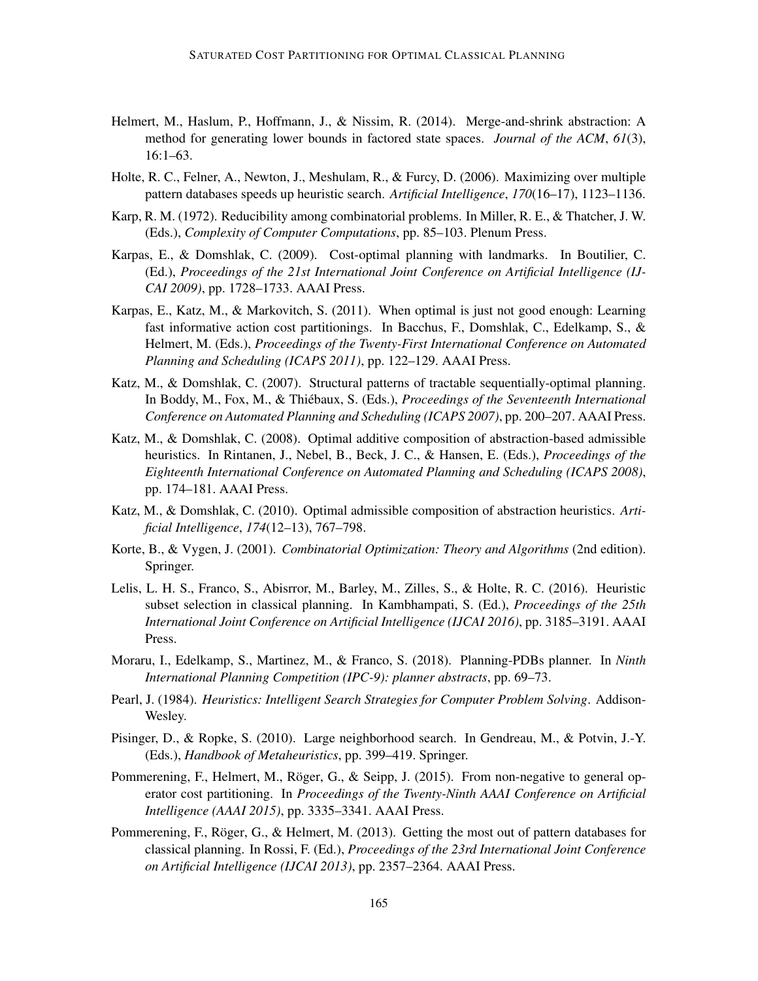- Helmert, M., Haslum, P., Hoffmann, J., & Nissim, R. (2014). Merge-and-shrink abstraction: A method for generating lower bounds in factored state spaces. *Journal of the ACM*, *61*(3), 16:1–63.
- Holte, R. C., Felner, A., Newton, J., Meshulam, R., & Furcy, D. (2006). Maximizing over multiple pattern databases speeds up heuristic search. *Artificial Intelligence*, *170*(16–17), 1123–1136.
- Karp, R. M. (1972). Reducibility among combinatorial problems. In Miller, R. E., & Thatcher, J. W. (Eds.), *Complexity of Computer Computations*, pp. 85–103. Plenum Press.
- Karpas, E., & Domshlak, C. (2009). Cost-optimal planning with landmarks. In Boutilier, C. (Ed.), *Proceedings of the 21st International Joint Conference on Artificial Intelligence (IJ-CAI 2009)*, pp. 1728–1733. AAAI Press.
- Karpas, E., Katz, M., & Markovitch, S. (2011). When optimal is just not good enough: Learning fast informative action cost partitionings. In Bacchus, F., Domshlak, C., Edelkamp, S., & Helmert, M. (Eds.), *Proceedings of the Twenty-First International Conference on Automated Planning and Scheduling (ICAPS 2011)*, pp. 122–129. AAAI Press.
- Katz, M., & Domshlak, C. (2007). Structural patterns of tractable sequentially-optimal planning. In Boddy, M., Fox, M., & Thiébaux, S. (Eds.), *Proceedings of the Seventeenth International Conference on Automated Planning and Scheduling (ICAPS 2007)*, pp. 200–207. AAAI Press.
- Katz, M., & Domshlak, C. (2008). Optimal additive composition of abstraction-based admissible heuristics. In Rintanen, J., Nebel, B., Beck, J. C., & Hansen, E. (Eds.), *Proceedings of the Eighteenth International Conference on Automated Planning and Scheduling (ICAPS 2008)*, pp. 174–181. AAAI Press.
- Katz, M., & Domshlak, C. (2010). Optimal admissible composition of abstraction heuristics. *Artificial Intelligence*, *174*(12–13), 767–798.
- Korte, B., & Vygen, J. (2001). *Combinatorial Optimization: Theory and Algorithms* (2nd edition). Springer.
- Lelis, L. H. S., Franco, S., Abisrror, M., Barley, M., Zilles, S., & Holte, R. C. (2016). Heuristic subset selection in classical planning. In Kambhampati, S. (Ed.), *Proceedings of the 25th International Joint Conference on Artificial Intelligence (IJCAI 2016)*, pp. 3185–3191. AAAI Press.
- Moraru, I., Edelkamp, S., Martinez, M., & Franco, S. (2018). Planning-PDBs planner. In *Ninth International Planning Competition (IPC-9): planner abstracts*, pp. 69–73.
- Pearl, J. (1984). *Heuristics: Intelligent Search Strategies for Computer Problem Solving*. Addison-Wesley.
- Pisinger, D., & Ropke, S. (2010). Large neighborhood search. In Gendreau, M., & Potvin, J.-Y. (Eds.), *Handbook of Metaheuristics*, pp. 399–419. Springer.
- Pommerening, F., Helmert, M., Röger, G., & Seipp, J. (2015). From non-negative to general operator cost partitioning. In *Proceedings of the Twenty-Ninth AAAI Conference on Artificial Intelligence (AAAI 2015)*, pp. 3335–3341. AAAI Press.
- Pommerening, F., Röger, G., & Helmert, M.  $(2013)$ . Getting the most out of pattern databases for classical planning. In Rossi, F. (Ed.), *Proceedings of the 23rd International Joint Conference on Artificial Intelligence (IJCAI 2013)*, pp. 2357–2364. AAAI Press.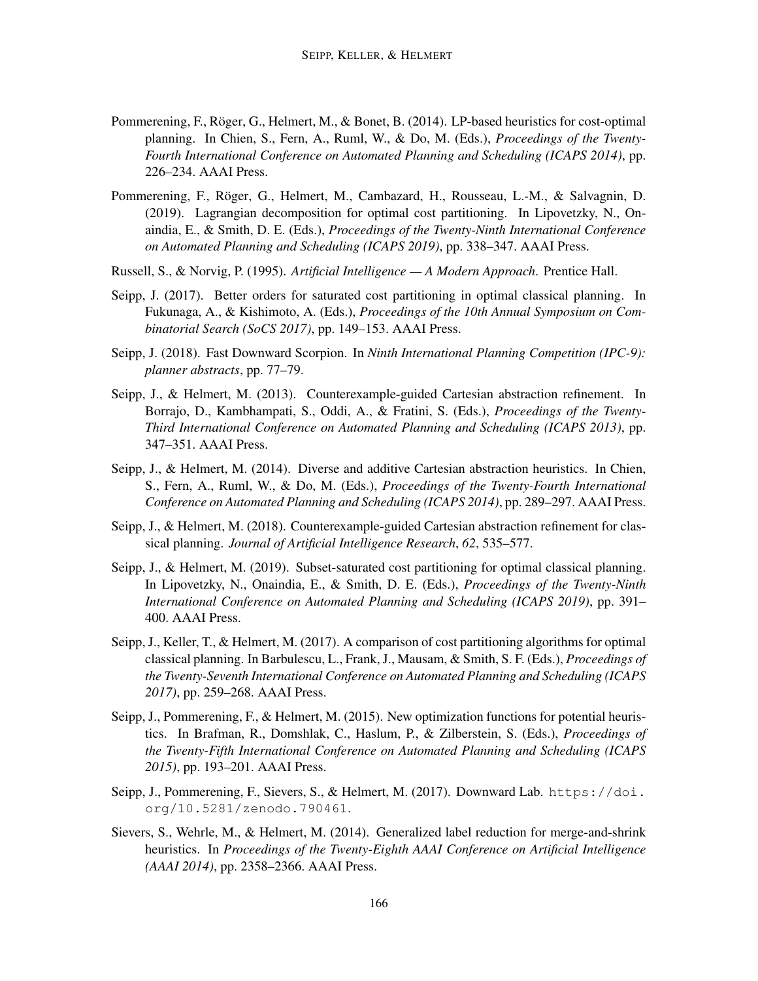- Pommerening, F., Röger, G., Helmert, M., & Bonet, B. (2014). LP-based heuristics for cost-optimal planning. In Chien, S., Fern, A., Ruml, W., & Do, M. (Eds.), *Proceedings of the Twenty-Fourth International Conference on Automated Planning and Scheduling (ICAPS 2014)*, pp. 226–234. AAAI Press.
- Pommerening, F., Roger, G., Helmert, M., Cambazard, H., Rousseau, L.-M., & Salvagnin, D. ¨ (2019). Lagrangian decomposition for optimal cost partitioning. In Lipovetzky, N., Onaindia, E., & Smith, D. E. (Eds.), *Proceedings of the Twenty-Ninth International Conference on Automated Planning and Scheduling (ICAPS 2019)*, pp. 338–347. AAAI Press.
- Russell, S., & Norvig, P. (1995). *Artificial Intelligence A Modern Approach*. Prentice Hall.
- Seipp, J. (2017). Better orders for saturated cost partitioning in optimal classical planning. In Fukunaga, A., & Kishimoto, A. (Eds.), *Proceedings of the 10th Annual Symposium on Combinatorial Search (SoCS 2017)*, pp. 149–153. AAAI Press.
- Seipp, J. (2018). Fast Downward Scorpion. In *Ninth International Planning Competition (IPC-9): planner abstracts*, pp. 77–79.
- Seipp, J., & Helmert, M. (2013). Counterexample-guided Cartesian abstraction refinement. In Borrajo, D., Kambhampati, S., Oddi, A., & Fratini, S. (Eds.), *Proceedings of the Twenty-Third International Conference on Automated Planning and Scheduling (ICAPS 2013)*, pp. 347–351. AAAI Press.
- Seipp, J., & Helmert, M. (2014). Diverse and additive Cartesian abstraction heuristics. In Chien, S., Fern, A., Ruml, W., & Do, M. (Eds.), *Proceedings of the Twenty-Fourth International Conference on Automated Planning and Scheduling (ICAPS 2014)*, pp. 289–297. AAAI Press.
- Seipp, J., & Helmert, M. (2018). Counterexample-guided Cartesian abstraction refinement for classical planning. *Journal of Artificial Intelligence Research*, *62*, 535–577.
- Seipp, J., & Helmert, M. (2019). Subset-saturated cost partitioning for optimal classical planning. In Lipovetzky, N., Onaindia, E., & Smith, D. E. (Eds.), *Proceedings of the Twenty-Ninth International Conference on Automated Planning and Scheduling (ICAPS 2019)*, pp. 391– 400. AAAI Press.
- Seipp, J., Keller, T., & Helmert, M. (2017). A comparison of cost partitioning algorithms for optimal classical planning. In Barbulescu, L., Frank, J., Mausam, & Smith, S. F. (Eds.), *Proceedings of the Twenty-Seventh International Conference on Automated Planning and Scheduling (ICAPS 2017)*, pp. 259–268. AAAI Press.
- Seipp, J., Pommerening, F., & Helmert, M. (2015). New optimization functions for potential heuristics. In Brafman, R., Domshlak, C., Haslum, P., & Zilberstein, S. (Eds.), *Proceedings of the Twenty-Fifth International Conference on Automated Planning and Scheduling (ICAPS 2015)*, pp. 193–201. AAAI Press.
- Seipp, J., Pommerening, F., Sievers, S., & Helmert, M. (2017). Downward Lab. https://doi. org/10.5281/zenodo.790461.
- Sievers, S., Wehrle, M., & Helmert, M. (2014). Generalized label reduction for merge-and-shrink heuristics. In *Proceedings of the Twenty-Eighth AAAI Conference on Artificial Intelligence (AAAI 2014)*, pp. 2358–2366. AAAI Press.